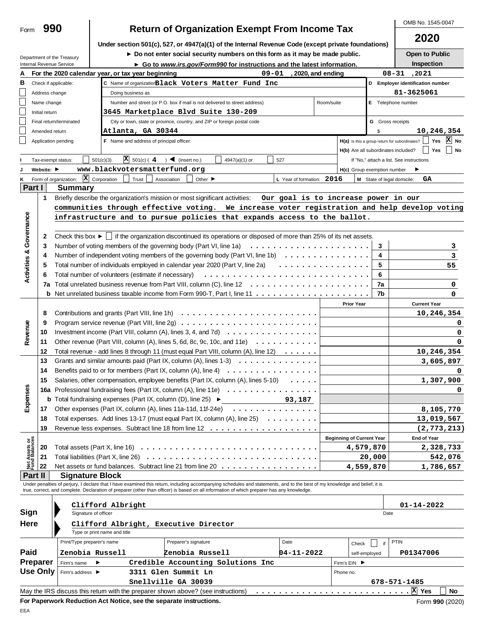# **OMB No. 1545-0047 Return of Organization Exempt From Income Tax**

|                                |                                |                                                        |                                                                                          |                                                                                                                                                                                   |                      |                                      |                    |                                  |                            | 2020                                                           |
|--------------------------------|--------------------------------|--------------------------------------------------------|------------------------------------------------------------------------------------------|-----------------------------------------------------------------------------------------------------------------------------------------------------------------------------------|----------------------|--------------------------------------|--------------------|----------------------------------|----------------------------|----------------------------------------------------------------|
|                                |                                |                                                        |                                                                                          | Under section 501(c), 527, or 4947(a)(1) of the Internal Revenue Code (except private foundations)<br>Do not enter social security numbers on this form as it may be made public. |                      |                                      |                    |                                  |                            | Open to Public                                                 |
|                                |                                | Department of the Treasury<br>Internal Revenue Service |                                                                                          | ► Go to www.irs.gov/Form990 for instructions and the latest information.                                                                                                          |                      |                                      |                    |                                  |                            | Inspection                                                     |
|                                |                                |                                                        | For the 2020 calendar year, or tax year beginning                                        |                                                                                                                                                                                   | $09 - 01$            |                                      | , 2020, and ending |                                  |                            | $08 - 31$<br>, 20 21                                           |
|                                |                                | Check if applicable:                                   |                                                                                          | C Name of organization Black Voters Matter Fund Inc                                                                                                                               |                      |                                      |                    |                                  |                            | D Employer identification number                               |
|                                | Address change                 |                                                        | Doing business as                                                                        |                                                                                                                                                                                   |                      |                                      |                    |                                  |                            | 81-3625061                                                     |
|                                | Name change                    |                                                        |                                                                                          | Number and street (or P.O. box if mail is not delivered to street address)                                                                                                        |                      |                                      | Room/suite         |                                  |                            | E Telephone number                                             |
|                                | Initial return                 |                                                        |                                                                                          | 3645 Marketplace Blvd Suite 130-209                                                                                                                                               |                      |                                      |                    |                                  |                            |                                                                |
|                                |                                | Final return/terminated                                |                                                                                          | City or town, state or province, country, and ZIP or foreign postal code                                                                                                          |                      |                                      |                    |                                  | <b>G</b> Gross receipts    |                                                                |
|                                | Amended return                 |                                                        | Atlanta, GA 30344                                                                        |                                                                                                                                                                                   |                      |                                      |                    |                                  | \$                         | 10,246,354                                                     |
|                                |                                | Application pending                                    | F Name and address of principal officer:                                                 |                                                                                                                                                                                   |                      |                                      |                    |                                  |                            | X No<br>$H(a)$ is this a group return for subordinates?<br>Yes |
|                                |                                |                                                        |                                                                                          |                                                                                                                                                                                   |                      |                                      |                    |                                  |                            | H(b) Are all subordinates included?     Yes<br>  No            |
|                                | Tax-exempt status:             |                                                        | $\overline{X}$ 501(c) (4<br>501(c)(3)                                                    | $\bigcup$ (insert no.)                                                                                                                                                            | 4947(a)(1) or<br>527 |                                      |                    |                                  |                            | If "No," attach a list. See instructions                       |
|                                | Website: $\blacktriangleright$ |                                                        | www.blackvotersmatterfund.org                                                            |                                                                                                                                                                                   |                      |                                      |                    | H(c) Group exemption number      |                            |                                                                |
|                                |                                | $\vert x \vert$<br>Form of organization:               | Corporation<br>Trust                                                                     | Other $\blacktriangleright$<br>Association                                                                                                                                        |                      | L Year of formation:                 | 2016               |                                  | M State of legal domicile: | GA                                                             |
| Part I                         |                                | <b>Summary</b>                                         |                                                                                          |                                                                                                                                                                                   |                      |                                      |                    |                                  |                            |                                                                |
|                                | 1                              |                                                        |                                                                                          | Briefly describe the organization's mission or most significant activities:                                                                                                       |                      | Our goal is to increase power in our |                    |                                  |                            |                                                                |
|                                |                                |                                                        |                                                                                          | communities through effective voting. We increase voter registration and help develop voting                                                                                      |                      |                                      |                    |                                  |                            |                                                                |
|                                |                                |                                                        |                                                                                          | infrastructure and to pursue policies that expands access to the ballot.                                                                                                          |                      |                                      |                    |                                  |                            |                                                                |
|                                |                                |                                                        |                                                                                          |                                                                                                                                                                                   |                      |                                      |                    |                                  |                            |                                                                |
|                                | 2                              |                                                        |                                                                                          | Check this box $\blacktriangleright$   if the organization discontinued its operations or disposed of more than 25% of its net assets.                                            |                      |                                      |                    |                                  |                            |                                                                |
|                                | 3                              |                                                        |                                                                                          | Number of voting members of the governing body (Part VI, line 1a)                                                                                                                 |                      |                                      |                    |                                  | 3                          |                                                                |
|                                | 4                              |                                                        |                                                                                          | Number of independent voting members of the governing body (Part VI, line 1b) $\ldots \ldots \ldots \ldots$                                                                       |                      |                                      |                    |                                  | 4                          |                                                                |
|                                | 5                              |                                                        |                                                                                          | Total number of individuals employed in calendar year 2020 (Part V, line 2a)                                                                                                      |                      |                                      |                    |                                  | 5                          | 55                                                             |
|                                |                                |                                                        | Total number of volunteers (estimate if necessary)                                       |                                                                                                                                                                                   |                      |                                      |                    |                                  | 6                          |                                                                |
|                                | 7a                             |                                                        |                                                                                          |                                                                                                                                                                                   |                      |                                      |                    |                                  | 7a                         |                                                                |
|                                |                                |                                                        |                                                                                          |                                                                                                                                                                                   |                      |                                      |                    |                                  | 7b                         |                                                                |
|                                |                                |                                                        |                                                                                          |                                                                                                                                                                                   |                      |                                      |                    | <b>Prior Year</b>                |                            | <b>Current Year</b>                                            |
|                                | 8                              |                                                        |                                                                                          |                                                                                                                                                                                   |                      |                                      |                    |                                  |                            | 10,246,354                                                     |
|                                | 9                              |                                                        |                                                                                          |                                                                                                                                                                                   |                      |                                      |                    |                                  |                            |                                                                |
|                                | 10                             |                                                        |                                                                                          | Investment income (Part VIII, column $(A)$ , lines 3, 4, and 7d) $\ldots \ldots \ldots \ldots \ldots$                                                                             |                      |                                      |                    |                                  |                            |                                                                |
|                                | 11                             |                                                        |                                                                                          | Other revenue (Part VIII, column (A), lines 5, 6d, 8c, 9c, 10c, and 11e) $\ldots \ldots \ldots$                                                                                   |                      |                                      |                    |                                  |                            |                                                                |
| Revenue                        | 12                             |                                                        |                                                                                          | Total revenue - add lines 8 through 11 (must equal Part VIII, column (A), line 12)                                                                                                |                      |                                      |                    |                                  |                            | 10,246,354                                                     |
|                                | 13                             |                                                        |                                                                                          | Grants and similar amounts paid (Part IX, column (A), lines $1-3$ ) $\ldots$                                                                                                      |                      |                                      |                    |                                  |                            | 3,605,897                                                      |
|                                | 14                             |                                                        |                                                                                          | Benefits paid to or for members (Part IX, column $(A)$ , line $A)$                                                                                                                |                      |                                      |                    |                                  |                            |                                                                |
|                                | 15                             |                                                        |                                                                                          | Salaries, other compensation, employee benefits (Part IX, column (A), lines 5-10)                                                                                                 |                      | $\cdots$                             |                    |                                  |                            | 1,307,900                                                      |
|                                | 16a                            |                                                        |                                                                                          | Professional fundraising fees (Part IX, column (A), line 11e) $\ldots \ldots \ldots \ldots \ldots$                                                                                |                      |                                      |                    |                                  |                            |                                                                |
|                                |                                |                                                        | <b>b</b> Total fundraising expenses (Part IX, column (D), line 25) $\blacktriangleright$ |                                                                                                                                                                                   |                      | 93,187                               |                    |                                  |                            |                                                                |
| Expens                         | 17                             |                                                        |                                                                                          | Other expenses (Part IX, column (A), lines 11a-11d, 11f-24e) $\ldots \ldots \ldots \ldots$                                                                                        |                      |                                      |                    |                                  |                            | 8,105,770                                                      |
|                                | 18                             |                                                        |                                                                                          | Total expenses. Add lines 13-17 (must equal Part IX, column (A), line 25)                                                                                                         |                      |                                      |                    |                                  |                            | 13,019,567                                                     |
|                                | 19                             |                                                        |                                                                                          |                                                                                                                                                                                   |                      |                                      |                    |                                  |                            | (2, 773, 213)                                                  |
|                                |                                |                                                        |                                                                                          |                                                                                                                                                                                   |                      |                                      |                    | <b>Beginning of Current Year</b> |                            | <b>End of Year</b>                                             |
| Net Assets or<br>Fund Balances | 20                             |                                                        |                                                                                          |                                                                                                                                                                                   |                      |                                      |                    |                                  | 4,579,870                  | 2,328,733                                                      |
|                                | 21                             |                                                        |                                                                                          |                                                                                                                                                                                   |                      |                                      |                    |                                  | 20,000                     | 542,076                                                        |
|                                | 22                             |                                                        |                                                                                          | Net assets or fund balances. Subtract line 21 from line 20                                                                                                                        |                      |                                      |                    |                                  | 4,559,870                  | 1,786,657                                                      |
|                                | Part II                        | <b>Signature Block</b>                                 |                                                                                          |                                                                                                                                                                                   |                      |                                      |                    |                                  |                            |                                                                |
|                                |                                |                                                        |                                                                                          | Under penalties of perjury, I declare that I have examined this return, including accompanying schedules and statements, and to the best of my knowledge and belief, it is        |                      |                                      |                    |                                  |                            |                                                                |
|                                |                                |                                                        |                                                                                          | true, correct, and complete. Declaration of preparer (other than officer) is based on all information of which preparer has any knowledge.                                        |                      |                                      |                    |                                  |                            |                                                                |
|                                |                                |                                                        |                                                                                          |                                                                                                                                                                                   |                      |                                      |                    |                                  |                            |                                                                |
| Sign                           |                                | Signature of officer                                   | Clifford Albright                                                                        |                                                                                                                                                                                   |                      |                                      |                    |                                  | Date                       | 01-14-2022                                                     |
| Here                           |                                |                                                        |                                                                                          |                                                                                                                                                                                   |                      |                                      |                    |                                  |                            |                                                                |
|                                |                                |                                                        | Type or print name and title                                                             | Clifford Albright, Executive Director                                                                                                                                             |                      |                                      |                    |                                  |                            |                                                                |
|                                |                                | Print/Type preparer's name                             |                                                                                          | Preparer's signature                                                                                                                                                              |                      | Date                                 |                    |                                  |                            | <b>PTIN</b>                                                    |
|                                |                                |                                                        |                                                                                          |                                                                                                                                                                                   |                      |                                      |                    | Check                            | if                         |                                                                |
|                                |                                | Zenobia Russell                                        |                                                                                          | Zenobia Russell                                                                                                                                                                   |                      | $04 - 11 - 2022$                     |                    |                                  | self-employed              | P01347006                                                      |
|                                | Preparer                       | Firm's name                                            | ▶                                                                                        | Credible Accounting Solutions Inc                                                                                                                                                 |                      |                                      |                    | Firm's EIN ▶                     |                            |                                                                |
|                                |                                | Firm's address ▶                                       |                                                                                          | 3311 Glen Summit Ln                                                                                                                                                               |                      |                                      |                    | Phone no.                        |                            |                                                                |
| Paid                           | <b>Use Only</b>                |                                                        |                                                                                          |                                                                                                                                                                                   |                      |                                      |                    |                                  |                            |                                                                |
|                                |                                |                                                        |                                                                                          | Snellville GA 30039<br>May the IRS discuss this return with the preparer shown above? (see instructions)                                                                          |                      |                                      |                    |                                  |                            | 678-571-1485<br>No                                             |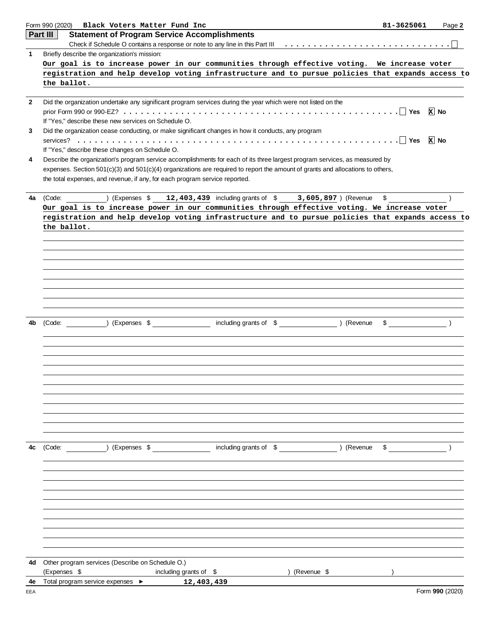|              | Form 990 (2020)<br>Black Voters Matter Fund Inc                                                                                                                                                               | 81-3625061                                | Page 2          |
|--------------|---------------------------------------------------------------------------------------------------------------------------------------------------------------------------------------------------------------|-------------------------------------------|-----------------|
|              | Part III<br><b>Statement of Program Service Accomplishments</b>                                                                                                                                               |                                           |                 |
|              |                                                                                                                                                                                                               |                                           |                 |
| 1            | Briefly describe the organization's mission:                                                                                                                                                                  |                                           |                 |
|              | Our goal is to increase power in our communities through effective voting. We increase voter                                                                                                                  |                                           |                 |
|              | registration and help develop voting infrastructure and to pursue policies that expands access to<br>the ballot.                                                                                              |                                           |                 |
|              |                                                                                                                                                                                                               |                                           |                 |
| $\mathbf{2}$ | Did the organization undertake any significant program services during the year which were not listed on the                                                                                                  |                                           |                 |
|              |                                                                                                                                                                                                               |                                           | $x$ No          |
|              | If "Yes," describe these new services on Schedule O.                                                                                                                                                          |                                           |                 |
| 3            | Did the organization cease conducting, or make significant changes in how it conducts, any program                                                                                                            |                                           |                 |
|              |                                                                                                                                                                                                               |                                           |                 |
|              | If "Yes," describe these changes on Schedule O.                                                                                                                                                               |                                           |                 |
| 4            | Describe the organization's program service accomplishments for each of its three largest program services, as measured by                                                                                    |                                           |                 |
|              | expenses. Section 501(c)(3) and 501(c)(4) organizations are required to report the amount of grants and allocations to others,<br>the total expenses, and revenue, if any, for each program service reported. |                                           |                 |
|              |                                                                                                                                                                                                               |                                           |                 |
| 4a           | ) (Expenses $$12,403,439$ including grants of $$3,605,897$ ) (Revenue<br>(Code:                                                                                                                               | \$                                        |                 |
|              | Our goal is to increase power in our communities through effective voting. We increase voter                                                                                                                  |                                           |                 |
|              | registration and help develop voting infrastructure and to pursue policies that expands access to                                                                                                             |                                           |                 |
|              | the ballot.                                                                                                                                                                                                   |                                           |                 |
|              |                                                                                                                                                                                                               |                                           |                 |
|              |                                                                                                                                                                                                               |                                           |                 |
|              |                                                                                                                                                                                                               |                                           |                 |
|              |                                                                                                                                                                                                               |                                           |                 |
|              |                                                                                                                                                                                                               |                                           |                 |
|              |                                                                                                                                                                                                               |                                           |                 |
|              |                                                                                                                                                                                                               |                                           |                 |
|              |                                                                                                                                                                                                               |                                           |                 |
| 4b           | including grants of \$ (Revenue<br>(Expenses \$<br>(Code:                                                                                                                                                     | \$                                        |                 |
|              |                                                                                                                                                                                                               |                                           |                 |
|              |                                                                                                                                                                                                               |                                           |                 |
|              |                                                                                                                                                                                                               |                                           |                 |
|              |                                                                                                                                                                                                               |                                           |                 |
|              |                                                                                                                                                                                                               |                                           |                 |
|              |                                                                                                                                                                                                               |                                           |                 |
|              |                                                                                                                                                                                                               |                                           |                 |
|              |                                                                                                                                                                                                               |                                           |                 |
|              |                                                                                                                                                                                                               |                                           |                 |
|              |                                                                                                                                                                                                               |                                           |                 |
|              |                                                                                                                                                                                                               |                                           |                 |
| 4c           | (Code: ) (Expenses \$ including grants of \$ ) (Revenue                                                                                                                                                       | $\sim$ $\sim$ $\sim$ $\sim$ $\sim$ $\sim$ |                 |
|              |                                                                                                                                                                                                               |                                           |                 |
|              |                                                                                                                                                                                                               |                                           |                 |
|              |                                                                                                                                                                                                               |                                           |                 |
|              |                                                                                                                                                                                                               |                                           |                 |
|              |                                                                                                                                                                                                               |                                           |                 |
|              |                                                                                                                                                                                                               |                                           |                 |
|              |                                                                                                                                                                                                               |                                           |                 |
|              |                                                                                                                                                                                                               |                                           |                 |
|              |                                                                                                                                                                                                               |                                           |                 |
|              |                                                                                                                                                                                                               |                                           |                 |
| 4d           | Other program services (Describe on Schedule O.)                                                                                                                                                              |                                           |                 |
|              | (Expenses \$<br>including grants of \$<br>) (Revenue \$                                                                                                                                                       |                                           |                 |
| 4e           | Total program service expenses ▶<br>12,403,439                                                                                                                                                                |                                           |                 |
| EEA          |                                                                                                                                                                                                               |                                           | Form 990 (2020) |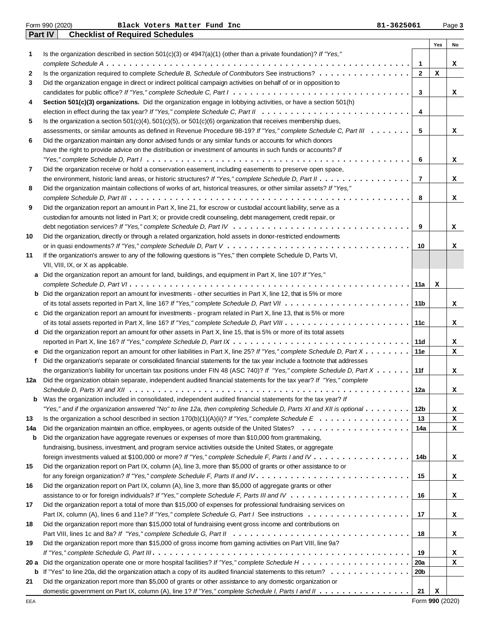|     | Form 990 (2020)<br>81-3625061<br>Black Voters Matter Fund Inc                                                                                      |                |     | Page 3 |
|-----|----------------------------------------------------------------------------------------------------------------------------------------------------|----------------|-----|--------|
|     | <b>Checklist of Required Schedules</b><br><b>Part IV</b>                                                                                           |                |     |        |
|     |                                                                                                                                                    |                | Yes | No     |
| 1   | Is the organization described in section $501(c)(3)$ or $4947(a)(1)$ (other than a private foundation)? If "Yes,"                                  |                |     |        |
|     |                                                                                                                                                    | $\blacksquare$ |     | x      |
| 2   | Is the organization required to complete Schedule B, Schedule of Contributors See instructions?                                                    | $\mathbf{2}$   | x   |        |
| 3   | Did the organization engage in direct or indirect political campaign activities on behalf of or in opposition to                                   |                |     |        |
|     |                                                                                                                                                    | 3              |     | x      |
| 4   | Section 501(c)(3) organizations. Did the organization engage in lobbying activities, or have a section 501(h)                                      |                |     |        |
|     |                                                                                                                                                    | 4              |     |        |
| 5   | Is the organization a section $501(c)(4)$ , $501(c)(5)$ , or $501(c)(6)$ organization that receives membership dues,                               |                |     |        |
|     | assessments, or similar amounts as defined in Revenue Procedure 98-19? If "Yes," complete Schedule C, Part III                                     | 5              |     | x      |
| 6   | Did the organization maintain any donor advised funds or any similar funds or accounts for which donors                                            |                |     |        |
|     | have the right to provide advice on the distribution or investment of amounts in such funds or accounts? If                                        |                |     |        |
|     |                                                                                                                                                    | 6              |     | x      |
| 7   | Did the organization receive or hold a conservation easement, including easements to preserve open space,                                          |                |     |        |
|     |                                                                                                                                                    | $\overline{7}$ |     | x      |
| 8   | Did the organization maintain collections of works of art, historical treasures, or other similar assets? If "Yes,"                                |                |     |        |
|     |                                                                                                                                                    | 8              |     | x      |
| 9   | Did the organization report an amount in Part X, line 21, for escrow or custodial account liability, serve as a                                    |                |     |        |
|     | custodian for amounts not listed in Part X; or provide credit counseling, debt management, credit repair, or                                       |                |     |        |
|     |                                                                                                                                                    | 9              |     | x      |
| 10  | Did the organization, directly or through a related organization, hold assets in donor-restricted endowments                                       |                |     |        |
|     |                                                                                                                                                    | 10             |     | x      |
| 11  | If the organization's answer to any of the following questions is "Yes," then complete Schedule D, Parts VI,                                       |                |     |        |
|     | VII, VIII, IX, or X as applicable.                                                                                                                 |                |     |        |
|     | a Did the organization report an amount for land, buildings, and equipment in Part X, line 10? If "Yes,"                                           |                |     |        |
|     |                                                                                                                                                    | 11a            | x   |        |
|     | <b>b</b> Did the organization report an amount for investments - other securities in Part X, line 12, that is 5% or more                           |                |     |        |
|     |                                                                                                                                                    | 11b            |     | x      |
|     | c Did the organization report an amount for investments - program related in Part X, line 13, that is 5% or more                                   |                |     |        |
|     |                                                                                                                                                    | 11c            |     | x      |
|     | d Did the organization report an amount for other assets in Part X, line 15, that is 5% or more of its total assets                                |                |     |        |
|     |                                                                                                                                                    | 11d            |     | x      |
|     | <b>e</b> Did the organization report an amount for other liabilities in Part X, line 25? If "Yes," complete Schedule D, Part $X \dots \dots$       | 11e            |     | x      |
| f   | Did the organization's separate or consolidated financial statements for the tax year include a footnote that addresses                            |                |     |        |
|     | the organization's liability for uncertain tax positions under FIN 48 (ASC 740)? If "Yes," complete Schedule D, Part $X \dots \dots$               | 11f            |     | x      |
| 12а | Did the organization obtain separate, independent audited financial statements for the tax year? If "Yes," complete                                |                |     |        |
|     |                                                                                                                                                    | 12a            |     | x      |
| b   | Was the organization included in consolidated, independent audited financial statements for the tax year? If                                       |                |     |        |
|     | "Yes," and if the organization answered "No" to line 12a, then completing Schedule D, Parts XI and XII is optional $\ldots \ldots \ldots$          | 12b            |     | x      |
| 13  | Is the organization a school described in section 170(b)(1)(A)(ii)? If "Yes," complete Schedule $E_1, \ldots, \ldots, \ldots, \ldots, \ldots$      | 13             |     | x      |
| 14a |                                                                                                                                                    | 14a            |     | x      |
| b   | Did the organization have aggregate revenues or expenses of more than \$10,000 from grantmaking,                                                   |                |     |        |
|     | fundraising, business, investment, and program service activities outside the United States, or aggregate                                          |                |     |        |
|     | foreign investments valued at \$100,000 or more? If "Yes," complete Schedule F, Parts I and IV                                                     | 14b            |     | x      |
| 15  | Did the organization report on Part IX, column (A), line 3, more than \$5,000 of grants or other assistance to or                                  |                |     |        |
|     |                                                                                                                                                    | 15             |     | x      |
| 16  | Did the organization report on Part IX, column (A), line 3, more than \$5,000 of aggregate grants or other                                         |                |     |        |
|     |                                                                                                                                                    | 16             |     | x      |
| 17  | Did the organization report a total of more than \$15,000 of expenses for professional fundraising services on                                     |                |     |        |
|     |                                                                                                                                                    | 17             |     | x      |
| 18  | Did the organization report more than \$15,000 total of fundraising event gross income and contributions on                                        |                |     |        |
|     |                                                                                                                                                    | 18             |     | x      |
| 19  | Did the organization report more than \$15,000 of gross income from gaming activities on Part VIII, line 9a?                                       |                |     |        |
|     |                                                                                                                                                    | 19             |     | x      |
|     |                                                                                                                                                    | 20a            |     | x      |
|     | <b>b</b> If "Yes" to line 20a, did the organization attach a copy of its audited financial statements to this retum? $\ldots \ldots \ldots \ldots$ | 20b            |     |        |
| 21  | Did the organization report more than \$5,000 of grants or other assistance to any domestic organization or                                        |                |     |        |
|     |                                                                                                                                                    | 21             | x   |        |
|     |                                                                                                                                                    |                |     |        |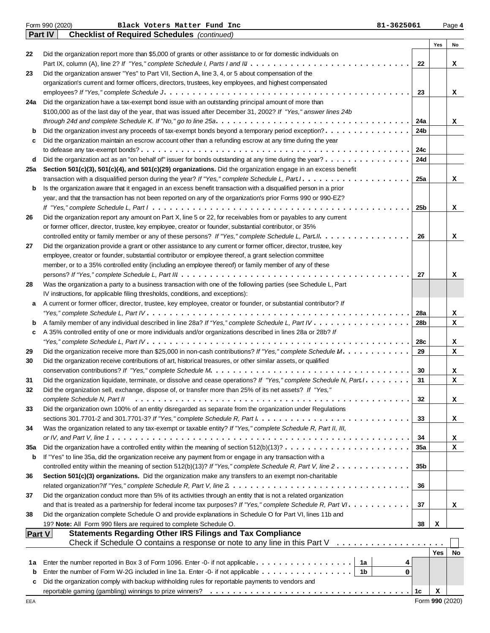|               | Form 990 (2020)<br>81-3625061<br>Black Voters Matter Fund Inc                                                                              |                 |            | Page 4 |
|---------------|--------------------------------------------------------------------------------------------------------------------------------------------|-----------------|------------|--------|
|               | <b>Checklist of Required Schedules</b> (continued)<br><b>Part IV</b>                                                                       |                 |            |        |
|               |                                                                                                                                            |                 | Yes        | No     |
| 22            | Did the organization report more than \$5,000 of grants or other assistance to or for domestic individuals on                              |                 |            |        |
|               |                                                                                                                                            | 22              |            | x      |
| 23            | Did the organization answer "Yes" to Part VII, Section A, line 3, 4, or 5 about compensation of the                                        |                 |            |        |
|               | organization's current and former officers, directors, trustees, key employees, and highest compensated                                    |                 |            |        |
|               | Did the organization have a tax-exempt bond issue with an outstanding principal amount of more than                                        | 23              |            | x      |
| 24a           | \$100,000 as of the last day of the year, that was issued after December 31, 2002? If "Yes," answer lines 24b                              |                 |            |        |
|               |                                                                                                                                            | 24a             |            |        |
| b             | Did the organization invest any proceeds of tax-exempt bonds beyond a temporary period exception?                                          | 24b             |            | x      |
| c             | Did the organization maintain an escrow account other than a refunding escrow at any time during the year                                  |                 |            |        |
|               |                                                                                                                                            | 24c             |            |        |
| d             | Did the organization act as an "on behalf of" issuer for bonds outstanding at any time during the year?                                    | 24d             |            |        |
| 25a           | Section 501(c)(3), 501(c)(4), and 501(c)(29) organizations. Did the organization engage in an excess benefit                               |                 |            |        |
|               |                                                                                                                                            | 25a             |            | x      |
| b             | Is the organization aware that it engaged in an excess benefit transaction with a disqualified person in a prior                           |                 |            |        |
|               | year, and that the transaction has not been reported on any of the organization's prior Forms 990 or 990-EZ?                               |                 |            |        |
|               |                                                                                                                                            | 25b             |            | x      |
| 26            | Did the organization report any amount on Part X, line 5 or 22, for receivables from or payables to any current                            |                 |            |        |
|               | or former officer, director, trustee, key employee, creator or founder, substantial contributor, or 35%                                    |                 |            |        |
|               | controlled entity or family member or any of these persons? If "Yes," complete Schedule L, Part II.                                        | 26              |            | x      |
| 27            | Did the organization provide a grant or other assistance to any current or former officer, director, trustee, key                          |                 |            |        |
|               | employee, creator or founder, substantial contributor or employee thereof, a grant selection committee                                     |                 |            |        |
|               | member, or to a 35% controlled entity (including an employee thereof) or family member of any of these                                     |                 |            |        |
|               |                                                                                                                                            | 27              |            | x      |
| 28            | Was the organization a party to a business transaction with one of the following parties (see Schedule L, Part                             |                 |            |        |
|               | IV instructions, for applicable filing thresholds, conditions, and exceptions):                                                            |                 |            |        |
| а             | A current or former officer, director, trustee, key employee, creator or founder, or substantial contributor? If                           |                 |            |        |
|               |                                                                                                                                            | 28a             |            | x      |
| b             |                                                                                                                                            | 28b             |            | x      |
| c             | A 35% controlled entity of one or more individuals and/or organizations described in lines 28a or 28b? If                                  |                 |            |        |
|               |                                                                                                                                            | 28c             |            | x      |
| 29            | Did the organization receive more than \$25,000 in non-cash contributions? If "Yes," complete Schedule M.                                  | 29              |            | x      |
| 30            | Did the organization receive contributions of art, historical treasures, or other similar assets, or qualified                             |                 |            |        |
|               |                                                                                                                                            | 30              |            | x      |
| 31            | Did the organization liquidate, terminate, or dissolve and cease operations? If "Yes," complete Schedule N, Part I. .                      | 31              |            | x      |
| 32            | Did the organization sell, exchange, dispose of, or transfer more than 25% of its net assets? If "Yes,"                                    |                 |            |        |
|               | complete Schedule N, Part II                                                                                                               | 32              |            | x      |
| 33            | Did the organization own 100% of an entity disregarded as separate from the organization under Regulations                                 |                 |            |        |
|               |                                                                                                                                            | 33              |            | x      |
| 34            | Was the organization related to any tax-exempt or taxable entity? If "Yes," complete Schedule R, Part II, III,                             |                 |            |        |
|               |                                                                                                                                            | 34              |            | x      |
| 35a           | Did the organization have a controlled entity within the meaning of section $512(b)(13)? \ldots \ldots \ldots \ldots \ldots \ldots \ldots$ | 35a             |            | x      |
| b             | If "Yes" to line 35a, did the organization receive any payment from or engage in any transaction with a                                    |                 |            |        |
|               | controlled entity within the meaning of section 512(b)(13)? If "Yes," complete Schedule R, Part V, line $2 \ldots \ldots \ldots \ldots$    | 35 <sub>b</sub> |            |        |
| 36            | Section 501(c)(3) organizations. Did the organization make any transfers to an exempt non-charitable                                       |                 |            |        |
|               |                                                                                                                                            | 36              |            |        |
| 37            | Did the organization conduct more than 5% of its activities through an entity that is not a related organization                           |                 |            |        |
|               |                                                                                                                                            | 37              |            | x      |
| 38            | Did the organization complete Schedule O and provide explanations in Schedule O for Part VI, lines 11b and                                 |                 |            |        |
|               | 19? Note: All Form 990 filers are required to complete Schedule O.                                                                         | 38              | х          |        |
| <b>Part V</b> | <b>Statements Regarding Other IRS Filings and Tax Compliance</b>                                                                           |                 |            |        |
|               | Check if Schedule O contains a response or note to any line in this Part V $\ldots \ldots \ldots \ldots \ldots$                            |                 |            |        |
|               |                                                                                                                                            |                 | <b>Yes</b> | No     |
| 1a            | 1a<br>Enter the number reported in Box 3 of Form 1096. Enter -0- if not applicable.<br>4                                                   |                 |            |        |
| b             | Enter the number of Form W-2G included in line 1a. Enter -0- if not applicable $\dots \dots \dots \dots \dots$<br>0                        |                 |            |        |
| c             | Did the organization comply with backup withholding rules for reportable payments to vendors and                                           |                 |            |        |
|               |                                                                                                                                            | 1c              | x          |        |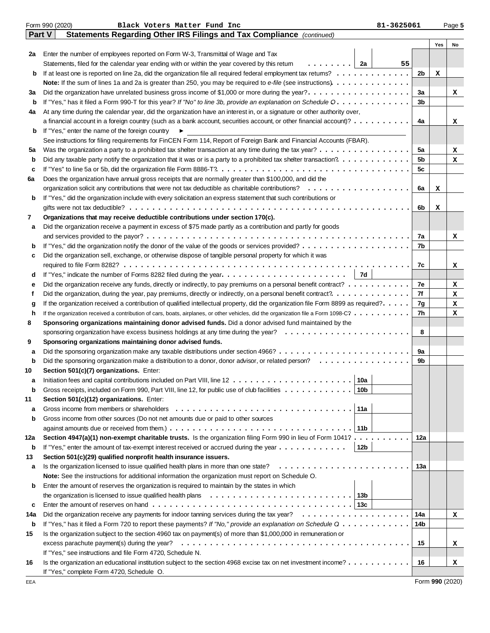|        | Form 990 (2020)<br>Black Voters Matter Fund Inc<br>81-3625061                                                                                        |                |     | Page 5 |
|--------|------------------------------------------------------------------------------------------------------------------------------------------------------|----------------|-----|--------|
| Part V | Statements Regarding Other IRS Filings and Tax Compliance (continued)                                                                                |                |     |        |
|        |                                                                                                                                                      |                | Yes | No     |
| 2a     | Enter the number of employees reported on Form W-3, Transmittal of Wage and Tax                                                                      |                |     |        |
|        | . 1<br>Statements, filed for the calendar year ending with or within the year covered by this retum<br>2a<br>55                                      |                |     |        |
| b      |                                                                                                                                                      | 2 <sub>b</sub> | x   |        |
|        |                                                                                                                                                      |                |     |        |
| За     | Did the organization have unrelated business gross income of \$1,000 or more during the year?.                                                       | За             |     | x      |
| b      | If "Yes," has it filed a Form 990-T for this year? If "No" to line 3b, provide an explanation on Schedule O.                                         | 3b             |     |        |
| 4a     | At any time during the calendar year, did the organization have an interest in, or a signature or other authority over,                              |                |     |        |
|        | a financial account in a foreign country (such as a bank account, securities account, or other financial account)?                                   | 4a             |     | x      |
| b      | If "Yes," enter the name of the foreign country                                                                                                      |                |     |        |
|        | See instructions for filing requirements for FinCEN Form 114, Report of Foreign Bank and Financial Accounts (FBAR).                                  |                |     |        |
| 5a     | Was the organization a party to a prohibited tax shelter transaction at any time during the tax year?                                                | 5a             |     | x      |
| b      |                                                                                                                                                      | 5 <sub>b</sub> |     | x      |
| c      |                                                                                                                                                      | 5c             |     |        |
| 6a     | Does the organization have annual gross receipts that are normally greater than \$100,000, and did the                                               |                |     |        |
|        | organization solicit any contributions that were not tax deductible as charitable contributions?                                                     | 6a             | х   |        |
| b      | If "Yes," did the organization include with every solicitation an express statement that such contributions or                                       |                |     |        |
|        |                                                                                                                                                      | 6b             | х   |        |
| 7      | Organizations that may receive deductible contributions under section 170(c).                                                                        |                |     |        |
| a      | Did the organization receive a payment in excess of \$75 made partly as a contribution and partly for goods                                          |                |     |        |
|        |                                                                                                                                                      | 7a             |     | x      |
| b      |                                                                                                                                                      | 7b             |     |        |
| c      | Did the organization sell, exchange, or otherwise dispose of tangible personal property for which it was                                             |                |     |        |
|        | 7d                                                                                                                                                   | 7c             |     | x      |
| d      | If "Yes," indicate the number of Forms 8282 filed during the year. $\dots \dots \dots \dots \dots \dots \dots \dots \dots$                           | 7e             |     |        |
| е<br>f | Did the organization receive any funds, directly or indirectly, to pay premiums on a personal benefit contract?                                      | 7f             |     | x      |
|        | If the organization received a contribution of qualified intellectual property, did the organization file Form 8899 as required?.                    | 7g             |     | x<br>x |
| g<br>h | If the organization received a contribution of cars, boats, airplanes, or other vehicles, did the organization file a Form 1098-C?                   | 7h             |     | x      |
| 8      | Sponsoring organizations maintaining donor advised funds. Did a donor advised fund maintained by the                                                 |                |     |        |
|        |                                                                                                                                                      | 8              |     |        |
| 9      | Sponsoring organizations maintaining donor advised funds.                                                                                            |                |     |        |
| а      |                                                                                                                                                      | 9а             |     |        |
| b      | Did the sponsoring organization make a distribution to a donor, donor advisor, or related person?                                                    | 9b             |     |        |
| 10     | Section 501(c)(7) organizations. Enter:                                                                                                              |                |     |        |
|        | . │10a │                                                                                                                                             |                |     |        |
| b      | Gross receipts, included on Form 990, Part VIII, line 12, for public use of club facilities<br>10b                                                   |                |     |        |
| 11     | Section 501(c)(12) organizations. Enter:                                                                                                             |                |     |        |
| а      | Gross income from members or shareholders<br>11a                                                                                                     |                |     |        |
| b      | Gross income from other sources (Do not net amounts due or paid to other sources                                                                     |                |     |        |
|        | 11 <sub>b</sub><br>against amounts due or received from them.) $\dots \dots \dots \dots \dots \dots \dots \dots \dots \dots \dots \dots \dots \dots$ |                |     |        |
| 12a    | Section 4947(a)(1) non-exempt charitable trusts. Is the organization filing Form 990 in lieu of Form 1041?                                           | 12a            |     |        |
| b      | If "Yes," enter the amount of tax-exempt interest received or accrued during the year $\dots \dots \dots \dots$<br>12b                               |                |     |        |
| 13     | Section 501(c)(29) qualified nonprofit health insurance issuers.                                                                                     |                |     |        |
| a      | Is the organization licensed to issue qualified health plans in more than one state?                                                                 | 13а            |     |        |
|        | Note: See the instructions for additional information the organization must report on Schedule O.                                                    |                |     |        |
| b      | Enter the amount of reserves the organization is required to maintain by the states in which                                                         |                |     |        |
|        | the organization is licensed to issue qualified health plans $\ldots \ldots \ldots \ldots \ldots \ldots \ldots \ldots \ldots$                        |                |     |        |
| c      |                                                                                                                                                      |                |     |        |
| 14a    |                                                                                                                                                      | 14a            |     | x      |
| b      | If "Yes," has it filed a Form 720 to report these payments? If "No," provide an explanation on Schedule Q                                            | 14b            |     |        |
| 15     | Is the organization subject to the section 4960 tax on payment(s) of more than \$1,000,000 in remuneration or                                        |                |     |        |
|        | excess parachute payment(s) during the year?                                                                                                         | 15             |     | x      |
|        | If "Yes," see instructions and file Form 4720, Schedule N.                                                                                           |                |     |        |
| 16     | Is the organization an educational institution subject to the section 4968 excise tax on net investment income?                                      | 16             |     | x      |
|        | If "Yes," complete Form 4720, Schedule O.                                                                                                            |                |     |        |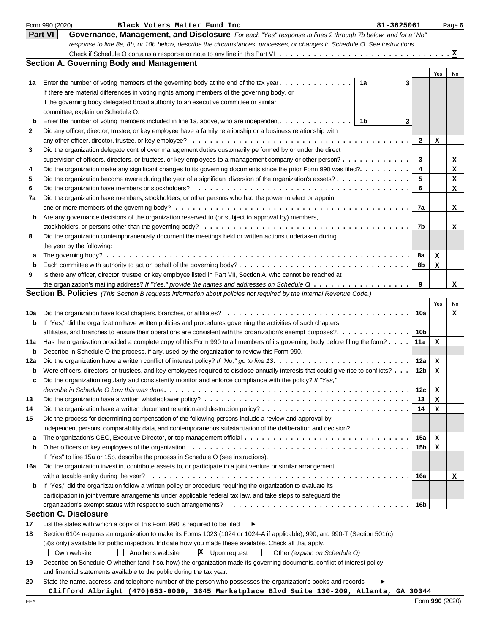|     | Form 990 (2020)<br>Black Voters Matter Fund Inc<br>81-3625061                                                                       |                 |     | Page 6 |
|-----|-------------------------------------------------------------------------------------------------------------------------------------|-----------------|-----|--------|
|     | <b>Part VI</b><br>Governance, Management, and Disclosure For each "Yes" response to lines 2 through 7b below, and for a "No"        |                 |     |        |
|     | response to line 8a, 8b, or 10b below, describe the circumstances, processes, or changes in Schedule O. See instructions.           |                 |     |        |
|     |                                                                                                                                     |                 |     |        |
|     | <b>Section A. Governing Body and Management</b>                                                                                     |                 |     |        |
|     |                                                                                                                                     |                 | Yes | No     |
| 1a  | Enter the number of voting members of the governing body at the end of the tax year. $\dots \dots \dots \dots$<br>1a<br>з           |                 |     |        |
|     | If there are material differences in voting rights among members of the governing body, or                                          |                 |     |        |
|     | if the governing body delegated broad authority to an executive committee or similar                                                |                 |     |        |
|     | committee, explain on Schedule O.                                                                                                   |                 |     |        |
| b   | Enter the number of voting members included in line 1a, above, who are independent. $\dots \dots \dots \dots$<br>1b<br>3            |                 |     |        |
| 2   | Did any officer, director, trustee, or key employee have a family relationship or a business relationship with                      |                 |     |        |
|     |                                                                                                                                     | $\mathbf{2}$    | х   |        |
| 3   | Did the organization delegate control over management duties customarily performed by or under the direct                           |                 |     |        |
|     | supervision of officers, directors, or trustees, or key employees to a management company or other person?                          | 3               |     | x      |
| 4   | Did the organization make any significant changes to its governing documents since the prior Form 990 was filed?.                   | 4               |     |        |
|     |                                                                                                                                     | 5               |     | x      |
| 5   | Did the organization become aware during the year of a significant diversion of the organization's assets?                          |                 |     | x      |
| 6   |                                                                                                                                     | 6               |     | x      |
| 7a  | Did the organization have members, stockholders, or other persons who had the power to elect or appoint                             |                 |     |        |
|     |                                                                                                                                     | 7a              |     | x      |
| b   | Are any governance decisions of the organization reserved to (or subject to approval by) members,                                   |                 |     |        |
|     |                                                                                                                                     | 7b              |     | x      |
| 8   | Did the organization contemporaneously document the meetings held or written actions undertaken during                              |                 |     |        |
|     | the year by the following:                                                                                                          |                 |     |        |
| а   |                                                                                                                                     | 8a              | x   |        |
| b   |                                                                                                                                     | 8b              | x   |        |
| 9   | Is there any officer, director, trustee, or key employee listed in Part VII, Section A, who cannot be reached at                    |                 |     |        |
|     | the organization's mailing address? If "Yes," provide the names and addresses on Schedule Q                                         | 9               |     | x      |
|     | <b>Section B. Policies</b> (This Section B requests information about policies not required by the Internal Revenue Code.)          |                 |     |        |
|     |                                                                                                                                     |                 | Yes | No     |
| 10a |                                                                                                                                     | 10a             |     | x      |
| b   | If "Yes," did the organization have written policies and procedures governing the activities of such chapters,                      |                 |     |        |
|     | affiliates, and branches to ensure their operations are consistent with the organization's exempt purposes?.                        | 10b             |     |        |
| 11a | Has the organization provided a complete copy of this Form 990 to all members of its governing body before filing the form?         | 11a             | x   |        |
| b   | Describe in Schedule O the process, if any, used by the organization to review this Form 990.                                       |                 |     |        |
| 12a |                                                                                                                                     | 12a             | x   |        |
| b   | Were officers, directors, or trustees, and key employees required to disclose annually interests that could give rise to conflicts? | 12 <sub>b</sub> | x   |        |
|     | Did the organization regularly and consistently monitor and enforce compliance with the policy? If "Yes,"                           |                 |     |        |
|     |                                                                                                                                     | 12c             | х   |        |
| 13  |                                                                                                                                     | 13              | х   |        |
| 14  |                                                                                                                                     | 14              | х   |        |
| 15  | Did the process for determining compensation of the following persons include a review and approval by                              |                 |     |        |
|     | independent persons, comparability data, and contemporaneous substantiation of the deliberation and decision?                       |                 |     |        |
| a   |                                                                                                                                     | 15a             | x   |        |
| b   |                                                                                                                                     | 15 <sub>b</sub> |     |        |
|     |                                                                                                                                     |                 | х   |        |
|     | If "Yes" to line 15a or 15b, describe the process in Schedule O (see instructions).                                                 |                 |     |        |
| 16a | Did the organization invest in, contribute assets to, or participate in a joint venture or similar arrangement                      |                 |     |        |
|     |                                                                                                                                     | 16a             |     | x      |
| b   | If "Yes," did the organization follow a written policy or procedure requiring the organization to evaluate its                      |                 |     |        |
|     | participation in joint venture arrangements under applicable federal tax law, and take steps to safeguard the                       |                 |     |        |
|     |                                                                                                                                     | 16b             |     |        |
|     | <b>Section C. Disclosure</b>                                                                                                        |                 |     |        |
| 17  | List the states with which a copy of this Form 990 is required to be filed<br>▶                                                     |                 |     |        |
| 18  | Section 6104 requires an organization to make its Forms 1023 (1024 or 1024-A if applicable), 990, and 990-T (Section 501(c)         |                 |     |        |
|     | (3)s only) available for public inspection. Indicate how you made these available. Check all that apply.                            |                 |     |        |
|     | $\mathbf{X}$ Upon request<br>Own website<br>$\Box$<br>Another's website<br>$\vert$ Other (explain on Schedule O)                    |                 |     |        |
| 19  | Describe on Schedule O whether (and if so, how) the organization made its governing documents, conflict of interest policy,         |                 |     |        |
|     | and financial statements available to the public during the tax year.                                                               |                 |     |        |
| 20  | State the name, address, and telephone number of the person who possesses the organization's books and records                      |                 |     |        |

**Clifford Albright (470)653-0000, 3645 Marketplace Blvd Suite 130-209, Atlanta, GA 30344**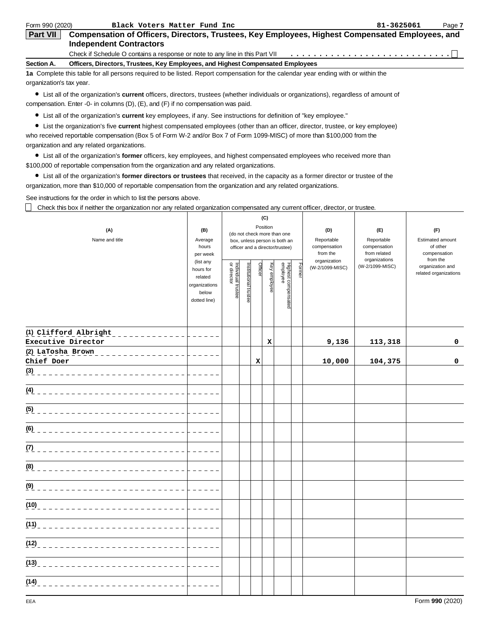| Form 990 (2020)          | Black Voters Matter Fund Inc                                                                                                                     | 81-3625061 | Page 7 |
|--------------------------|--------------------------------------------------------------------------------------------------------------------------------------------------|------------|--------|
| <b>Part VII</b>          | Compensation of Officers, Directors, Trustees, Key Employees, Highest Compensated Employees, and                                                 |            |        |
|                          | <b>Independent Contractors</b>                                                                                                                   |            |        |
|                          | Check if Schedule O contains a response or note to any line in this Part VII                                                                     |            |        |
| Section A.               | Officers, Directors, Trustees, Key Employees, and Highest Compensated Employees                                                                  |            |        |
|                          | 1a Complete this table for all persons required to be listed. Report compensation for the calendar year ending with or within the                |            |        |
| organization's tax year. |                                                                                                                                                  |            |        |
|                          | $\blacktriangle$ . I be all of the considerations are considered the state constant of the distribution of a second second second of a second of |            |        |

List all of the organization's **current** officers, directors, trustees (whether individuals or organizations), regardless of amount of compensation. Enter -0- in columns (D), (E), and (F) if no compensation was paid.

List all of the organization's **current** key employees, if any. See instructions for definition of "key employee."

List the organization's five **current** highest compensated employees (other than an officer, director, trustee, or key employee) who received reportable compensation (Box 5 of Form W-2 and/or Box 7 of Form 1099-MISC) of more than \$100,000 from the organization and any related organizations.

List all of the organization's **former** officers, key employees, and highest compensated employees who received more than \$100,000 of reportable compensation from the organization and any related organizations.

List all of the organization's **former directors or trustees** that received, in the capacity as a former director or trustee of the organization, more than \$10,000 of reportable compensation from the organization and any related organizations.

See instructions for the order in which to list the persons above.

Check this box if neither the organization nor any related organization compensated any current officer, director, or trustee.

| (A)<br>Name and title                                                                                                                                                                                                                                                                                                                           | (B)<br>Average<br>hours<br>per week<br>(list any<br>hours for<br>related<br>organizations<br>below<br>dotted line) | Individual trustee<br>or director | Institutional trustee | Officer | (C)<br>Position<br>Key employee | (do not check more than one<br>box, unless person is both an<br>officer and a director/trustee)<br>Highest compensatec<br>employee | Former | (D)<br>Reportable<br>compensation<br>from the<br>organization<br>(W-2/1099-MISC) | (E)<br>Reportable<br>compensation<br>from related<br>organizations<br>(W-2/1099-MISC) | (F)<br>Estimated amount<br>of other<br>compensation<br>from the<br>organization and<br>related organizations |
|-------------------------------------------------------------------------------------------------------------------------------------------------------------------------------------------------------------------------------------------------------------------------------------------------------------------------------------------------|--------------------------------------------------------------------------------------------------------------------|-----------------------------------|-----------------------|---------|---------------------------------|------------------------------------------------------------------------------------------------------------------------------------|--------|----------------------------------------------------------------------------------|---------------------------------------------------------------------------------------|--------------------------------------------------------------------------------------------------------------|
| (1) Clifford Albright<br>$\begin{bmatrix} 1 & 0 & 0 \\ 0 & 1 & 0 \\ 0 & 0 & 0 \\ 0 & 0 & 0 \\ 0 & 0 & 0 \\ 0 & 0 & 0 \\ 0 & 0 & 0 \\ 0 & 0 & 0 \\ 0 & 0 & 0 \\ 0 & 0 & 0 \\ 0 & 0 & 0 \\ 0 & 0 & 0 & 0 \\ 0 & 0 & 0 & 0 \\ 0 & 0 & 0 & 0 \\ 0 & 0 & 0 & 0 & 0 \\ 0 & 0 & 0 & 0 & 0 \\ 0 & 0 & 0 & 0 & 0 \\ 0 & 0 & 0 & 0$<br>Executive Director |                                                                                                                    |                                   |                       |         | X                               |                                                                                                                                    |        | 9,136                                                                            | 113,318                                                                               | 0                                                                                                            |
| Chief Doer                                                                                                                                                                                                                                                                                                                                      |                                                                                                                    |                                   |                       | X       |                                 |                                                                                                                                    |        | 10,000                                                                           | 104,375                                                                               | 0                                                                                                            |
|                                                                                                                                                                                                                                                                                                                                                 |                                                                                                                    |                                   |                       |         |                                 |                                                                                                                                    |        |                                                                                  |                                                                                       |                                                                                                              |
|                                                                                                                                                                                                                                                                                                                                                 | .                                                                                                                  |                                   |                       |         |                                 |                                                                                                                                    |        |                                                                                  |                                                                                       |                                                                                                              |
| (5) _____________________________                                                                                                                                                                                                                                                                                                               | .                                                                                                                  |                                   |                       |         |                                 |                                                                                                                                    |        |                                                                                  |                                                                                       |                                                                                                              |
|                                                                                                                                                                                                                                                                                                                                                 | .                                                                                                                  |                                   |                       |         |                                 |                                                                                                                                    |        |                                                                                  |                                                                                       |                                                                                                              |
|                                                                                                                                                                                                                                                                                                                                                 |                                                                                                                    |                                   |                       |         |                                 |                                                                                                                                    |        |                                                                                  |                                                                                       |                                                                                                              |
|                                                                                                                                                                                                                                                                                                                                                 |                                                                                                                    |                                   |                       |         |                                 |                                                                                                                                    |        |                                                                                  |                                                                                       |                                                                                                              |
| (9) _____________________________                                                                                                                                                                                                                                                                                                               |                                                                                                                    |                                   |                       |         |                                 |                                                                                                                                    |        |                                                                                  |                                                                                       |                                                                                                              |
|                                                                                                                                                                                                                                                                                                                                                 |                                                                                                                    |                                   |                       |         |                                 |                                                                                                                                    |        |                                                                                  |                                                                                       |                                                                                                              |
|                                                                                                                                                                                                                                                                                                                                                 |                                                                                                                    |                                   |                       |         |                                 |                                                                                                                                    |        |                                                                                  |                                                                                       |                                                                                                              |
|                                                                                                                                                                                                                                                                                                                                                 | .                                                                                                                  |                                   |                       |         |                                 |                                                                                                                                    |        |                                                                                  |                                                                                       |                                                                                                              |
|                                                                                                                                                                                                                                                                                                                                                 | . Listing List                                                                                                     |                                   |                       |         |                                 |                                                                                                                                    |        |                                                                                  |                                                                                       |                                                                                                              |
| (14)<br>-------------------------                                                                                                                                                                                                                                                                                                               |                                                                                                                    |                                   |                       |         |                                 |                                                                                                                                    |        |                                                                                  |                                                                                       |                                                                                                              |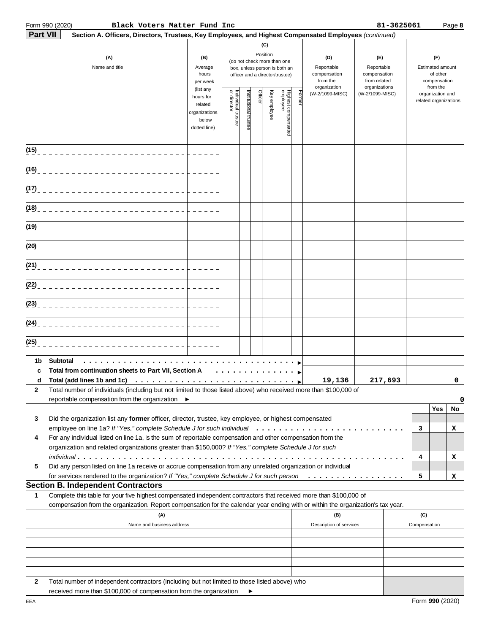# **Part 990 (2020)**

Form 990 (2020) Page **8 Black Voters Matter Fund Inc 81-3625061**

| <b>Part VII</b> | Section A. Officers, Directors, Trustees, Key Employees, and Highest Compensated Employees (continued)                                                                                                                                                 |                                                                                                                                                    |                                   |                      | (C)     |                                                 |       |                                 |                 |                                                             |                                                                 |                                           |         |
|-----------------|--------------------------------------------------------------------------------------------------------------------------------------------------------------------------------------------------------------------------------------------------------|----------------------------------------------------------------------------------------------------------------------------------------------------|-----------------------------------|----------------------|---------|-------------------------------------------------|-------|---------------------------------|-----------------|-------------------------------------------------------------|-----------------------------------------------------------------|-------------------------------------------|---------|
|                 | (A)<br>Name and title                                                                                                                                                                                                                                  | Position<br>(B)<br>(do not check more than one<br>Average<br>box, unless person is both an<br>hours<br>officer and a director/trustee)<br>per week |                                   |                      |         |                                                 |       |                                 |                 | Reportable<br>compensation<br>from related<br>organizations | (F)<br>Estimated amount<br>of other<br>compensation<br>from the |                                           |         |
|                 |                                                                                                                                                                                                                                                        | (list any<br>hours for<br>related<br>organizations<br>below<br>dotted line)                                                                        | Individual trustee<br>or director | nstitutional trustee | Officer | Highest compensated<br>employee<br>Key employee | Forme | organization<br>(W-2/1099-MISC) | (W-2/1099-MISC) |                                                             |                                                                 | organization and<br>related organizations |         |
| (15)            | ____________________________                                                                                                                                                                                                                           |                                                                                                                                                    |                                   |                      |         |                                                 |       |                                 |                 |                                                             |                                                                 |                                           |         |
| (16)            | ____________________________                                                                                                                                                                                                                           |                                                                                                                                                    |                                   |                      |         |                                                 |       |                                 |                 |                                                             |                                                                 |                                           |         |
| (17)            | ____________________________                                                                                                                                                                                                                           |                                                                                                                                                    |                                   |                      |         |                                                 |       |                                 |                 |                                                             |                                                                 |                                           |         |
| (18)            | ____________________________                                                                                                                                                                                                                           |                                                                                                                                                    |                                   |                      |         |                                                 |       |                                 |                 |                                                             |                                                                 |                                           |         |
| (19)            | ____________________________                                                                                                                                                                                                                           |                                                                                                                                                    |                                   |                      |         |                                                 |       |                                 |                 |                                                             |                                                                 |                                           |         |
|                 |                                                                                                                                                                                                                                                        |                                                                                                                                                    |                                   |                      |         |                                                 |       |                                 |                 |                                                             |                                                                 |                                           |         |
|                 |                                                                                                                                                                                                                                                        |                                                                                                                                                    |                                   |                      |         |                                                 |       |                                 |                 |                                                             |                                                                 |                                           |         |
|                 |                                                                                                                                                                                                                                                        |                                                                                                                                                    |                                   |                      |         |                                                 |       |                                 |                 |                                                             |                                                                 |                                           |         |
|                 |                                                                                                                                                                                                                                                        |                                                                                                                                                    |                                   |                      |         |                                                 |       |                                 |                 |                                                             |                                                                 |                                           |         |
| (24)            | ___________________________                                                                                                                                                                                                                            |                                                                                                                                                    |                                   |                      |         |                                                 |       |                                 |                 |                                                             |                                                                 |                                           |         |
| (25)            |                                                                                                                                                                                                                                                        |                                                                                                                                                    |                                   |                      |         |                                                 |       |                                 |                 |                                                             |                                                                 |                                           |         |
| 1b<br>c<br>d    | Subtotal<br>Total from continuation sheets to Part VII, Section A<br>Total (add lines 1b and 1c) $\ldots \ldots \ldots \ldots \ldots \ldots \ldots \ldots \ldots$                                                                                      |                                                                                                                                                    | .                                 |                      |         |                                                 |       | 19,136                          | 217,693         |                                                             |                                                                 |                                           | 0       |
| 2.              | Total number of individuals (including but not limited to those listed above) who received more than \$100,000 of<br>reportable compensation from the organization ▶                                                                                   |                                                                                                                                                    |                                   |                      |         |                                                 |       |                                 |                 |                                                             |                                                                 |                                           | 0       |
| 3               | Did the organization list any former officer, director, trustee, key employee, or highest compensated                                                                                                                                                  |                                                                                                                                                    |                                   |                      |         |                                                 |       |                                 |                 |                                                             | 3                                                               | Yes                                       | No<br>х |
| 4               | For any individual listed on line 1a, is the sum of reportable compensation and other compensation from the<br>organization and related organizations greater than \$150,000? If "Yes," complete Schedule J for such                                   |                                                                                                                                                    |                                   |                      |         |                                                 |       |                                 |                 |                                                             | 4                                                               |                                           | x       |
| 5               | Did any person listed on line 1a receive or accrue compensation from any unrelated organization or individual<br>for services rendered to the organization? If "Yes," complete Schedule J for such person                                              |                                                                                                                                                    |                                   |                      |         |                                                 |       |                                 |                 |                                                             | 5                                                               |                                           | x       |
|                 | <b>Section B. Independent Contractors</b>                                                                                                                                                                                                              |                                                                                                                                                    |                                   |                      |         |                                                 |       |                                 |                 |                                                             |                                                                 |                                           |         |
| 1               | Complete this table for your five highest compensated independent contractors that received more than \$100,000 of<br>compensation from the organization. Report compensation for the calendar year ending with or within the organization's tax year. |                                                                                                                                                    |                                   |                      |         |                                                 |       |                                 |                 |                                                             |                                                                 |                                           |         |
|                 | (A)<br>Name and business address                                                                                                                                                                                                                       |                                                                                                                                                    |                                   |                      |         |                                                 |       | (B)<br>Description of services  |                 |                                                             | (C)<br>Compensation                                             |                                           |         |
|                 |                                                                                                                                                                                                                                                        |                                                                                                                                                    |                                   |                      |         |                                                 |       |                                 |                 |                                                             |                                                                 |                                           |         |
|                 |                                                                                                                                                                                                                                                        |                                                                                                                                                    |                                   |                      |         |                                                 |       |                                 |                 |                                                             |                                                                 |                                           |         |
| 2               | Total number of independent contractors (including but not limited to those listed above) who                                                                                                                                                          |                                                                                                                                                    |                                   |                      |         |                                                 |       |                                 |                 |                                                             |                                                                 |                                           |         |

 $\blacktriangleright$ 

Form **990** (2020)

received more than \$100,000 of compensation from the organization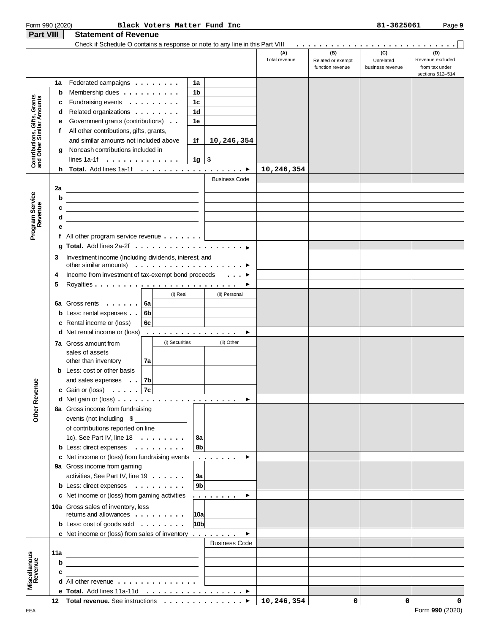| Form 990 (2020)                                                            |     |                                                                                                                      |    |                |                 | Black Voters Matter Fund Inc                                                                                                                       |                      |                                              | 81-3625061                           | Page 9                                                        |
|----------------------------------------------------------------------------|-----|----------------------------------------------------------------------------------------------------------------------|----|----------------|-----------------|----------------------------------------------------------------------------------------------------------------------------------------------------|----------------------|----------------------------------------------|--------------------------------------|---------------------------------------------------------------|
| <b>Part VIII</b>                                                           |     | <b>Statement of Revenue</b>                                                                                          |    |                |                 |                                                                                                                                                    |                      |                                              |                                      |                                                               |
|                                                                            |     | Check if Schedule O contains a response or note to any line in this Part VIII                                        |    |                |                 |                                                                                                                                                    |                      |                                              |                                      |                                                               |
|                                                                            |     |                                                                                                                      |    |                |                 |                                                                                                                                                    | (A)<br>Total revenue | (B)<br>Related or exempt<br>function revenue | (C)<br>Unrelated<br>business revenue | (D)<br>Revenue excluded<br>from tax under<br>sections 512-514 |
|                                                                            | 1a  | Federated campaigns                                                                                                  |    |                | 1a              |                                                                                                                                                    |                      |                                              |                                      |                                                               |
|                                                                            | b   | Membership dues $\dots \dots \dots$                                                                                  |    |                | 1b              |                                                                                                                                                    |                      |                                              |                                      |                                                               |
| Gifts, Grants<br>Contributions, Gifts, Grants<br>and Other Similar Amounts | с   | Fundraising events                                                                                                   |    |                | 1c              |                                                                                                                                                    |                      |                                              |                                      |                                                               |
|                                                                            | d   | Related organizations                                                                                                |    |                | 1d              |                                                                                                                                                    |                      |                                              |                                      |                                                               |
|                                                                            | е   | Government grants (contributions)                                                                                    |    |                | 1е              |                                                                                                                                                    |                      |                                              |                                      |                                                               |
|                                                                            | f   | All other contributions, gifts, grants,                                                                              |    |                |                 |                                                                                                                                                    |                      |                                              |                                      |                                                               |
|                                                                            |     | and similar amounts not included above                                                                               |    |                | 1f              | 10,246,354                                                                                                                                         |                      |                                              |                                      |                                                               |
|                                                                            | g   | Noncash contributions included in                                                                                    |    |                |                 |                                                                                                                                                    |                      |                                              |                                      |                                                               |
|                                                                            |     | lines 1a-1f $\ldots$ , $\ldots$ , $\ldots$ , $\ldots$                                                                |    |                | $1g \mid$ \$    |                                                                                                                                                    |                      |                                              |                                      |                                                               |
|                                                                            | h.  |                                                                                                                      |    |                |                 |                                                                                                                                                    | 10,246,354           |                                              |                                      |                                                               |
|                                                                            |     |                                                                                                                      |    |                |                 | <b>Business Code</b>                                                                                                                               |                      |                                              |                                      |                                                               |
|                                                                            | 2a  |                                                                                                                      |    |                |                 |                                                                                                                                                    |                      |                                              |                                      |                                                               |
|                                                                            | b   |                                                                                                                      |    |                |                 |                                                                                                                                                    |                      |                                              |                                      |                                                               |
|                                                                            | с   |                                                                                                                      |    |                |                 |                                                                                                                                                    |                      |                                              |                                      |                                                               |
|                                                                            | d   |                                                                                                                      |    |                |                 |                                                                                                                                                    |                      |                                              |                                      |                                                               |
| Program Service<br>Revenue                                                 | е   |                                                                                                                      |    |                |                 |                                                                                                                                                    |                      |                                              |                                      |                                                               |
|                                                                            |     | f All other program service revenue $\ldots \ldots$                                                                  |    |                |                 |                                                                                                                                                    |                      |                                              |                                      |                                                               |
|                                                                            |     |                                                                                                                      |    |                |                 |                                                                                                                                                    |                      |                                              |                                      |                                                               |
|                                                                            | 3   | Investment income (including dividends, interest, and<br>other similar amounts) $\ldots \ldots \ldots \ldots \ldots$ |    |                |                 |                                                                                                                                                    |                      |                                              |                                      |                                                               |
|                                                                            | 4   | Income from investment of tax-exempt bond proceeds                                                                   |    |                |                 |                                                                                                                                                    |                      |                                              |                                      |                                                               |
|                                                                            | 5   |                                                                                                                      |    |                |                 |                                                                                                                                                    |                      |                                              |                                      |                                                               |
|                                                                            |     |                                                                                                                      |    | (i) Real       |                 | (ii) Personal                                                                                                                                      |                      |                                              |                                      |                                                               |
|                                                                            | 6a  | Gross rents                                                                                                          | 6a |                |                 |                                                                                                                                                    |                      |                                              |                                      |                                                               |
|                                                                            |     | <b>b</b> Less: rental expenses                                                                                       | 6b |                |                 |                                                                                                                                                    |                      |                                              |                                      |                                                               |
|                                                                            |     | c Rental income or (loss)                                                                                            | 6с |                |                 |                                                                                                                                                    |                      |                                              |                                      |                                                               |
|                                                                            |     | <b>d</b> Net rental income or (loss)                                                                                 |    |                |                 | .<br>▶                                                                                                                                             |                      |                                              |                                      |                                                               |
|                                                                            |     |                                                                                                                      |    | (i) Securities |                 | (ii) Other                                                                                                                                         |                      |                                              |                                      |                                                               |
|                                                                            |     | 7a Gross amount from<br>sales of assets                                                                              |    |                |                 |                                                                                                                                                    |                      |                                              |                                      |                                                               |
|                                                                            |     | other than inventory                                                                                                 | 7a |                |                 |                                                                                                                                                    |                      |                                              |                                      |                                                               |
|                                                                            |     | <b>b</b> Less: cost or other basis                                                                                   |    |                |                 |                                                                                                                                                    |                      |                                              |                                      |                                                               |
|                                                                            |     | and sales expenses 7b                                                                                                |    |                |                 |                                                                                                                                                    |                      |                                              |                                      |                                                               |
|                                                                            |     | <b>c</b> Gain or (loss) $\ldots$ 7 <b>c</b>                                                                          |    |                |                 |                                                                                                                                                    |                      |                                              |                                      |                                                               |
|                                                                            |     |                                                                                                                      |    |                |                 | ▶                                                                                                                                                  |                      |                                              |                                      |                                                               |
| <b>Other Revenue</b>                                                       |     | 8a Gross income from fundraising                                                                                     |    |                |                 |                                                                                                                                                    |                      |                                              |                                      |                                                               |
|                                                                            |     | events (not including \$                                                                                             |    |                |                 |                                                                                                                                                    |                      |                                              |                                      |                                                               |
|                                                                            |     | of contributions reported on line                                                                                    |    |                |                 |                                                                                                                                                    |                      |                                              |                                      |                                                               |
|                                                                            |     | 1c). See Part IV, line $18 \ldots \ldots$                                                                            |    |                | 8a              |                                                                                                                                                    |                      |                                              |                                      |                                                               |
|                                                                            |     | <b>b</b> Less: direct expenses                                                                                       |    |                | 8b              |                                                                                                                                                    |                      |                                              |                                      |                                                               |
|                                                                            |     | c Net income or (loss) from fundraising events                                                                       |    |                |                 | $\begin{array}{cccccccccccccc} \bullet & \bullet & \bullet & \bullet & \bullet & \bullet & \bullet & \bullet & \bullet & \bullet \end{array}$<br>▸ |                      |                                              |                                      |                                                               |
|                                                                            |     | 9a Gross income from gaming                                                                                          |    |                |                 |                                                                                                                                                    |                      |                                              |                                      |                                                               |
|                                                                            |     | activities, See Part IV, line 19                                                                                     |    |                | 9a              |                                                                                                                                                    |                      |                                              |                                      |                                                               |
|                                                                            |     | <b>b</b> Less: direct expenses                                                                                       |    |                | 9 <sub>b</sub>  |                                                                                                                                                    |                      |                                              |                                      |                                                               |
|                                                                            |     | c Net income or (loss) from gaming activities                                                                        |    |                |                 | .<br>▶                                                                                                                                             |                      |                                              |                                      |                                                               |
|                                                                            |     | 10a Gross sales of inventory, less                                                                                   |    |                |                 |                                                                                                                                                    |                      |                                              |                                      |                                                               |
|                                                                            |     | returns and allowances                                                                                               |    |                | 10a             |                                                                                                                                                    |                      |                                              |                                      |                                                               |
|                                                                            |     | <b>b</b> Less: $cost$ of goods sold $\ldots \ldots \ldots$                                                           |    |                | 10 <sub>b</sub> |                                                                                                                                                    |                      |                                              |                                      |                                                               |
|                                                                            |     | <b>c</b> Net income or (loss) from sales of inventory $\dots \dots$                                                  |    |                |                 | ▶                                                                                                                                                  |                      |                                              |                                      |                                                               |
|                                                                            |     |                                                                                                                      |    |                |                 | <b>Business Code</b>                                                                                                                               |                      |                                              |                                      |                                                               |
| <b>Miscellanous</b><br>Revenue                                             | 11a | <u> 1989 - Johann Barn, fransk politik (d. 1989)</u>                                                                 |    |                |                 |                                                                                                                                                    |                      |                                              |                                      |                                                               |
|                                                                            | b   |                                                                                                                      |    |                |                 |                                                                                                                                                    |                      |                                              |                                      |                                                               |
|                                                                            | c   | <u> 1980 - Andrea Station, professor et al. (</u>                                                                    |    |                |                 |                                                                                                                                                    |                      |                                              |                                      |                                                               |
|                                                                            |     | <b>d</b> All other revenue $\ldots$ , $\ldots$ , $\ldots$ , $\ldots$                                                 |    |                |                 |                                                                                                                                                    |                      |                                              |                                      |                                                               |
|                                                                            |     |                                                                                                                      |    |                |                 |                                                                                                                                                    |                      |                                              |                                      |                                                               |
|                                                                            |     | 12 Total revenue. See instructions   10, 246, 354                                                                    |    |                |                 |                                                                                                                                                    |                      | 0                                            | 0                                    | 0                                                             |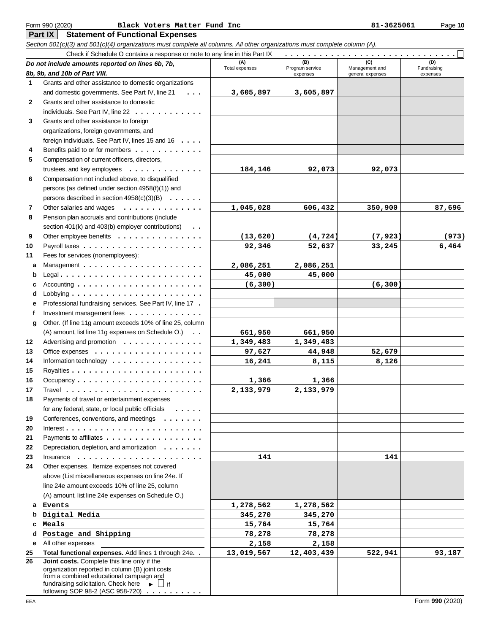**Part IX Statement of Functional Expenses**

Section 501(c)(3) and 501(c)(4) organizations must complete all columns. All other organizations must complete column (A).

|              | Check if Schedule O contains a response or note to any line in this Part IX                 |                       |                        |                  |                    |  |  |  |  |  |  |
|--------------|---------------------------------------------------------------------------------------------|-----------------------|------------------------|------------------|--------------------|--|--|--|--|--|--|
|              | Do not include amounts reported on lines 6b, 7b,                                            | (A)<br>Total expenses | (B)<br>Program service | Management and   | (D)<br>Fundraising |  |  |  |  |  |  |
|              | 8b, 9b, and 10b of Part VIII.                                                               |                       | expenses               | general expenses | expenses           |  |  |  |  |  |  |
| 1            | Grants and other assistance to domestic organizations                                       |                       |                        |                  |                    |  |  |  |  |  |  |
|              | and domestic governments. See Part IV, line 21<br>.                                         | 3,605,897             | 3,605,897              |                  |                    |  |  |  |  |  |  |
| $\mathbf{2}$ | Grants and other assistance to domestic                                                     |                       |                        |                  |                    |  |  |  |  |  |  |
|              | individuals. See Part IV, line $22 \ldots \ldots$                                           |                       |                        |                  |                    |  |  |  |  |  |  |
| 3            | Grants and other assistance to foreign                                                      |                       |                        |                  |                    |  |  |  |  |  |  |
|              | organizations, foreign governments, and                                                     |                       |                        |                  |                    |  |  |  |  |  |  |
|              | foreign individuals. See Part IV, lines 15 and 16                                           |                       |                        |                  |                    |  |  |  |  |  |  |
| 4            | Benefits paid to or for members                                                             |                       |                        |                  |                    |  |  |  |  |  |  |
| 5            | Compensation of current officers, directors,                                                |                       |                        |                  |                    |  |  |  |  |  |  |
|              | trustees, and key employees<br>.                                                            | 184,146               | 92,073                 | 92,073           |                    |  |  |  |  |  |  |
| 6            | Compensation not included above, to disqualified                                            |                       |                        |                  |                    |  |  |  |  |  |  |
|              | persons (as defined under section 4958(f)(1)) and                                           |                       |                        |                  |                    |  |  |  |  |  |  |
|              | persons described in section $4958(c)(3)(B) \ldots \ldots$                                  |                       |                        |                  |                    |  |  |  |  |  |  |
| 7            | Other salaries and wages<br>.                                                               | 1,045,028             | 606,432                | 350,900          | 87,696             |  |  |  |  |  |  |
| 8            | Pension plan accruals and contributions (include                                            |                       |                        |                  |                    |  |  |  |  |  |  |
|              | section 401(k) and 403(b) employer contributions)<br>$\ddot{\phantom{0}}$                   |                       |                        |                  |                    |  |  |  |  |  |  |
| 9            | Other employee benefits                                                                     | (13, 620)             | (4, 724)               | (7, 923)         | (973)              |  |  |  |  |  |  |
| 10           |                                                                                             | 92,346                | 52,637                 | 33,245           | 6,464              |  |  |  |  |  |  |
| 11           | Fees for services (nonemployees):                                                           |                       |                        |                  |                    |  |  |  |  |  |  |
| a            |                                                                                             | 2,086,251             | 2,086,251              |                  |                    |  |  |  |  |  |  |
| b            |                                                                                             | 45,000                | 45,000                 |                  |                    |  |  |  |  |  |  |
| с            | Accounting $\ldots \ldots \ldots \ldots \ldots \ldots$                                      | (6, 300)              |                        | (6, 300)         |                    |  |  |  |  |  |  |
| d            |                                                                                             |                       |                        |                  |                    |  |  |  |  |  |  |
| e            | Professional fundraising services. See Part IV, line 17 .                                   |                       |                        |                  |                    |  |  |  |  |  |  |
| f            | Investment management fees $\dots \dots \dots \dots$                                        |                       |                        |                  |                    |  |  |  |  |  |  |
| q            | Other. (If line 11g amount exceeds 10% of line 25, column                                   |                       |                        |                  |                    |  |  |  |  |  |  |
|              | (A) amount, list line 11g expenses on Schedule O.)                                          | 661,950               | 661,950                |                  |                    |  |  |  |  |  |  |
| 12           | Advertising and promotion                                                                   | 1,349,483             | 1,349,483              |                  |                    |  |  |  |  |  |  |
| 13           |                                                                                             | 97,627                | 44,948                 | 52,679           |                    |  |  |  |  |  |  |
| 14           | Information technology                                                                      | 16,241                | 8,115                  | 8,126            |                    |  |  |  |  |  |  |
| 15           |                                                                                             |                       |                        |                  |                    |  |  |  |  |  |  |
| 16           |                                                                                             | 1,366                 | 1,366                  |                  |                    |  |  |  |  |  |  |
| 17           |                                                                                             | 2,133,979             | 2,133,979              |                  |                    |  |  |  |  |  |  |
| 18           | Payments of travel or entertainment expenses                                                |                       |                        |                  |                    |  |  |  |  |  |  |
|              | for any federal, state, or local public officials                                           |                       |                        |                  |                    |  |  |  |  |  |  |
| 19           | Conferences, conventions, and meetings                                                      |                       |                        |                  |                    |  |  |  |  |  |  |
| 20           |                                                                                             |                       |                        |                  |                    |  |  |  |  |  |  |
| 21           | Payments to affiliates                                                                      |                       |                        |                  |                    |  |  |  |  |  |  |
| 22           | Depreciation, depletion, and amortization                                                   |                       |                        |                  |                    |  |  |  |  |  |  |
| 23           | Insquare:                                                                                   | 141                   |                        | 141              |                    |  |  |  |  |  |  |
| 24           | Other expenses. Itemize expenses not covered                                                |                       |                        |                  |                    |  |  |  |  |  |  |
|              | above (List miscellaneous expenses on line 24e. If                                          |                       |                        |                  |                    |  |  |  |  |  |  |
|              | line 24e amount exceeds 10% of line 25, column                                              |                       |                        |                  |                    |  |  |  |  |  |  |
|              | (A) amount, list line 24e expenses on Schedule O.)                                          |                       |                        |                  |                    |  |  |  |  |  |  |
| a            | Events                                                                                      | 1,278,562             | 1,278,562              |                  |                    |  |  |  |  |  |  |
| b            | Digital Media                                                                               | 345,270               | 345,270                |                  |                    |  |  |  |  |  |  |
| c            | Meals                                                                                       | 15,764                | 15,764                 |                  |                    |  |  |  |  |  |  |
| d            | Postage and Shipping                                                                        | 78,278                | 78,278                 |                  |                    |  |  |  |  |  |  |
| е            | All other expenses                                                                          | 2,158                 | 2,158                  |                  |                    |  |  |  |  |  |  |
| 25           | Total functional expenses. Add lines 1 through 24e. .                                       | 13,019,567            | 12,403,439             | 522,941          | 93,187             |  |  |  |  |  |  |
| 26           | Joint costs. Complete this line only if the                                                 |                       |                        |                  |                    |  |  |  |  |  |  |
|              | organization reported in column (B) joint costs<br>from a combined educational campaign and |                       |                        |                  |                    |  |  |  |  |  |  |
|              | fundraising solicitation. Check here $\longrightarrow$ $\Box$ if                            |                       |                        |                  |                    |  |  |  |  |  |  |
|              | following SOP 98-2 (ASC 958-720)                                                            |                       |                        |                  |                    |  |  |  |  |  |  |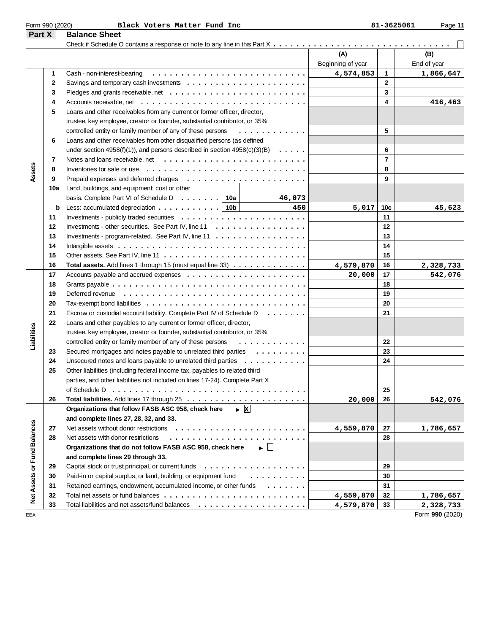|                             | Form 990 (2020) | Black Voters Matter Fund Inc                                                                     |                   | 81-3625061     | Page 11     |
|-----------------------------|-----------------|--------------------------------------------------------------------------------------------------|-------------------|----------------|-------------|
| Part X                      |                 | <b>Balance Sheet</b>                                                                             |                   |                |             |
|                             |                 |                                                                                                  |                   |                |             |
|                             |                 |                                                                                                  | (A)               |                | (B)         |
|                             |                 |                                                                                                  | Beginning of year |                | End of year |
|                             | 1               | Cash - non-interest-bearing                                                                      | 4,574,853         | 1              | 1,866,647   |
|                             | 2               | Savings and temporary cash investments $\dots \dots \dots \dots \dots \dots \dots \dots$         |                   | $\mathbf{2}$   |             |
|                             | 3               |                                                                                                  |                   | 3              |             |
|                             | 4               |                                                                                                  |                   | 4              | 416,463     |
|                             | 5               | Loans and other receivables from any current or former officer, director,                        |                   |                |             |
|                             |                 | trustee, key employee, creator or founder, substantial contributor, or 35%                       |                   |                |             |
|                             |                 | controlled entity or family member of any of these persons<br>.                                  |                   | 5              |             |
|                             | 6               | Loans and other receivables from other disqualified persons (as defined                          |                   |                |             |
|                             |                 | under section 4958(f)(1)), and persons described in section $4958(c)(3)(B) \ldots \ldots$        |                   | 6              |             |
|                             | 7               | Notes and loans receivable, net $\ldots \ldots \ldots \ldots \ldots \ldots \ldots \ldots \ldots$ |                   | $\overline{7}$ |             |
|                             | 8               | Inventories for sale or use $\ldots \ldots \ldots \ldots \ldots \ldots \ldots \ldots \ldots$     |                   | 8              |             |
| Assets                      | 9               |                                                                                                  |                   | 9              |             |
|                             | 10a             | Land, buildings, and equipment: cost or other                                                    |                   |                |             |
|                             |                 | basis. Complete Part VI of Schedule D   10a  <br>46,073                                          |                   |                |             |
|                             | b               | Less: accumulated depreciation $\ldots \ldots \ldots \ldots$   10b  <br>450                      | 5,017             | 10c            | 45,623      |
|                             | 11              |                                                                                                  |                   | 11             |             |
|                             | 12              | Investments - other securities. See Part IV, line 11                                             |                   | 12             |             |
|                             | 13              | Investments - program-related. See Part IV, line 11                                              |                   | 13             |             |
|                             | 14              |                                                                                                  |                   | 14             |             |
|                             | 15              |                                                                                                  |                   | 15             |             |
|                             | 16              | <b>Total assets.</b> Add lines 1 through 15 (must equal line 33) $\dots \dots \dots \dots \dots$ | 4,579,870         | 16             | 2,328,733   |
|                             | 17              | Accounts payable and accrued expenses $\ldots \ldots \ldots \ldots \ldots \ldots \ldots$         | 20,000            | 17             | 542,076     |
|                             | 18              | Grants payable $\ldots \ldots \ldots \ldots \ldots \ldots \ldots \ldots \ldots \ldots \ldots$    |                   | 18             |             |
|                             | 19              |                                                                                                  |                   | 19             |             |
|                             | 20              |                                                                                                  |                   | 20             |             |
|                             | 21              | Escrow or custodial account liability. Complete Part IV of Schedule D                            |                   | 21             |             |
|                             | 22              | Loans and other payables to any current or former officer, director,                             |                   |                |             |
|                             |                 | trustee, key employee, creator or founder, substantial contributor, or 35%                       |                   |                |             |
| Liabilities                 |                 | controlled entity or family member of any of these persons<br>.                                  |                   | 22             |             |
|                             | 23              | Secured mortgages and notes payable to unrelated third parties                                   |                   | 23             |             |
|                             | 24              | Unsecured notes and loans payable to unrelated third parties                                     |                   | 24             |             |
|                             | 25              | Other liabilities (including federal income tax, payables to related third                       |                   |                |             |
|                             |                 | parties, and other liabilities not included on lines 17-24). Complete Part X                     |                   |                |             |
|                             |                 | of Schedule D                                                                                    |                   | 25             |             |
|                             | 26              |                                                                                                  | 20,000            | 26             | 542,076     |
|                             |                 | $\triangleright$ X<br>Organizations that follow FASB ASC 958, check here                         |                   |                |             |
|                             |                 | and complete lines 27, 28, 32, and 33.                                                           |                   |                |             |
|                             | 27              |                                                                                                  | 4,559,870         | 27             | 1,786,657   |
|                             | 28              | Net assets with donor restrictions                                                               |                   | 28             |             |
|                             |                 | Organizations that do not follow FASB ASC 958, check here<br>$\blacktriangleright$ $\perp$       |                   |                |             |
|                             |                 | and complete lines 29 through 33.                                                                |                   |                |             |
|                             | 29              | Capital stock or trust principal, or current funds                                               |                   | 29             |             |
|                             | 30              | Paid-in or capital surplus, or land, building, or equipment fund<br>.                            |                   | 30             |             |
| Net Assets or Fund Balances | 31              | Retained earnings, endowment, accumulated income, or other funds<br>$\cdots$                     |                   | 31             |             |
|                             | 32              |                                                                                                  | 4,559,870         | 32             | 1,786,657   |
|                             | 33              |                                                                                                  | 4,579,870         | 33             | 2,328,733   |

EEA Form **990** (2020)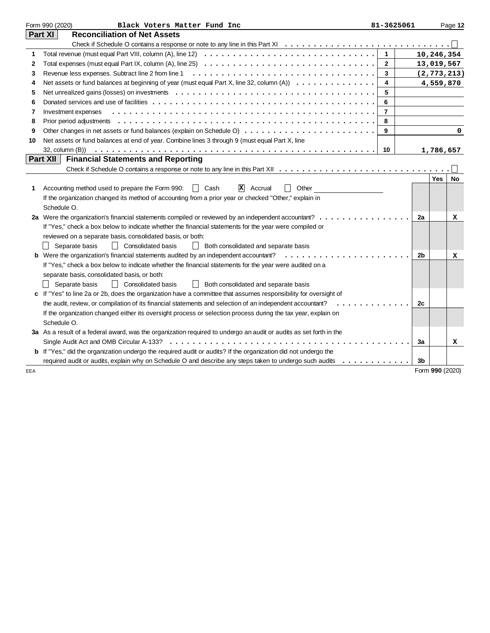|     | Form 990 (2020)<br>Black Voters Matter Fund Inc                                                                                                                                                                                                                      | 81-3625061     |                 |     | Page 12       |
|-----|----------------------------------------------------------------------------------------------------------------------------------------------------------------------------------------------------------------------------------------------------------------------|----------------|-----------------|-----|---------------|
|     | Part XI<br><b>Reconciliation of Net Assets</b>                                                                                                                                                                                                                       |                |                 |     |               |
|     |                                                                                                                                                                                                                                                                      |                |                 |     |               |
| 1   |                                                                                                                                                                                                                                                                      | $\mathbf{1}$   |                 |     | 10,246,354    |
| 2   |                                                                                                                                                                                                                                                                      | $\mathbf{2}$   |                 |     | 13,019,567    |
| 3   |                                                                                                                                                                                                                                                                      | 3              |                 |     | (2, 773, 213) |
| 4   | Net assets or fund balances at beginning of year (must equal Part X, line 32, column (A)) $\dots \dots \dots \dots$                                                                                                                                                  | 4              |                 |     | 4,559,870     |
| 5   |                                                                                                                                                                                                                                                                      | 5              |                 |     |               |
| 6   |                                                                                                                                                                                                                                                                      | 6              |                 |     |               |
| 7   | Investment expenses                                                                                                                                                                                                                                                  | $\overline{7}$ |                 |     |               |
| 8   |                                                                                                                                                                                                                                                                      | 8              |                 |     |               |
| 9   |                                                                                                                                                                                                                                                                      | 9              |                 |     | 0             |
| 10  | Net assets or fund balances at end of year. Combine lines 3 through 9 (must equal Part X, line                                                                                                                                                                       |                |                 |     |               |
|     | 32, column (B))                                                                                                                                                                                                                                                      | 10             |                 |     | 1,786,657     |
|     | Part XII<br><b>Financial Statements and Reporting</b>                                                                                                                                                                                                                |                |                 |     |               |
|     |                                                                                                                                                                                                                                                                      |                |                 |     |               |
|     |                                                                                                                                                                                                                                                                      |                |                 | Yes | No            |
| 1   | $\vert x \vert$ Accrual<br>Accounting method used to prepare the Form 990:<br>Other<br>II Cash                                                                                                                                                                       |                |                 |     |               |
|     | If the organization changed its method of accounting from a prior year or checked "Other," explain in                                                                                                                                                                |                |                 |     |               |
|     | Schedule O.                                                                                                                                                                                                                                                          |                |                 |     |               |
|     | 2a Were the organization's financial statements compiled or reviewed by an independent accountant?                                                                                                                                                                   |                | 2a              |     | x             |
|     | If "Yes," check a box below to indicate whether the financial statements for the year were compiled or                                                                                                                                                               |                |                 |     |               |
|     | reviewed on a separate basis, consolidated basis, or both:                                                                                                                                                                                                           |                |                 |     |               |
|     | <b>Consolidated basis</b><br>Separate basis<br>$\Box$<br>$\perp$<br>Both consolidated and separate basis                                                                                                                                                             |                |                 |     |               |
|     | <b>b</b> Were the organization's financial statements audited by an independent accountant?<br>.                                                                                                                                                                     |                | 2 <sub>b</sub>  |     | x             |
|     | If "Yes," check a box below to indicate whether the financial statements for the year were audited on a                                                                                                                                                              |                |                 |     |               |
|     | separate basis, consolidated basis, or both:                                                                                                                                                                                                                         |                |                 |     |               |
|     | $\perp$<br><b>Consolidated basis</b><br>Both consolidated and separate basis<br>Separate basis<br>$\perp$                                                                                                                                                            |                |                 |     |               |
|     | c If "Yes" to line 2a or 2b, does the organization have a committee that assumes responsibility for oversight of                                                                                                                                                     |                |                 |     |               |
|     | the audit, review, or compilation of its financial statements and selection of an independent accountant?<br>$\begin{array}{cccccccccccccc} \bullet & \bullet & \bullet & \bullet & \bullet & \bullet & \bullet & \bullet & \bullet & \bullet & \bullet \end{array}$ |                | 2c              |     |               |
|     | If the organization changed either its oversight process or selection process during the tax year, explain on                                                                                                                                                        |                |                 |     |               |
|     | Schedule O.                                                                                                                                                                                                                                                          |                |                 |     |               |
|     | 3a As a result of a federal award, was the organization required to undergo an audit or audits as set forth in the                                                                                                                                                   |                |                 |     |               |
|     | Single Audit Act and OMB Circular A-133?                                                                                                                                                                                                                             |                | 3a              |     | x             |
|     | <b>b</b> If "Yes," did the organization undergo the required audit or audits? If the organization did not undergo the                                                                                                                                                |                |                 |     |               |
|     | required audit or audits, explain why on Schedule O and describe any steps taken to undergo such audits<br>.                                                                                                                                                         |                | 3 <sub>b</sub>  |     |               |
| EEA |                                                                                                                                                                                                                                                                      |                | Form 990 (2020) |     |               |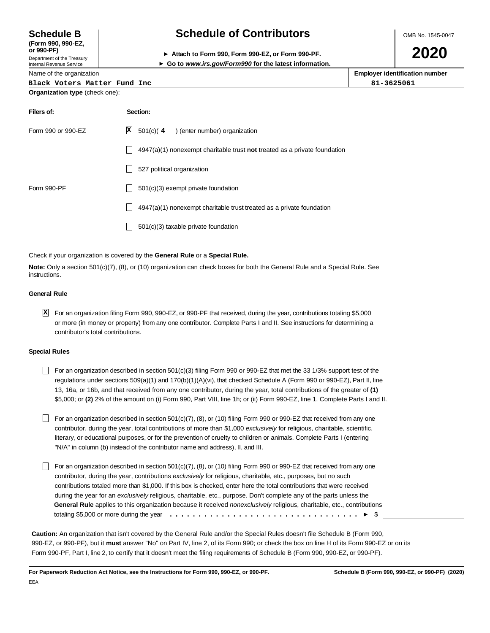**(Form 990, 990-EZ,**

Internal Revenue Service

# **Schedule B Schedule of Contributors**

OMB No. 1545-0047

| or 990-PF)                 | Attach to Form 990. Form 990-EZ, or Form 990-PF.        |
|----------------------------|---------------------------------------------------------|
| Department of the Treasury |                                                         |
| Internal Revenue Service   | ► Go to www.irs.gov/Form990 for the latest information. |

# **2020**

| Name of the organization              | <b>Employer identification number</b> |  |  |
|---------------------------------------|---------------------------------------|--|--|
| Black Voters Matter Fund Inc          | 81-3625061                            |  |  |
| <b>Organization type</b> (check one): |                                       |  |  |

| Filers of:         | Section:                                                                    |
|--------------------|-----------------------------------------------------------------------------|
| Form 990 or 990-EZ | $ \mathbf{X} $ 501(c)(4) (enter number) organization                        |
|                    | $4947(a)(1)$ nonexempt charitable trust not treated as a private foundation |
|                    | 527 political organization                                                  |
| Form 990-PF        | $501(c)(3)$ exempt private foundation                                       |
|                    | 4947(a)(1) nonexempt charitable trust treated as a private foundation       |
|                    | 501(c)(3) taxable private foundation                                        |
|                    |                                                                             |

#### Check if your organization is covered by the **General Rule** or a **Special Rule.**

**Note:** Only a section 501(c)(7), (8), or (10) organization can check boxes for both the General Rule and a Special Rule. See instructions.

#### **General Rule**

For an organization filing Form 990, 990-EZ, or 990-PF that received, during the year, contributions totaling \$5,000 **X**or more (in money or property) from any one contributor. Complete Parts I and II. See instructions for determining a contributor's total contributions.

#### **Special Rules**

- For an organization described in section  $501(c)(3)$  filing Form 990 or 990-EZ that met the 33 1/3% support test of the regulations under sections 509(a)(1) and 170(b)(1)(A)(vi), that checked Schedule A (Form 990 or 990-EZ), Part II, line 13, 16a, or 16b, and that received from any one contributor, during the year, total contributions of the greater of **(1)** \$5,000; or **(2)** 2% of the amount on (i) Form 990, Part VIII, line 1h; or (ii) Form 990-EZ, line 1. Complete Parts I and II.
- For an organization described in section 501(c)(7),  $(8)$ , or (10) filing Form 990 or 990-EZ that received from any one contributor, during the year, total contributions of more than \$1,000 exclusively for religious, charitable, scientific, literary, or educational purposes, or for the prevention of cruelty to children or animals. Complete Parts I (entering "N/A" in column (b) instead of the contributor name and address), II, and III.
- For an organization described in section 501(c)(7),  $(8)$ , or (10) filing Form 990 or 990-EZ that received from any one contributor, during the year, contributions exclusively for religious, charitable, etc., purposes, but no such contributions totaled more than \$1,000. If this box is checked, enter here the total contributions that were received during the year for an exclusively religious, charitable, etc., purpose. Don't complete any of the parts unless the **General Rule** applies to this organization because it received nonexclusively religious, charitable, etc., contributions totaling \$5,000 or more during the year \$ .................................

**Caution:** An organization that isn't covered by the General Rule and/or the Special Rules doesn't file Schedule B (Form 990, 990-EZ, or 990-PF), but it **must** answer "No" on Part IV, line 2, of its Form 990; or check the box on line H of its Form 990-EZ or on its Form 990-PF, Part I, line 2, to certify that it doesn't meet the filing requirements of Schedule B (Form 990, 990-EZ, or 990-PF).

**For Paperwork Reduction Act Notice, see the Instructions for Form 990, 990-EZ, or 990-PF. Schedule B (Form 990, 990-EZ, or 990-PF) (2020)**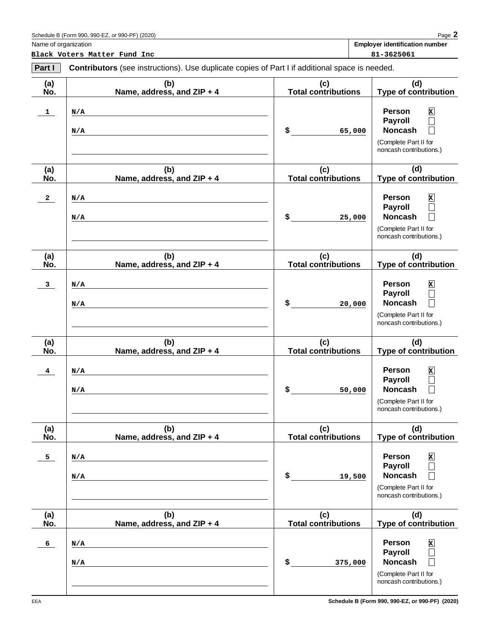| Part I                  | <b>Contributors</b> (see instructions). Use duplicate copies of Part I if additional space is needed. |                                   |                                                                                                                                                      |
|-------------------------|-------------------------------------------------------------------------------------------------------|-----------------------------------|------------------------------------------------------------------------------------------------------------------------------------------------------|
| (a)<br>No.              | (b)<br>Name, address, and ZIP + 4                                                                     | (c)<br><b>Total contributions</b> | (d)<br><b>Type of contribution</b>                                                                                                                   |
| $\mathbf{1}$            | N/A<br>N/A                                                                                            | \$<br>65,000                      | <b>Person</b><br>x<br><b>Payroll</b><br>$\Box$<br><b>Noncash</b><br>$\Box$<br>(Complete Part II for<br>noncash contributions.)                       |
| (a)<br>No.              | (b)<br>Name, address, and ZIP + 4                                                                     | (c)<br><b>Total contributions</b> | (d)<br>Type of contribution                                                                                                                          |
| $\mathbf{2}$            | N/A<br>N/A                                                                                            | \$<br>25,000                      | <b>Person</b><br>x<br>Payroll<br>$\Box$<br><b>Noncash</b><br>$\Box$<br>(Complete Part II for<br>noncash contributions.)                              |
| (a)<br>No.              | (b)<br>Name, address, and ZIP + 4                                                                     | (c)<br><b>Total contributions</b> | (d)<br><b>Type of contribution</b>                                                                                                                   |
| 3 <sub>z</sub>          | N/A<br>N/A                                                                                            | \$<br>20,000                      | <b>Person</b><br>x<br>Payroll<br>$\Box$<br><b>Noncash</b><br>$\Box$<br>(Complete Part II for<br>noncash contributions.)                              |
| (a)<br>No.              | (b)<br>Name, address, and ZIP + 4                                                                     | (c)<br><b>Total contributions</b> | (d)<br><b>Type of contribution</b>                                                                                                                   |
| $\overline{\mathbf{4}}$ | N/A<br>N/A                                                                                            | \$<br>50,000                      | <b>Person</b><br>x<br>Payroll<br>$\Box$<br><b>Noncash</b><br>$\Box$<br>(Complete Part II for<br>noncash contributions.)                              |
| (a)<br>No.              | (b)<br>Name, address, and ZIP + 4                                                                     | (c)<br><b>Total contributions</b> | (d)<br><b>Type of contribution</b>                                                                                                                   |
| 5 <sub>1</sub>          | N/A<br>N/A                                                                                            | \$<br>19,500                      | <b>Person</b><br>x<br><b>Payroll</b><br>Π<br><b>Noncash</b><br>(Complete Part II for<br>noncash contributions.)                                      |
| (a)<br>No.              | (b)<br>Name, address, and ZIP + 4                                                                     | (c)<br><b>Total contributions</b> | (d)<br>Type of contribution                                                                                                                          |
| 6 <sup>1</sup>          | N/A<br>N/A                                                                                            | \$<br>375,000                     | <b>Person</b><br>$\mathbf{x}$<br><b>Payroll</b><br>$\Box$<br><b>Noncash</b><br>$\vert \ \ \vert$<br>(Complete Part II for<br>noncash contributions.) |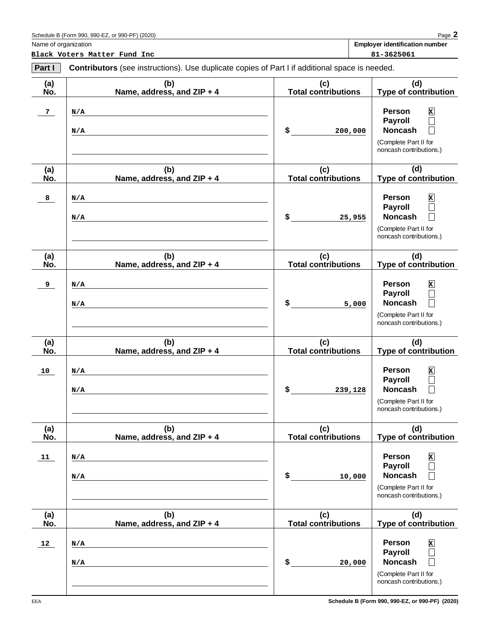Name of organization **Employer identification number**

| Part I     | <b>Contributors</b> (see instructions). Use duplicate copies of Part I if additional space is needed. |                                   |                                                                                                                                           |  |
|------------|-------------------------------------------------------------------------------------------------------|-----------------------------------|-------------------------------------------------------------------------------------------------------------------------------------------|--|
| (a)<br>No. | (b)<br>Name, address, and ZIP + 4                                                                     | (c)<br><b>Total contributions</b> | (d)<br><b>Type of contribution</b>                                                                                                        |  |
| 7          | N/A<br>N/A                                                                                            | $\sim$<br>200,000                 | Person<br>$\mathbf{x}$<br><b>Payroll</b><br>$\Box$<br><b>Noncash</b><br>$\Box$<br>(Complete Part II for<br>noncash contributions.)        |  |
| (a)<br>No. | (b)<br>Name, address, and ZIP + 4                                                                     | (c)<br><b>Total contributions</b> | (d)<br>Type of contribution                                                                                                               |  |
| 8          | N/A<br>N/A                                                                                            | $\sim$<br>25,955                  | Person<br>$\mathbf{x}$<br><b>Payroll</b><br>$\Box$<br><b>Noncash</b><br>$\Box$<br>(Complete Part II for<br>noncash contributions.)        |  |
| (a)<br>No. | (b)<br>Name, address, and ZIP + 4                                                                     | (c)<br><b>Total contributions</b> | (d)<br><b>Type of contribution</b>                                                                                                        |  |
| 9          | N/A<br>N/A                                                                                            | \$<br>5,000                       | Person<br>$\mathbf{x}$<br>$\Box$<br><b>Payroll</b><br><b>Noncash</b><br>$\Box$<br>(Complete Part II for<br>noncash contributions.)        |  |
| (a)<br>No. | (b)<br>Name, address, and ZIP + 4                                                                     | (c)<br><b>Total contributions</b> | (d)<br><b>Type of contribution</b>                                                                                                        |  |
| 10         | N/A<br>N/A                                                                                            | $\sim$<br>239,128                 | Person<br>$\mathbf{x}$<br><b>Payroll</b><br>$\Box$<br><b>Noncash</b><br>$\Box$<br>(Complete Part II for<br>noncash contributions.)        |  |
| (a)<br>No. | (b)<br>Name, address, and ZIP + 4                                                                     | (c)<br><b>Total contributions</b> | (d)<br><b>Type of contribution</b>                                                                                                        |  |
| 11         | N/A<br>N/A                                                                                            | \$<br>10,000                      | <b>Person</b><br>$\mathbf{x}$<br><b>Payroll</b><br><b>Noncash</b><br>П<br>(Complete Part II for<br>noncash contributions.)                |  |
| (a)<br>No. | (b)<br>Name, address, and ZIP + 4                                                                     | (c)<br><b>Total contributions</b> | (d)<br><b>Type of contribution</b>                                                                                                        |  |
| 12         | N/A<br>N/A                                                                                            | \$<br>20,000                      | <b>Person</b><br>$\mathbf{x}$<br><b>Payroll</b><br>$\Box$<br><b>Noncash</b><br>$\Box$<br>(Complete Part II for<br>noncash contributions.) |  |

**Schedule B (Form 990, 990-EZ, or 990-PF) (2020)**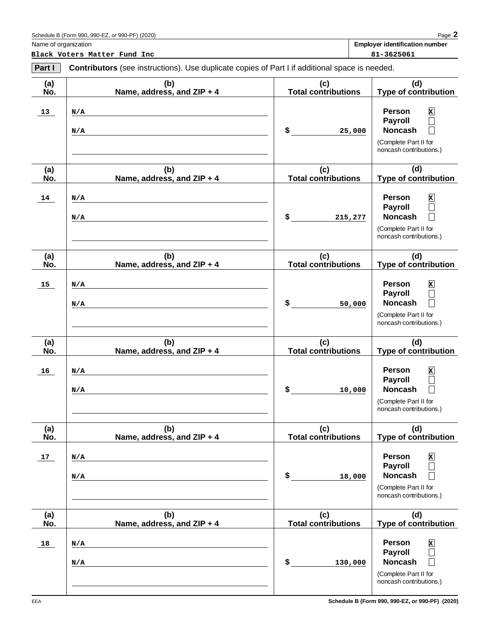Name of organization **Employer identification number**

| Part I     | <b>Contributors</b> (see instructions). Use duplicate copies of Part I if additional space is needed. |                                   |                                                                                                                                                                   |  |
|------------|-------------------------------------------------------------------------------------------------------|-----------------------------------|-------------------------------------------------------------------------------------------------------------------------------------------------------------------|--|
| (a)<br>No. | (b)<br>Name, address, and ZIP + 4                                                                     | (c)<br><b>Total contributions</b> | (d)<br><b>Type of contribution</b>                                                                                                                                |  |
| 13         | N/A<br>N/A                                                                                            | $\sim$<br>25,000                  | <b>Person</b><br>$\mathbf{x}$<br><b>Payroll</b><br>$\Box$<br><b>Noncash</b><br>$\Box$<br>(Complete Part II for<br>noncash contributions.)                         |  |
| (a)<br>No. | (b)<br>Name, address, and ZIP + 4                                                                     | (c)<br><b>Total contributions</b> | (d)<br><b>Type of contribution</b>                                                                                                                                |  |
| 14         | N/A<br>N/A                                                                                            | $\sim$<br>215,277                 | <b>Person</b><br>$\mathbf{x}$<br><b>Payroll</b><br>$\Box$<br><b>Noncash</b><br>$\vert \ \ \vert$<br>(Complete Part II for<br>noncash contributions.)              |  |
| (a)<br>No. | (b)<br>Name, address, and ZIP + 4                                                                     | (c)<br><b>Total contributions</b> | (d)<br><b>Type of contribution</b>                                                                                                                                |  |
| 15         | N/A<br>N/A                                                                                            | $\sim$<br>50,000                  | <b>Person</b><br>$\mathbf{x}$<br><b>Payroll</b><br>$\Box$<br><b>Noncash</b><br>$\Box$<br>(Complete Part II for<br>noncash contributions.)                         |  |
| (a)<br>No. | (b)<br>Name, address, and ZIP + 4                                                                     | (c)<br><b>Total contributions</b> | (d)<br><b>Type of contribution</b>                                                                                                                                |  |
| 16         | N/A<br>N/A                                                                                            | \$<br>10,000                      | <b>Person</b><br>$\mathbf{x}$<br><b>Payroll</b><br>$\Box$<br><b>Noncash</b><br>$\Box$<br>(Complete Part II for<br>noncash contributions.)                         |  |
| (a)<br>No. | (b)<br>Name, address, and ZIP + 4                                                                     | (c)<br><b>Total contributions</b> | (d)<br><b>Type of contribution</b>                                                                                                                                |  |
| 17         | N/A<br>N/A                                                                                            | \$<br>18,000                      | Person<br>$\mathbf{x}$<br><b>Payroll</b><br>$\overline{\phantom{0}}$<br><b>Noncash</b><br>(Complete Part II for<br>noncash contributions.)                        |  |
| (a)<br>No. | (b)<br>Name, address, and ZIP + 4                                                                     | (c)<br><b>Total contributions</b> | (d)<br>Type of contribution                                                                                                                                       |  |
| <b>18</b>  | N/A<br>N/A                                                                                            | \$<br>130,000                     | <b>Person</b><br>$\mathbf{x}$<br><b>Payroll</b><br>$\overline{\phantom{0}}$<br><b>Noncash</b><br>$\mathbf{I}$<br>(Complete Part II for<br>noncash contributions.) |  |

**Schedule B (Form 990, 990-EZ, or 990-PF) (2020)**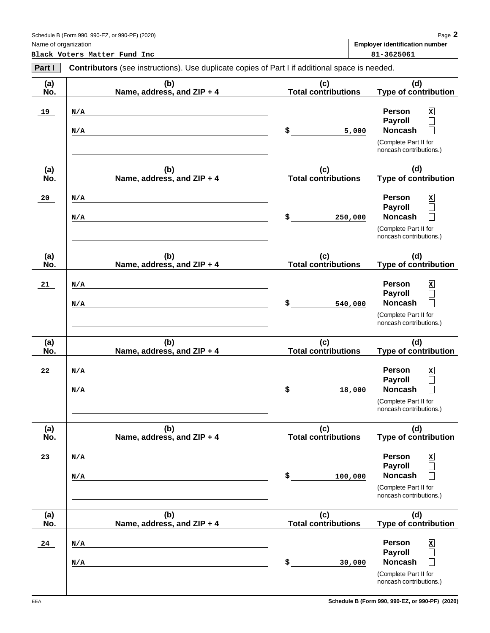EEA

**Black Voters Matter Fund Inc 81-3625061** 

| Part I     | <b>Contributors</b> (see instructions). Use duplicate copies of Part I if additional space is needed. |                                   |                                                                                                                                                      |  |
|------------|-------------------------------------------------------------------------------------------------------|-----------------------------------|------------------------------------------------------------------------------------------------------------------------------------------------------|--|
| (a)<br>No. | (b)<br>Name, address, and ZIP + 4                                                                     | (c)<br><b>Total contributions</b> | (d)<br><b>Type of contribution</b>                                                                                                                   |  |
| 19         | N/A<br>N/A                                                                                            | \$<br>5,000                       | <b>Person</b><br>x<br><b>Payroll</b><br>$\Box$<br><b>Noncash</b><br>$\Box$<br>(Complete Part II for<br>noncash contributions.)                       |  |
| (a)<br>No. | (b)<br>Name, address, and ZIP + 4                                                                     | (c)<br><b>Total contributions</b> | (d)<br>Type of contribution                                                                                                                          |  |
| 20         | N/A<br>N/A                                                                                            | \$<br>250,000                     | <b>Person</b><br>x<br>Payroll<br>$\Box$<br><b>Noncash</b><br>$\Box$<br>(Complete Part II for<br>noncash contributions.)                              |  |
| (a)<br>No. | (b)<br>Name, address, and ZIP + 4                                                                     | (c)<br><b>Total contributions</b> | (d)<br><b>Type of contribution</b>                                                                                                                   |  |
| 21         | N/A<br>N/A                                                                                            | \$<br>540,000                     | <b>Person</b><br>x<br><b>Payroll</b><br>$\Box$<br><b>Noncash</b><br>$\Box$<br>(Complete Part II for<br>noncash contributions.)                       |  |
| (a)<br>No. | (b)<br>Name, address, and ZIP + 4                                                                     | (c)<br><b>Total contributions</b> | (d)<br><b>Type of contribution</b>                                                                                                                   |  |
| 22         | N/A<br>N/A                                                                                            | \$<br>18,000                      | <b>Person</b><br>x<br>Payroll<br>$\Box$<br><b>Noncash</b><br>$\Box$<br>(Complete Part II for<br>noncash contributions.)                              |  |
| (a)<br>No. | (b)<br>Name, address, and ZIP + 4                                                                     | (c)<br><b>Total contributions</b> | (d)<br><b>Type of contribution</b>                                                                                                                   |  |
| 23         | N/A<br>N/A                                                                                            | \$<br>100,000                     | <b>Person</b><br>x<br><b>Payroll</b><br>Π<br><b>Noncash</b><br>(Complete Part II for<br>noncash contributions.)                                      |  |
| (a)<br>No. | (b)<br>Name, address, and ZIP + 4                                                                     | (c)<br><b>Total contributions</b> | (d)<br>Type of contribution                                                                                                                          |  |
| 24         | N/A<br>N/A                                                                                            | \$<br>30,000                      | <b>Person</b><br>$\mathbf{x}$<br><b>Payroll</b><br>$\Box$<br><b>Noncash</b><br>$\vert \ \ \vert$<br>(Complete Part II for<br>noncash contributions.) |  |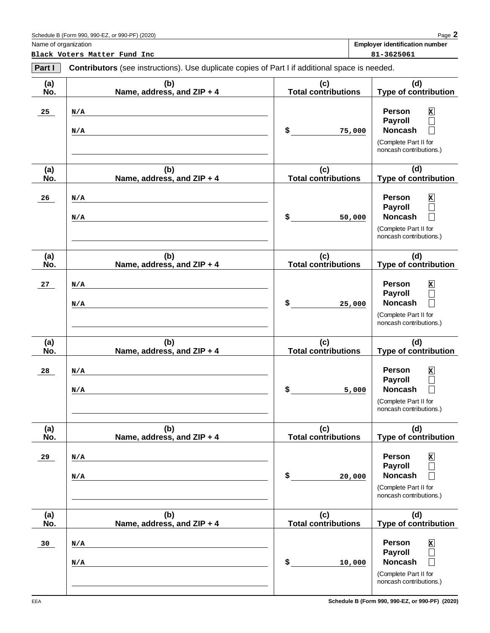| Part I     | <b>Contributors</b> (see instructions). Use duplicate copies of Part I if additional space is needed. |                                   |                                                                                                                                                                   |  |
|------------|-------------------------------------------------------------------------------------------------------|-----------------------------------|-------------------------------------------------------------------------------------------------------------------------------------------------------------------|--|
| (a)<br>No. | (b)<br>Name, address, and ZIP + 4                                                                     | (c)<br><b>Total contributions</b> | (d)<br><b>Type of contribution</b>                                                                                                                                |  |
| 25         | N/A<br>N/A                                                                                            | $\sim$<br>75,000                  | <b>Person</b><br>$\mathbf{x}$<br><b>Payroll</b><br>$\Box$<br><b>Noncash</b><br>$\mathsf{L}$<br>(Complete Part II for<br>noncash contributions.)                   |  |
| (a)<br>No. | (b)<br>Name, address, and ZIP + 4                                                                     | (c)<br><b>Total contributions</b> | (d)<br><b>Type of contribution</b>                                                                                                                                |  |
| 26         | N/A<br>N/A                                                                                            | \$<br>50,000                      | <b>Person</b><br>$\mathbf{x}$<br><b>Payroll</b><br>$\Box$<br><b>Noncash</b><br>$\vert \ \ \vert$<br>(Complete Part II for<br>noncash contributions.)              |  |
| (a)<br>No. | (b)<br>Name, address, and ZIP + 4                                                                     | (c)<br><b>Total contributions</b> | (d)<br><b>Type of contribution</b>                                                                                                                                |  |
| 27         | N/A<br>N/A                                                                                            | $\sim$<br>25,000                  | <b>Person</b><br>$\mathbf{x}$<br><b>Payroll</b><br>$\Box$<br><b>Noncash</b><br>$\Box$<br>(Complete Part II for<br>noncash contributions.)                         |  |
| (a)<br>No. | (b)<br>Name, address, and ZIP + 4                                                                     | (c)<br><b>Total contributions</b> | (d)<br><b>Type of contribution</b>                                                                                                                                |  |
| 28         | N/A<br>N/A                                                                                            | \$<br>5,000                       | <b>Person</b><br>$\mathbf{x}$<br><b>Payroll</b><br>$\Box$<br><b>Noncash</b><br>$\Box$<br>(Complete Part II for<br>noncash contributions.)                         |  |
| (a)<br>No. | (b)<br>Name, address, and ZIP + 4                                                                     | (c)<br><b>Total contributions</b> | (d)<br><b>Type of contribution</b>                                                                                                                                |  |
| 29         | N/A<br>N/A                                                                                            | \$<br>20,000                      | Person<br>$\mathbf{x}$<br><b>Payroll</b><br><b>Noncash</b><br>(Complete Part II for<br>noncash contributions.)                                                    |  |
| (a)<br>No. | (b)<br>Name, address, and ZIP + 4                                                                     | (c)<br><b>Total contributions</b> | (d)<br>Type of contribution                                                                                                                                       |  |
| 30         | N/A<br>N/A                                                                                            | \$<br>10,000                      | <b>Person</b><br>$\mathbf{x}$<br><b>Payroll</b><br>$\overline{\phantom{0}}$<br><b>Noncash</b><br>$\mathbf{I}$<br>(Complete Part II for<br>noncash contributions.) |  |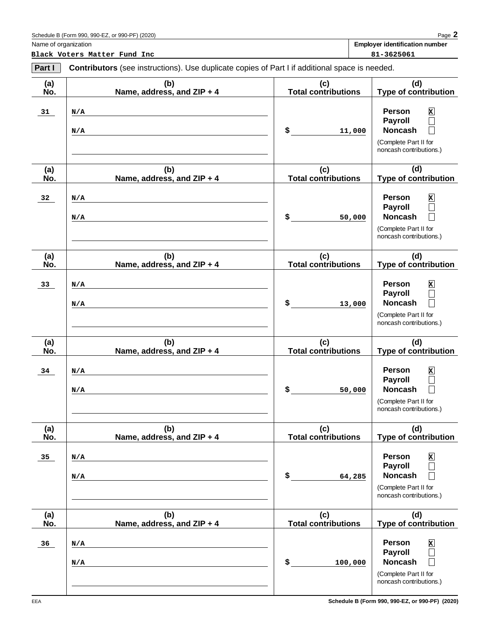| Part I     | <b>Contributors</b> (see instructions). Use duplicate copies of Part I if additional space is needed. |                                   |                                                                                                                                 |
|------------|-------------------------------------------------------------------------------------------------------|-----------------------------------|---------------------------------------------------------------------------------------------------------------------------------|
| (a)<br>No. | (b)<br>Name, address, and ZIP + 4                                                                     | (c)<br><b>Total contributions</b> | (d)<br><b>Type of contribution</b>                                                                                              |
| 31         | N/A<br>N/A                                                                                            | \$<br>11,000                      | <b>Person</b><br>$\mathbf{x}$<br><b>Payroll</b><br>$\Box$<br><b>Noncash</b><br>(Complete Part II for<br>noncash contributions.) |
| (a)<br>No. | (b)<br>Name, address, and ZIP + 4                                                                     | (c)<br><b>Total contributions</b> | (d)<br>Type of contribution                                                                                                     |
| 32         | N/A<br>N/A                                                                                            | \$<br>50,000                      | Person<br>$\mathbf{x}$<br><b>Payroll</b><br>$\Box$<br><b>Noncash</b><br>(Complete Part II for<br>noncash contributions.)        |
| (a)<br>No. | (b)<br>Name, address, and ZIP + 4                                                                     | (c)<br><b>Total contributions</b> | (d)<br><b>Type of contribution</b>                                                                                              |
| 33         | N/A<br>N/A                                                                                            | \$<br>13,000                      | <b>Person</b><br>$\mathbf{x}$<br><b>Payroll</b><br>$\Box$<br><b>Noncash</b><br>(Complete Part II for<br>noncash contributions.) |
| (a)<br>No. | (b)<br>Name, address, and ZIP + 4                                                                     | (c)<br><b>Total contributions</b> | (d)<br><b>Type of contribution</b>                                                                                              |
| 34         | N/A<br>N/A                                                                                            | \$<br>50,000                      | <b>Person</b><br>$\mathbf{x}$<br><b>Payroll</b><br><b>Noncash</b><br>(Complete Part II for<br>noncash contributions.)           |
| (a)<br>No. | (b)<br>Name, address, and ZIP + 4                                                                     | (c)<br><b>Total contributions</b> | (d)<br><b>Type of contribution</b>                                                                                              |
| 35         | N/A<br>N/A                                                                                            | \$<br>64,285                      | <b>Person</b><br>$\mathbf{x}$<br><b>Payroll</b><br><b>Noncash</b><br>(Complete Part II for<br>noncash contributions.)           |
| (a)<br>No. | (b)<br>Name, address, and ZIP + 4                                                                     | (c)<br><b>Total contributions</b> | (d)<br>Type of contribution                                                                                                     |
| 36         | N/A<br>N/A                                                                                            | \$<br>100,000                     | <b>Person</b><br>$\mathbf{x}$<br><b>Payroll</b><br><b>Noncash</b><br>(Complete Part II for<br>noncash contributions.)           |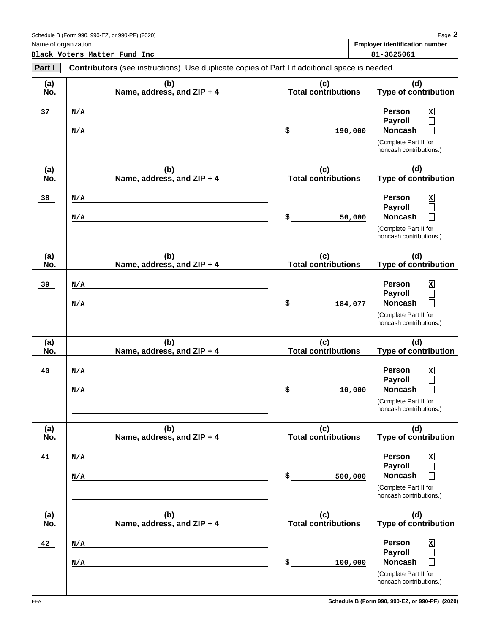| Part I     | <b>Contributors</b> (see instructions). Use duplicate copies of Part I if additional space is needed. |                                   |                                                                                                                                                                       |  |
|------------|-------------------------------------------------------------------------------------------------------|-----------------------------------|-----------------------------------------------------------------------------------------------------------------------------------------------------------------------|--|
| (a)<br>No. | (b)<br>Name, address, and ZIP + 4                                                                     | (c)<br><b>Total contributions</b> | (d)<br><b>Type of contribution</b>                                                                                                                                    |  |
| 37         | N/A<br>N/A                                                                                            | $\sim$<br>190,000                 | $\mathbf{x}$<br><b>Person</b><br>Payroll<br>$\Box$<br><b>Noncash</b><br>$\Box$<br>(Complete Part II for<br>noncash contributions.)                                    |  |
| (a)<br>No. | (b)<br>Name, address, and ZIP + 4                                                                     | (c)<br><b>Total contributions</b> | (d)<br><b>Type of contribution</b>                                                                                                                                    |  |
| 38         | N/A<br>N/A                                                                                            | \$<br>50,000                      | $\mathbf{x}$<br><b>Person</b><br>Payroll<br>$\Box$<br><b>Noncash</b><br>$\Box$<br>(Complete Part II for<br>noncash contributions.)                                    |  |
| (a)<br>No. | (b)<br>Name, address, and ZIP + 4                                                                     | (c)<br><b>Total contributions</b> | (d)<br><b>Type of contribution</b>                                                                                                                                    |  |
| 39         | N/A<br>N/A                                                                                            | $\mathsf{s}$<br>184,077           | $\mathbf{x}$<br><b>Person</b><br><b>Payroll</b><br>$\Box$<br><b>Noncash</b><br>$\Box$<br>(Complete Part II for<br>noncash contributions.)                             |  |
| (a)<br>No. | (b)<br>Name, address, and ZIP + 4                                                                     | (c)<br><b>Total contributions</b> | (d)<br><b>Type of contribution</b>                                                                                                                                    |  |
| 40         | N/A<br>N/A                                                                                            | \$<br>10,000                      | <b>Person</b><br>$\mathbf{x}$<br>Payroll<br>$\Box$<br><b>Noncash</b><br>$\Box$<br>(Complete Part II for<br>noncash contributions.)                                    |  |
| (a)<br>No. | (b)<br>Name, address, and ZIP + 4                                                                     | (c)<br><b>Total contributions</b> | (d)<br><b>Type of contribution</b>                                                                                                                                    |  |
| 41         | N/A<br>N/A                                                                                            | \$<br>500,000                     | Person<br>x<br><b>Payroll</b><br>$\overline{\phantom{a}}$<br><b>Noncash</b><br>$\overline{\phantom{0}}$<br>(Complete Part II for<br>noncash contributions.)           |  |
| (a)<br>No. | (b)<br>Name, address, and ZIP + 4                                                                     | (c)<br><b>Total contributions</b> | (d)<br><b>Type of contribution</b>                                                                                                                                    |  |
| 42         | N/A<br>N/A                                                                                            | \$<br>100,000                     | $\mathbf x$<br>Person<br><b>Payroll</b><br>$\overline{\phantom{0}}$<br><b>Noncash</b><br>$\overline{\phantom{0}}$<br>(Complete Part II for<br>noncash contributions.) |  |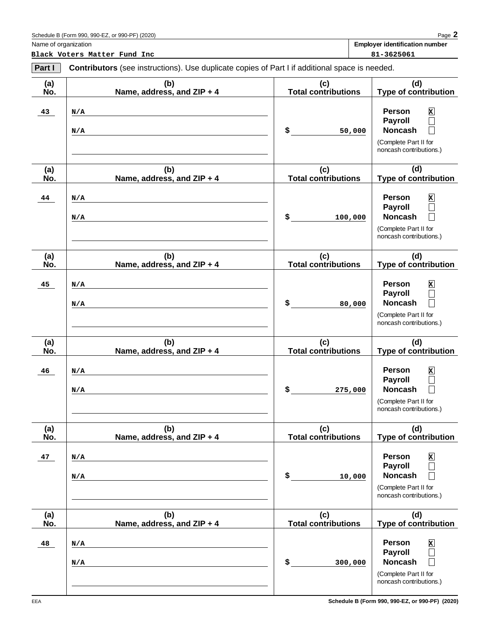| Part I     | <b>Contributors</b> (see instructions). Use duplicate copies of Part I if additional space is needed. |                                   |                                                                                                                                                                   |
|------------|-------------------------------------------------------------------------------------------------------|-----------------------------------|-------------------------------------------------------------------------------------------------------------------------------------------------------------------|
| (a)<br>No. | (b)<br>Name, address, and ZIP + 4                                                                     | (c)<br><b>Total contributions</b> | (d)<br><b>Type of contribution</b>                                                                                                                                |
| 43         | N/A<br>N/A                                                                                            | $\sim$<br>50,000                  | <b>Person</b><br>$\mathbf{x}$<br><b>Payroll</b><br>$\Box$<br><b>Noncash</b><br>$\Box$<br>(Complete Part II for<br>noncash contributions.)                         |
| (a)<br>No. | (b)<br>Name, address, and ZIP + 4                                                                     | (c)<br><b>Total contributions</b> | (d)<br><b>Type of contribution</b>                                                                                                                                |
| 44         | N/A<br>N/A                                                                                            | $\sim$<br>100,000                 | <b>Person</b><br>$\mathbf{x}$<br><b>Payroll</b><br>$\Box$<br><b>Noncash</b><br>$\vert \ \ \vert$<br>(Complete Part II for<br>noncash contributions.)              |
| (a)<br>No. | (b)<br>Name, address, and ZIP + 4                                                                     | (c)<br><b>Total contributions</b> | (d)<br><b>Type of contribution</b>                                                                                                                                |
| 45         | N/A<br>N/A                                                                                            | \$<br>80,000                      | <b>Person</b><br>$\mathbf{x}$<br><b>Payroll</b><br>$\Box$<br><b>Noncash</b><br>$\Box$<br>(Complete Part II for<br>noncash contributions.)                         |
| (a)<br>No. | (b)<br>Name, address, and ZIP + 4                                                                     | (c)<br><b>Total contributions</b> | (d)<br><b>Type of contribution</b>                                                                                                                                |
| 46         | N/A<br>N/A                                                                                            | \$<br>275,000                     | <b>Person</b><br>$\mathbf{x}$<br><b>Payroll</b><br>$\Box$<br><b>Noncash</b><br>$\Box$<br>(Complete Part II for<br>noncash contributions.)                         |
| (a)<br>No. | (b)<br>Name, address, and ZIP + 4                                                                     | (c)<br><b>Total contributions</b> | (d)<br><b>Type of contribution</b>                                                                                                                                |
| 47         | N/A<br>N/A                                                                                            | \$<br>10,000                      | <b>Person</b><br>$\mathbf{x}$<br><b>Payroll</b><br><b>Noncash</b><br>(Complete Part II for<br>noncash contributions.)                                             |
| (a)<br>No. | (b)<br>Name, address, and ZIP + 4                                                                     | (c)<br><b>Total contributions</b> | (d)<br>Type of contribution                                                                                                                                       |
| 48         | N/A<br>N/A                                                                                            | \$<br>300,000                     | <b>Person</b><br>$\mathbf{x}$<br><b>Payroll</b><br>$\overline{\phantom{0}}$<br><b>Noncash</b><br>$\mathbf{I}$<br>(Complete Part II for<br>noncash contributions.) |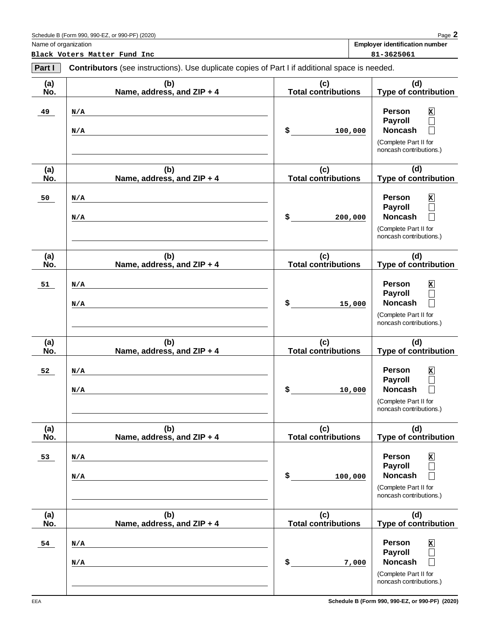| Part I     | <b>Contributors</b> (see instructions). Use duplicate copies of Part I if additional space is needed. |                                   |                                                                                                                                         |  |  |  |
|------------|-------------------------------------------------------------------------------------------------------|-----------------------------------|-----------------------------------------------------------------------------------------------------------------------------------------|--|--|--|
| (a)<br>No. | (b)<br>Name, address, and ZIP + 4                                                                     | (c)<br><b>Total contributions</b> | (d)<br><b>Type of contribution</b>                                                                                                      |  |  |  |
| 49         | N/A<br>N/A                                                                                            | \$<br>100,000                     | Person<br>$\mathbf{x}$<br><b>Payroll</b><br>$\Box$<br><b>Noncash</b><br>$\Box$<br>(Complete Part II for<br>noncash contributions.)      |  |  |  |
| (a)<br>No. | (b)<br>Name, address, and ZIP + 4                                                                     | (c)<br><b>Total contributions</b> | (d)<br>Type of contribution                                                                                                             |  |  |  |
| 50         | N/A<br>N/A                                                                                            | \$<br>200,000                     | Person<br>$\mathbf{x}$<br>Payroll<br>$\Box$<br><b>Noncash</b><br>$\Box$<br>(Complete Part II for<br>noncash contributions.)             |  |  |  |
| (a)<br>No. | (b)<br>Name, address, and ZIP + 4                                                                     | (c)<br><b>Total contributions</b> | (d)<br><b>Type of contribution</b>                                                                                                      |  |  |  |
| 51         | N/A<br>N/A                                                                                            | \$<br>15,000                      | Person<br>$\mathbf{x}$<br>Payroll<br>$\Box$<br><b>Noncash</b><br>$\Box$<br>(Complete Part II for<br>noncash contributions.)             |  |  |  |
| (a)<br>No. | (b)<br>Name, address, and ZIP + 4                                                                     | (c)<br><b>Total contributions</b> | (d)<br><b>Type of contribution</b>                                                                                                      |  |  |  |
| 52         | N/A<br>N/A                                                                                            | \$<br>10,000                      | Person<br>$\mathbf{x}$<br>Payroll<br>$\Box$<br><b>Noncash</b><br>$\Box$<br>(Complete Part II for<br>noncash contributions.)             |  |  |  |
| (a)<br>No. | (b)<br>Name, address, and ZIP + 4                                                                     | (c)<br><b>Total contributions</b> | (d)<br><b>Type of contribution</b>                                                                                                      |  |  |  |
| 53         | N/A<br>N/A                                                                                            | \$<br>100,000                     | <b>Person</b><br>$\mathbf{x}$<br><b>Payroll</b><br><b>Noncash</b><br>(Complete Part II for<br>noncash contributions.)                   |  |  |  |
| (a)<br>No. | (b)<br>Name, address, and ZIP + 4                                                                     | (c)<br><b>Total contributions</b> | (d)<br>Type of contribution                                                                                                             |  |  |  |
| 54         | N/A<br>N/A                                                                                            | \$<br>7,000                       | <b>Person</b><br>$\mathbf{x}$<br><b>Payroll</b><br><b>Noncash</b><br>$\mathbb{R}^2$<br>(Complete Part II for<br>noncash contributions.) |  |  |  |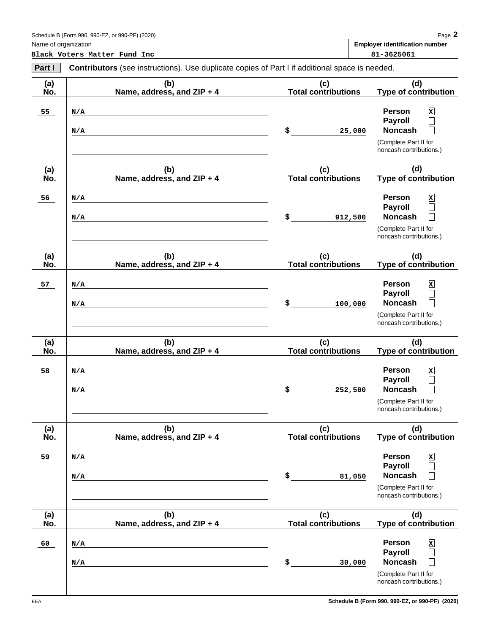| Part I     | <b>Contributors</b> (see instructions). Use duplicate copies of Part I if additional space is needed. |                                   |                                                                                                                                                                       |  |  |  |  |
|------------|-------------------------------------------------------------------------------------------------------|-----------------------------------|-----------------------------------------------------------------------------------------------------------------------------------------------------------------------|--|--|--|--|
| (a)<br>No. | (b)<br>Name, address, and ZIP + 4                                                                     | (c)<br><b>Total contributions</b> | (d)<br><b>Type of contribution</b>                                                                                                                                    |  |  |  |  |
| 55         | N/A<br>N/A                                                                                            | \$<br>25,000                      | $\mathbf{x}$<br><b>Person</b><br>Payroll<br>$\Box$<br><b>Noncash</b><br>$\Box$<br>(Complete Part II for<br>noncash contributions.)                                    |  |  |  |  |
| (a)<br>No. | (b)<br>Name, address, and ZIP + 4                                                                     | (c)<br><b>Total contributions</b> | (d)<br><b>Type of contribution</b>                                                                                                                                    |  |  |  |  |
| 56         | N/A<br>N/A                                                                                            | \$<br>912,500                     | $\mathbf{x}$<br><b>Person</b><br>Payroll<br>$\Box$<br><b>Noncash</b><br>$\Box$<br>(Complete Part II for<br>noncash contributions.)                                    |  |  |  |  |
| (a)<br>No. | (b)<br>Name, address, and ZIP + 4                                                                     | (c)<br><b>Total contributions</b> | (d)<br><b>Type of contribution</b>                                                                                                                                    |  |  |  |  |
| 57         | N/A<br>N/A                                                                                            | \$<br>100,000                     | $\mathbf{x}$<br><b>Person</b><br>Payroll<br>$\Box$<br><b>Noncash</b><br>$\Box$<br>(Complete Part II for<br>noncash contributions.)                                    |  |  |  |  |
| (a)<br>No. | (b)<br>Name, address, and ZIP + 4                                                                     | (c)<br><b>Total contributions</b> | (d)<br><b>Type of contribution</b>                                                                                                                                    |  |  |  |  |
| 58         | N/A<br>N/A                                                                                            | \$<br>252,500                     | <b>Person</b><br>$\mathbf{x}$<br><b>Payroll</b><br>$\Box$<br><b>Noncash</b><br>$\Box$<br>(Complete Part II for<br>noncash contributions.)                             |  |  |  |  |
| (a)<br>No. | (b)<br>Name, address, and ZIP + 4                                                                     | (c)<br><b>Total contributions</b> | (d)<br><b>Type of contribution</b>                                                                                                                                    |  |  |  |  |
| 59         | N/A<br>N/A                                                                                            | \$<br>81,050                      | <b>Person</b><br>x<br><b>Payroll</b><br>$\overline{\phantom{a}}$<br><b>Noncash</b><br>$\overline{\phantom{0}}$<br>(Complete Part II for<br>noncash contributions.)    |  |  |  |  |
| (a)<br>No. | (b)<br>Name, address, and ZIP + 4                                                                     | (c)<br><b>Total contributions</b> | (d)<br><b>Type of contribution</b>                                                                                                                                    |  |  |  |  |
| 60         | N/A<br>N/A                                                                                            | \$<br>30,000                      | $\mathbf x$<br>Person<br><b>Payroll</b><br>$\overline{\phantom{0}}$<br><b>Noncash</b><br>$\overline{\phantom{0}}$<br>(Complete Part II for<br>noncash contributions.) |  |  |  |  |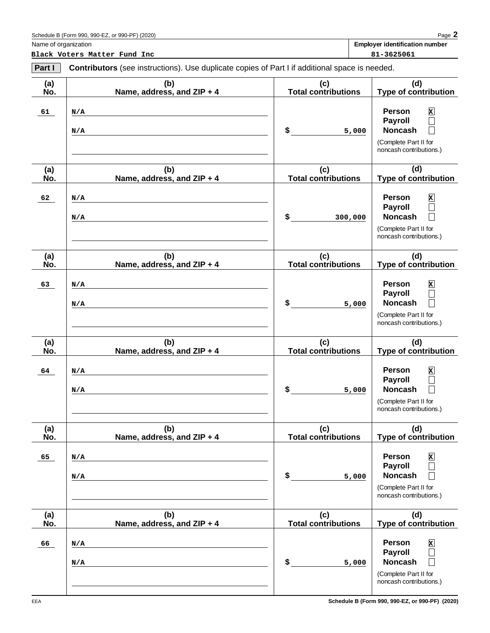| Part I     | <b>Contributors</b> (see instructions). Use duplicate copies of Part I if additional space is needed. |                                   |                                                                                                                                    |  |  |  |
|------------|-------------------------------------------------------------------------------------------------------|-----------------------------------|------------------------------------------------------------------------------------------------------------------------------------|--|--|--|
| (a)<br>No. | (b)<br>Name, address, and ZIP + 4                                                                     | (c)<br><b>Total contributions</b> | (d)<br><b>Type of contribution</b>                                                                                                 |  |  |  |
| 61         | N/A<br>N/A                                                                                            | \$<br>5,000                       | Person<br>$\mathbf{x}$<br><b>Payroll</b><br>$\Box$<br><b>Noncash</b><br>$\Box$<br>(Complete Part II for<br>noncash contributions.) |  |  |  |
| (a)<br>No. | (b)<br>Name, address, and ZIP + 4                                                                     | (c)<br><b>Total contributions</b> | (d)<br><b>Type of contribution</b>                                                                                                 |  |  |  |
| 62         | N/A<br>N/A                                                                                            | \$<br>300,000                     | Person<br>$\mathbf{x}$<br><b>Payroll</b><br>$\Box$<br><b>Noncash</b><br>П<br>(Complete Part II for<br>noncash contributions.)      |  |  |  |
| (a)<br>No. | (b)<br>Name, address, and ZIP + 4                                                                     | (c)<br><b>Total contributions</b> | (d)<br><b>Type of contribution</b>                                                                                                 |  |  |  |
| 63         | N/A<br>N/A                                                                                            | \$<br>5,000                       | Person<br>x<br><b>Payroll</b><br>$\Box$<br><b>Noncash</b><br>П<br>(Complete Part II for<br>noncash contributions.)                 |  |  |  |
| (a)<br>No. | (b)<br>Name, address, and ZIP + 4                                                                     | (c)<br><b>Total contributions</b> | (d)<br><b>Type of contribution</b>                                                                                                 |  |  |  |
| 64         | N/A<br>N/A                                                                                            | \$<br>5,000                       | Person<br>x<br><b>Payroll</b><br>$\Box$<br><b>Noncash</b><br>$\Box$<br>(Complete Part II for<br>noncash contributions.)            |  |  |  |
| (a)<br>No. | (b)<br>Name, address, and ZIP + 4                                                                     | (c)<br><b>Total contributions</b> | (d)<br><b>Type of contribution</b>                                                                                                 |  |  |  |
| 65         | N/A<br>N/A                                                                                            | \$<br>5,000                       | Person<br>x<br><b>Payroll</b><br><b>Noncash</b><br>(Complete Part II for<br>noncash contributions.)                                |  |  |  |
| (a)<br>No. | (b)<br>Name, address, and ZIP + 4                                                                     | (c)<br><b>Total contributions</b> | (d)<br>Type of contribution                                                                                                        |  |  |  |
| 66         | N/A<br>N/A                                                                                            | \$<br>5,000                       | Person<br>x<br><b>Payroll</b><br>$\Box$<br><b>Noncash</b><br>(Complete Part II for<br>noncash contributions.)                      |  |  |  |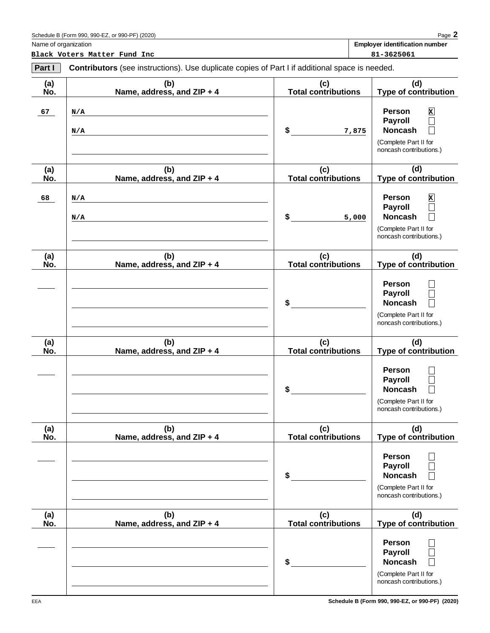| Part I     | <b>Contributors</b> (see instructions). Use duplicate copies of Part I if additional space is needed. |                                   |                                                                                                                                                |  |  |  |  |
|------------|-------------------------------------------------------------------------------------------------------|-----------------------------------|------------------------------------------------------------------------------------------------------------------------------------------------|--|--|--|--|
| (a)<br>No. | (b)<br>Name, address, and ZIP + 4                                                                     | (c)<br><b>Total contributions</b> | (d)<br><b>Type of contribution</b>                                                                                                             |  |  |  |  |
| 67         | N/A<br>N/A                                                                                            | \$<br>7,875                       | <b>Person</b><br>$\mathbf x$<br><b>Payroll</b><br>$\Box$<br><b>Noncash</b><br>$\Box$<br>(Complete Part II for<br>noncash contributions.)       |  |  |  |  |
| (a)<br>No. | (b)<br>Name, address, and ZIP + 4                                                                     | (c)<br><b>Total contributions</b> | (d)<br><b>Type of contribution</b>                                                                                                             |  |  |  |  |
| 68         | N/A<br>N/A                                                                                            | \$<br>5,000                       | <b>Person</b><br>$\mathbf x$<br><b>Payroll</b><br>$\Box$<br><b>Noncash</b><br>П<br>(Complete Part II for<br>noncash contributions.)            |  |  |  |  |
| (a)<br>No. | (b)<br>Name, address, and ZIP + 4                                                                     | (c)<br><b>Total contributions</b> | (d)<br><b>Type of contribution</b>                                                                                                             |  |  |  |  |
|            |                                                                                                       | \$                                | <b>Person</b><br>$\vert \ \ \vert$<br><b>Payroll</b><br>$\Box$<br><b>Noncash</b><br>$\Box$<br>(Complete Part II for<br>noncash contributions.) |  |  |  |  |
| (a)<br>No. | (b)<br>Name, address, and ZIP + 4                                                                     | (c)<br><b>Total contributions</b> | (d)<br><b>Type of contribution</b>                                                                                                             |  |  |  |  |
|            |                                                                                                       | \$                                | <b>Person</b><br>$\vert \ \ \vert$<br>Payroll<br>$\Box$<br><b>Noncash</b><br>$\Box$<br>(Complete Part II for<br>noncash contributions.)        |  |  |  |  |
| (a)<br>No. | (b)<br>Name, address, and ZIP + 4                                                                     | (c)<br><b>Total contributions</b> | (d)<br><b>Type of contribution</b>                                                                                                             |  |  |  |  |
|            |                                                                                                       | \$                                | Person<br>Payroll<br><b>Noncash</b><br>(Complete Part II for<br>noncash contributions.)                                                        |  |  |  |  |
| (a)<br>No. | (b)<br>Name, address, and ZIP + 4                                                                     | (c)<br><b>Total contributions</b> | (d)<br><b>Type of contribution</b>                                                                                                             |  |  |  |  |
|            |                                                                                                       | \$                                | <b>Person</b><br><b>Payroll</b><br><b>Noncash</b><br>(Complete Part II for<br>noncash contributions.)                                          |  |  |  |  |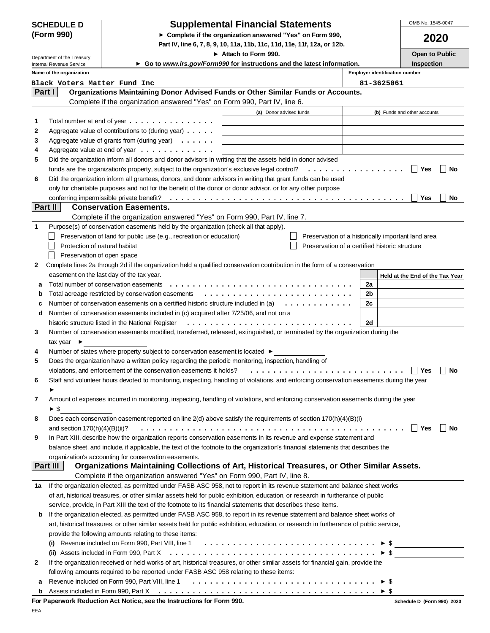| <b>SCHEDULE D</b> |  |
|-------------------|--|
| (Form 990)        |  |

## **Supplemental Financial Statements**

**Complete if the organization answered "Yes" on Form 990,**

**Part IV, line 6, 7, 8, 9, 10, 11a, 11b, 11c, 11d, 11e, 11f, 12a, or 12b.**

OMB No. 1545-0047

|                                                                                                                                                           | Department of the Treasury      |                                                                                                                                           | ► Attach to Form 990.   |                                                    |                                                | Open to Public                  |    |
|-----------------------------------------------------------------------------------------------------------------------------------------------------------|---------------------------------|-------------------------------------------------------------------------------------------------------------------------------------------|-------------------------|----------------------------------------------------|------------------------------------------------|---------------------------------|----|
|                                                                                                                                                           | Internal Revenue Service        | ► Go to www.irs.gov/Form990 for instructions and the latest information.                                                                  |                         |                                                    |                                                | Inspection                      |    |
|                                                                                                                                                           | Name of the organization        |                                                                                                                                           |                         |                                                    | <b>Employer identification number</b>          |                                 |    |
| Part I                                                                                                                                                    | Black Voters Matter Fund Inc    | Organizations Maintaining Donor Advised Funds or Other Similar Funds or Accounts.                                                         |                         |                                                    | 81-3625061                                     |                                 |    |
|                                                                                                                                                           |                                 | Complete if the organization answered "Yes" on Form 990, Part IV, line 6.                                                                 |                         |                                                    |                                                |                                 |    |
|                                                                                                                                                           |                                 |                                                                                                                                           |                         |                                                    |                                                |                                 |    |
|                                                                                                                                                           |                                 |                                                                                                                                           | (a) Donor advised funds |                                                    |                                                | (b) Funds and other accounts    |    |
| 1<br>2                                                                                                                                                    |                                 | Total number at end of year $\ldots \ldots \ldots \ldots \ldots$<br>Aggregate value of contributions to (during year)                     |                         |                                                    |                                                |                                 |    |
| 3                                                                                                                                                         |                                 | Aggregate value of grants from (during year) $\ldots \ldots$                                                                              |                         |                                                    |                                                |                                 |    |
| 4                                                                                                                                                         |                                 | Aggregate value at end of year $\dots \dots \dots \dots$                                                                                  |                         |                                                    |                                                |                                 |    |
| 5                                                                                                                                                         |                                 | Did the organization inform all donors and donor advisors in writing that the assets held in donor advised                                |                         |                                                    |                                                |                                 |    |
|                                                                                                                                                           |                                 | funds are the organization's property, subject to the organization's exclusive legal control?                                             |                         |                                                    | .                                              | Yes                             | No |
| 6                                                                                                                                                         |                                 | Did the organization inform all grantees, donors, and donor advisors in writing that grant funds can be used                              |                         |                                                    |                                                |                                 |    |
|                                                                                                                                                           |                                 |                                                                                                                                           |                         |                                                    |                                                |                                 |    |
| only for charitable purposes and not for the benefit of the donor or donor advisor, or for any other purpose<br>conferring impermissible private benefit? |                                 |                                                                                                                                           |                         |                                                    | Yes                                            | No                              |    |
|                                                                                                                                                           | <b>Part II</b>                  | <b>Conservation Easements.</b>                                                                                                            |                         |                                                    |                                                |                                 |    |
|                                                                                                                                                           |                                 | Complete if the organization answered "Yes" on Form 990, Part IV, line 7.                                                                 |                         |                                                    |                                                |                                 |    |
| 1                                                                                                                                                         |                                 | Purpose(s) of conservation easements held by the organization (check all that apply).                                                     |                         |                                                    |                                                |                                 |    |
|                                                                                                                                                           |                                 | Preservation of land for public use (e.g., recreation or education)                                                                       |                         | Preservation of a historically important land area |                                                |                                 |    |
|                                                                                                                                                           | Protection of natural habitat   |                                                                                                                                           |                         |                                                    | Preservation of a certified historic structure |                                 |    |
|                                                                                                                                                           | Preservation of open space      |                                                                                                                                           |                         |                                                    |                                                |                                 |    |
| $\mathbf{2}$                                                                                                                                              |                                 | Complete lines 2a through 2d if the organization held a qualified conservation contribution in the form of a conservation                 |                         |                                                    |                                                |                                 |    |
|                                                                                                                                                           |                                 | easement on the last day of the tax year.                                                                                                 |                         |                                                    |                                                | Held at the End of the Tax Year |    |
| а                                                                                                                                                         |                                 | Total number of conservation easements                                                                                                    |                         |                                                    | 2a                                             |                                 |    |
| b                                                                                                                                                         |                                 | Total acreage restricted by conservation easements                                                                                        |                         |                                                    | 2b                                             |                                 |    |
| с                                                                                                                                                         |                                 | Number of conservation easements on a certified historic structure included in (a)                                                        |                         | .                                                  | 2c                                             |                                 |    |
| d                                                                                                                                                         |                                 | Number of conservation easements included in (c) acquired after 7/25/06, and not on a                                                     |                         |                                                    |                                                |                                 |    |
|                                                                                                                                                           |                                 | historic structure listed in the National Register                                                                                        |                         |                                                    | 2d                                             |                                 |    |
| 3                                                                                                                                                         |                                 | Number of conservation easements modified, transferred, released, extinguished, or terminated by the organization during the              |                         |                                                    |                                                |                                 |    |
|                                                                                                                                                           | tax year $\blacktriangleright$  |                                                                                                                                           |                         |                                                    |                                                |                                 |    |
| 4                                                                                                                                                         |                                 | Number of states where property subject to conservation easement is located ▶                                                             |                         |                                                    |                                                |                                 |    |
| 5                                                                                                                                                         |                                 | Does the organization have a written policy regarding the periodic monitoring, inspection, handling of                                    |                         |                                                    |                                                |                                 |    |
|                                                                                                                                                           |                                 | violations, and enforcement of the conservation easements it holds?                                                                       |                         |                                                    |                                                | Yes                             | No |
| 6                                                                                                                                                         |                                 | Staff and volunteer hours devoted to monitoring, inspecting, handling of violations, and enforcing conservation easements during the year |                         |                                                    |                                                |                                 |    |
|                                                                                                                                                           |                                 |                                                                                                                                           |                         |                                                    |                                                |                                 |    |
| 7                                                                                                                                                         |                                 | Amount of expenses incurred in monitoring, inspecting, handling of violations, and enforcing conservation easements during the year       |                         |                                                    |                                                |                                 |    |
|                                                                                                                                                           | ► \$                            |                                                                                                                                           |                         |                                                    |                                                |                                 |    |
| 8                                                                                                                                                         |                                 | Does each conservation easement reported on line 2(d) above satisfy the requirements of section 170(h)(4)(B)(i)                           |                         |                                                    |                                                |                                 |    |
|                                                                                                                                                           | and section $170(h)(4)(B)(ii)?$ |                                                                                                                                           |                         |                                                    |                                                | ∣ Yes                           | No |
| 9                                                                                                                                                         |                                 | In Part XIII, describe how the organization reports conservation easements in its revenue and expense statement and                       |                         |                                                    |                                                |                                 |    |
|                                                                                                                                                           |                                 | balance sheet, and include, if applicable, the text of the footnote to the organization's financial statements that describes the         |                         |                                                    |                                                |                                 |    |
|                                                                                                                                                           |                                 | organization's accounting for conservation easements.                                                                                     |                         |                                                    |                                                |                                 |    |
|                                                                                                                                                           | Part III                        | Organizations Maintaining Collections of Art, Historical Treasures, or Other Similar Assets.                                              |                         |                                                    |                                                |                                 |    |
|                                                                                                                                                           |                                 | Complete if the organization answered "Yes" on Form 990, Part IV, line 8.                                                                 |                         |                                                    |                                                |                                 |    |
| 1a                                                                                                                                                        |                                 | If the organization elected, as permitted under FASB ASC 958, not to report in its revenue statement and balance sheet works              |                         |                                                    |                                                |                                 |    |
|                                                                                                                                                           |                                 | of art, historical treasures, or other similar assets held for public exhibition, education, or research in furtherance of public         |                         |                                                    |                                                |                                 |    |
|                                                                                                                                                           |                                 | service, provide, in Part XIII the text of the footnote to its financial statements that describes these items.                           |                         |                                                    |                                                |                                 |    |
| b                                                                                                                                                         |                                 | If the organization elected, as permitted under FASB ASC 958, to report in its revenue statement and balance sheet works of               |                         |                                                    |                                                |                                 |    |
|                                                                                                                                                           |                                 | art, historical treasures, or other similar assets held for public exhibition, education, or research in furtherance of public service,   |                         |                                                    |                                                |                                 |    |
|                                                                                                                                                           |                                 | provide the following amounts relating to these items:                                                                                    |                         |                                                    |                                                |                                 |    |
|                                                                                                                                                           | $\left( 1\right)$               | Revenue included on Form 990, Part VIII, line 1 $\ldots \ldots \ldots \ldots \ldots \ldots \ldots \ldots \ldots \ldots \ldots$            |                         |                                                    |                                                |                                 |    |
|                                                                                                                                                           | (ii)                            |                                                                                                                                           |                         |                                                    |                                                |                                 |    |
| 2                                                                                                                                                         |                                 | If the organization received or held works of art, historical treasures, or other similar assets for financial gain, provide the          |                         |                                                    |                                                |                                 |    |
|                                                                                                                                                           |                                 | following amounts required to be reported under FASB ASC 958 relating to these items:                                                     |                         |                                                    |                                                |                                 |    |
| а                                                                                                                                                         |                                 |                                                                                                                                           |                         |                                                    |                                                |                                 |    |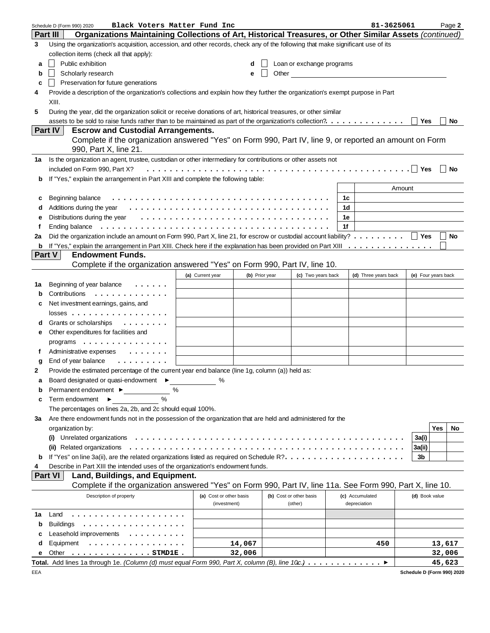|              | Black Voters Matter Fund Inc<br>Schedule D (Form 990) 2020                                                                      |                         |                |       |                           |    | 81-3625061           |                     |            | Page 2    |
|--------------|---------------------------------------------------------------------------------------------------------------------------------|-------------------------|----------------|-------|---------------------------|----|----------------------|---------------------|------------|-----------|
|              | Organizations Maintaining Collections of Art, Historical Treasures, or Other Similar Assets (continued)<br><b>Part III</b>      |                         |                |       |                           |    |                      |                     |            |           |
| 3            | Using the organization's acquisition, accession, and other records, check any of the following that make significant use of its |                         |                |       |                           |    |                      |                     |            |           |
|              | collection items (check all that apply):                                                                                        |                         |                |       |                           |    |                      |                     |            |           |
| а            | Public exhibition                                                                                                               |                         | d              |       | Loan or exchange programs |    |                      |                     |            |           |
| b            | Scholarly research                                                                                                              |                         | е              | Other |                           |    |                      |                     |            |           |
| c            | Preservation for future generations                                                                                             |                         |                |       |                           |    |                      |                     |            |           |
| 4            | Provide a description of the organization's collections and explain how they further the organization's exempt purpose in Part  |                         |                |       |                           |    |                      |                     |            |           |
|              | XIII.                                                                                                                           |                         |                |       |                           |    |                      |                     |            |           |
|              |                                                                                                                                 |                         |                |       |                           |    |                      |                     |            |           |
| 5            | During the year, did the organization solicit or receive donations of art, historical treasures, or other similar               |                         |                |       |                           |    |                      |                     |            |           |
|              | assets to be sold to raise funds rather than to be maintained as part of the organization's collection?.                        |                         |                |       |                           |    |                      | Yes                 |            | No        |
|              | Part IV<br><b>Escrow and Custodial Arrangements.</b>                                                                            |                         |                |       |                           |    |                      |                     |            |           |
|              | Complete if the organization answered "Yes" on Form 990, Part IV, line 9, or reported an amount on Form                         |                         |                |       |                           |    |                      |                     |            |           |
|              | 990, Part X, line 21.                                                                                                           |                         |                |       |                           |    |                      |                     |            |           |
| 1а           | Is the organization an agent, trustee, custodian or other intermediary for contributions or other assets not                    |                         |                |       |                           |    |                      |                     |            |           |
|              | included on Form 990, Part X?                                                                                                   |                         |                |       |                           |    |                      |                     |            | ∣ No      |
| b            | If "Yes," explain the arrangement in Part XIII and complete the following table:                                                |                         |                |       |                           |    |                      |                     |            |           |
|              |                                                                                                                                 |                         |                |       |                           |    |                      | Amount              |            |           |
| c            | Beginning balance                                                                                                               |                         |                |       |                           | 1c |                      |                     |            |           |
| d            |                                                                                                                                 |                         |                |       |                           | 1d |                      |                     |            |           |
| е            | Distributions during the year $\dots \dots \dots \dots \dots \dots \dots \dots \dots \dots \dots \dots \dots$                   |                         |                |       |                           | 1e |                      |                     |            |           |
| f            | Ending balance                                                                                                                  |                         |                |       |                           | 1f |                      |                     |            |           |
| 2a           |                                                                                                                                 |                         |                |       |                           |    |                      |                     |            | $\Box$ No |
| b            |                                                                                                                                 |                         |                |       |                           |    |                      |                     |            |           |
|              | <b>Endowment Funds.</b><br>Part V                                                                                               |                         |                |       |                           |    |                      |                     |            |           |
|              | Complete if the organization answered "Yes" on Form 990, Part IV, line 10.                                                      |                         |                |       |                           |    |                      |                     |            |           |
|              |                                                                                                                                 | (a) Current year        | (b) Prior year |       | (c) Two years back        |    |                      | (e) Four years back |            |           |
|              |                                                                                                                                 |                         |                |       |                           |    | (d) Three years back |                     |            |           |
| 1a           | Beginning of year balance<br>$\cdots$                                                                                           |                         |                |       |                           |    |                      |                     |            |           |
| b            | Contributions<br>.                                                                                                              |                         |                |       |                           |    |                      |                     |            |           |
| c            | Net investment earnings, gains, and                                                                                             |                         |                |       |                           |    |                      |                     |            |           |
|              | $losses$                                                                                                                        |                         |                |       |                           |    |                      |                     |            |           |
| d            | Grants or scholarships<br>.                                                                                                     |                         |                |       |                           |    |                      |                     |            |           |
| е            | Other expenditures for facilities and                                                                                           |                         |                |       |                           |    |                      |                     |            |           |
|              | programs                                                                                                                        |                         |                |       |                           |    |                      |                     |            |           |
| f            | Administrative expenses<br>$\cdots$                                                                                             |                         |                |       |                           |    |                      |                     |            |           |
| g            | End of year balance<br>.                                                                                                        |                         |                |       |                           |    |                      |                     |            |           |
| $\mathbf{2}$ | Provide the estimated percentage of the current year end balance (line 1g, column (a)) held as:                                 |                         |                |       |                           |    |                      |                     |            |           |
|              | Board designated or quasi-endowment ▶                                                                                           |                         |                |       |                           |    |                      |                     |            |           |
| b            | Permanent endowment ▶<br>%                                                                                                      |                         |                |       |                           |    |                      |                     |            |           |
| c            | $\frac{0}{0}$<br>Term endowment $\blacktriangleright$                                                                           |                         |                |       |                           |    |                      |                     |            |           |
|              | The percentages on lines 2a, 2b, and 2c should equal 100%.                                                                      |                         |                |       |                           |    |                      |                     |            |           |
| За           | Are there endowment funds not in the possession of the organization that are held and administered for the                      |                         |                |       |                           |    |                      |                     |            |           |
|              | organization by:                                                                                                                |                         |                |       |                           |    |                      |                     | <b>Yes</b> | No        |
|              | Unrelated organizations<br>$\left( 1\right)$                                                                                    |                         |                |       |                           |    |                      | 3a(i)               |            |           |
|              | (ii) Related organizations                                                                                                      |                         |                |       |                           |    |                      |                     |            |           |
|              |                                                                                                                                 |                         |                |       |                           |    |                      | 3a(ii)              |            |           |
| b            |                                                                                                                                 |                         |                |       |                           |    |                      | 3b                  |            |           |
| 4            | Describe in Part XIII the intended uses of the organization's endowment funds.                                                  |                         |                |       |                           |    |                      |                     |            |           |
|              | <b>Part VI</b><br>Land, Buildings, and Equipment.                                                                               |                         |                |       |                           |    |                      |                     |            |           |
|              | Complete if the organization answered "Yes" on Form 990, Part IV, line 11a. See Form 990, Part X, line 10.                      |                         |                |       |                           |    |                      |                     |            |           |
|              | Description of property                                                                                                         | (a) Cost or other basis |                |       | (b) Cost or other basis   |    | (c) Accumulated      | (d) Book value      |            |           |
|              |                                                                                                                                 | (investment)            |                |       | (other)                   |    | depreciation         |                     |            |           |
| 1a           | Land<br>.                                                                                                                       |                         |                |       |                           |    |                      |                     |            |           |
| b            | <b>Buildings</b><br>.                                                                                                           |                         |                |       |                           |    |                      |                     |            |           |
| с            | Leasehold improvements<br>.                                                                                                     |                         |                |       |                           |    |                      |                     |            |           |
| d            | Equipment<br>.                                                                                                                  |                         | 14,067         |       |                           |    | 450                  |                     | 13,617     |           |
|              | Other<br>$\ldots$ STMD1E.                                                                                                       |                         | 32,006         |       |                           |    |                      |                     | 32,006     |           |
|              | Total. Add lines 1a through 1e. (Column (d) must equal Form 990, Part X, column (B), line 10c.) ▶                               |                         |                |       |                           |    |                      |                     | 45,623     |           |

**Schedule D (Form 990) 2020**

EEA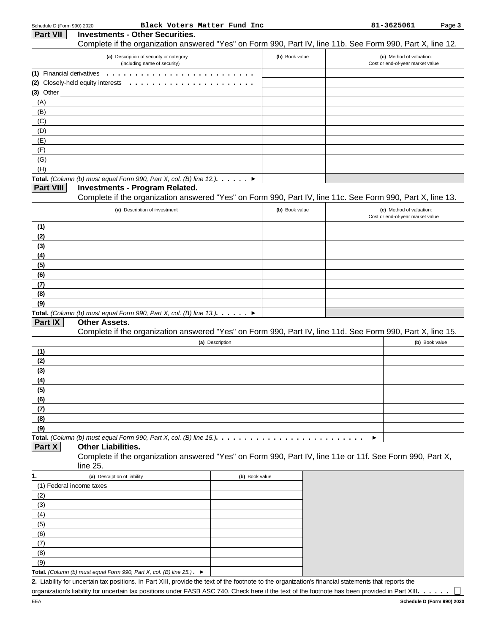| Schedule D (Form 990) 2020 | Black Voters Matter Fund Inc                                                                                                                                                                                                                         |                |                | 81-3625061                                                   | Page 3         |
|----------------------------|------------------------------------------------------------------------------------------------------------------------------------------------------------------------------------------------------------------------------------------------------|----------------|----------------|--------------------------------------------------------------|----------------|
| <b>Part VII</b>            | <b>Investments - Other Securities.</b>                                                                                                                                                                                                               |                |                |                                                              |                |
|                            | Complete if the organization answered "Yes" on Form 990, Part IV, line 11b. See Form 990, Part X, line 12.                                                                                                                                           |                |                |                                                              |                |
|                            | (a) Description of security or category<br>(including name of security)                                                                                                                                                                              |                | (b) Book value | (c) Method of valuation:<br>Cost or end-of-year market value |                |
| (1) Financial derivatives  |                                                                                                                                                                                                                                                      |                |                |                                                              |                |
|                            | (2) Closely-held equity interests $\ldots \ldots \ldots \ldots \ldots$                                                                                                                                                                               |                |                |                                                              |                |
| $(3)$ Other                |                                                                                                                                                                                                                                                      |                |                |                                                              |                |
| (A)                        |                                                                                                                                                                                                                                                      |                |                |                                                              |                |
| (B)                        |                                                                                                                                                                                                                                                      |                |                |                                                              |                |
| (C)                        |                                                                                                                                                                                                                                                      |                |                |                                                              |                |
| (D)                        |                                                                                                                                                                                                                                                      |                |                |                                                              |                |
| (E)                        |                                                                                                                                                                                                                                                      |                |                |                                                              |                |
| (F)                        |                                                                                                                                                                                                                                                      |                |                |                                                              |                |
| (G)                        |                                                                                                                                                                                                                                                      |                |                |                                                              |                |
| (H)                        |                                                                                                                                                                                                                                                      |                |                |                                                              |                |
| <b>Part VIII</b>           | Total. (Column (b) must equal Form 990, Part X, col. (B) line 12.). $\blacktriangleright$                                                                                                                                                            |                |                |                                                              |                |
|                            | <b>Investments - Program Related.</b>                                                                                                                                                                                                                |                |                |                                                              |                |
|                            | Complete if the organization answered "Yes" on Form 990, Part IV, line 11c. See Form 990, Part X, line 13.                                                                                                                                           |                |                |                                                              |                |
|                            | (a) Description of investment                                                                                                                                                                                                                        |                | (b) Book value | (c) Method of valuation:<br>Cost or end-of-year market value |                |
| (1)                        |                                                                                                                                                                                                                                                      |                |                |                                                              |                |
| (2)                        |                                                                                                                                                                                                                                                      |                |                |                                                              |                |
| (3)                        |                                                                                                                                                                                                                                                      |                |                |                                                              |                |
| (4)                        |                                                                                                                                                                                                                                                      |                |                |                                                              |                |
| (5)                        |                                                                                                                                                                                                                                                      |                |                |                                                              |                |
| (6)                        |                                                                                                                                                                                                                                                      |                |                |                                                              |                |
| (7)                        |                                                                                                                                                                                                                                                      |                |                |                                                              |                |
| (8)                        |                                                                                                                                                                                                                                                      |                |                |                                                              |                |
| (9)                        |                                                                                                                                                                                                                                                      |                |                |                                                              |                |
|                            | Total. (Column (b) must equal Form 990, Part X, col. (B) line 13.). $\ldots$ $\blacktriangleright$                                                                                                                                                   |                |                |                                                              |                |
| Part IX                    | <b>Other Assets.</b>                                                                                                                                                                                                                                 |                |                |                                                              |                |
|                            | Complete if the organization answered "Yes" on Form 990, Part IV, line 11d. See Form 990, Part X, line 15.                                                                                                                                           |                |                |                                                              |                |
|                            | (a) Description                                                                                                                                                                                                                                      |                |                |                                                              | (b) Book value |
| (1)                        |                                                                                                                                                                                                                                                      |                |                |                                                              |                |
| (2)                        |                                                                                                                                                                                                                                                      |                |                |                                                              |                |
| (3)                        |                                                                                                                                                                                                                                                      |                |                |                                                              |                |
| (4)                        |                                                                                                                                                                                                                                                      |                |                |                                                              |                |
| (5)                        |                                                                                                                                                                                                                                                      |                |                |                                                              |                |
| (6)                        |                                                                                                                                                                                                                                                      |                |                |                                                              |                |
| (7)                        |                                                                                                                                                                                                                                                      |                |                |                                                              |                |
| (8)                        |                                                                                                                                                                                                                                                      |                |                |                                                              |                |
| (9)                        |                                                                                                                                                                                                                                                      |                |                |                                                              |                |
|                            | Total. (Column (b) must equal Form 990, Part X, col. (B) line 15.). $\dots \dots \dots \dots \dots \dots \dots \dots$                                                                                                                                |                |                |                                                              |                |
| Part X                     | <b>Other Liabilities.</b>                                                                                                                                                                                                                            |                |                |                                                              |                |
|                            | Complete if the organization answered "Yes" on Form 990, Part IV, line 11e or 11f. See Form 990, Part X,<br>line 25.                                                                                                                                 |                |                |                                                              |                |
| 1.                         | (a) Description of liability                                                                                                                                                                                                                         | (b) Book value |                |                                                              |                |
| (1) Federal income taxes   |                                                                                                                                                                                                                                                      |                |                |                                                              |                |
| (2)                        |                                                                                                                                                                                                                                                      |                |                |                                                              |                |
| (3)                        |                                                                                                                                                                                                                                                      |                |                |                                                              |                |
| (4)                        |                                                                                                                                                                                                                                                      |                |                |                                                              |                |
| (5)                        |                                                                                                                                                                                                                                                      |                |                |                                                              |                |
| (6)                        |                                                                                                                                                                                                                                                      |                |                |                                                              |                |
| (7)                        |                                                                                                                                                                                                                                                      |                |                |                                                              |                |
| (8)                        |                                                                                                                                                                                                                                                      |                |                |                                                              |                |
| (9)                        |                                                                                                                                                                                                                                                      |                |                |                                                              |                |
|                            | Total. (Column (b) must equal Form 990, Part X, col. (B) line $25$ .). $\blacktriangleright$<br>2. Liability for uncertain tax positions. In Part XIII, provide the text of the footnote to the organization's financial statements that reports the |                |                |                                                              |                |
|                            |                                                                                                                                                                                                                                                      |                |                |                                                              |                |

organization's liability for uncertain tax positions under FASB ASC 740. Check here if the text of the footnote has been provided in Part XIII. . . . . .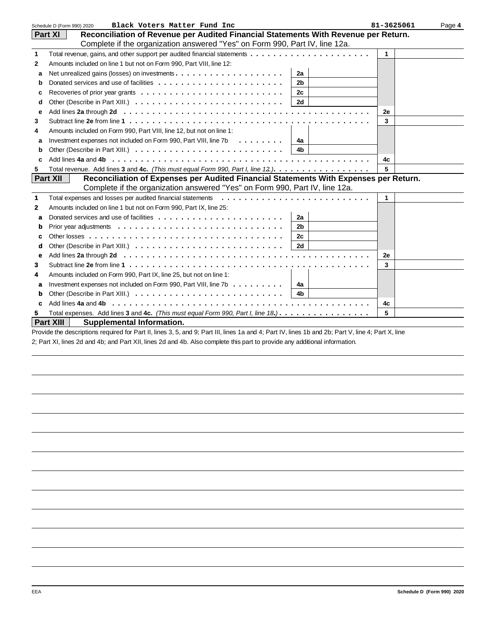|                | Schedule D (Form 990) 2020<br>Black Voters Matter Fund Inc                                                                                                                                                                     | 81-3625061   | Page 4 |
|----------------|--------------------------------------------------------------------------------------------------------------------------------------------------------------------------------------------------------------------------------|--------------|--------|
|                | Reconciliation of Revenue per Audited Financial Statements With Revenue per Return.<br>Part XI                                                                                                                                 |              |        |
|                | Complete if the organization answered "Yes" on Form 990, Part IV, line 12a.                                                                                                                                                    |              |        |
| $\mathbf{1}$   |                                                                                                                                                                                                                                | 1            |        |
| $\overline{2}$ | Amounts included on line 1 but not on Form 990, Part VIII, line 12:                                                                                                                                                            |              |        |
| a              | 2a                                                                                                                                                                                                                             |              |        |
| b              | 2 <sub>b</sub>                                                                                                                                                                                                                 |              |        |
| C              | Recoveries of prior year grants $\dots \dots \dots \dots \dots \dots \dots \dots \dots$<br>2c                                                                                                                                  |              |        |
| d              | <b>2d</b>                                                                                                                                                                                                                      |              |        |
| e              |                                                                                                                                                                                                                                | 2е           |        |
| 3              | Subtract line 2e from line 1 $\dots$ , $\dots$ , $\dots$ , $\dots$ , $\dots$ , $\dots$ , $\dots$ , $\dots$ , $\dots$ , $\dots$ , $\dots$ , $\dots$ , $\dots$ , $\dots$                                                         | 3            |        |
| 4              | Amounts included on Form 990, Part VIII, line 12, but not on line 1:                                                                                                                                                           |              |        |
| a              | Investment expenses not included on Form 990, Part VIII, line 7b<br>4a                                                                                                                                                         |              |        |
| b              | 4 <sub>b</sub>                                                                                                                                                                                                                 |              |        |
| c              | Add lines 4a and 4b entitled to contact the contract of the contract of the contract of the contact of the contact of the contact of the contact of the contact of the contact of the contact of the contact of the contact of | 4c           |        |
| 5              | Total revenue. Add lines 3 and 4c. (This must equal Form 990, Part I, line 12.).                                                                                                                                               | 5            |        |
|                | <b>Part XII</b><br>Reconciliation of Expenses per Audited Financial Statements With Expenses per Return.                                                                                                                       |              |        |
|                | Complete if the organization answered "Yes" on Form 990, Part IV, line 12a.                                                                                                                                                    |              |        |
| $\mathbf{1}$   | Total expenses and losses per audited financial statements                                                                                                                                                                     | $\mathbf{1}$ |        |
| $\mathbf{2}$   | Amounts included on line 1 but not on Form 990, Part IX, line 25:                                                                                                                                                              |              |        |
| a              | 2a                                                                                                                                                                                                                             |              |        |
| b              | 2 <sub>b</sub>                                                                                                                                                                                                                 |              |        |
| c              | Other losses $\ldots \ldots \ldots \ldots \ldots \ldots \ldots \ldots \ldots \ldots \ldots$<br>2c                                                                                                                              |              |        |
| d              | 2d                                                                                                                                                                                                                             |              |        |
| e              |                                                                                                                                                                                                                                | 2е           |        |
| 3              |                                                                                                                                                                                                                                | 3            |        |
| 4              | Amounts included on Form 990, Part IX, line 25, but not on line 1:                                                                                                                                                             |              |        |
| a              | Investment expenses not included on Form 990, Part VIII, line $7b \ldots \ldots$<br>4a                                                                                                                                         |              |        |
| b              | 4b.                                                                                                                                                                                                                            |              |        |
| c              |                                                                                                                                                                                                                                | 4c           |        |
| 5.             | Total expenses. Add lines 3 and 4c. (This must equal Form 990, Part I, line 18.).                                                                                                                                              | 5            |        |
|                | <b>Part XIII</b><br><b>Supplemental Information.</b>                                                                                                                                                                           |              |        |

Provide the descriptions required for Part II, lines 3, 5, and 9; Part III, lines 1a and 4; Part IV, lines 1b and 2b; Part V, line 4; Part X, line 2; Part XI, lines 2d and 4b; and Part XII, lines 2d and 4b. Also complete this part to provide any additional information.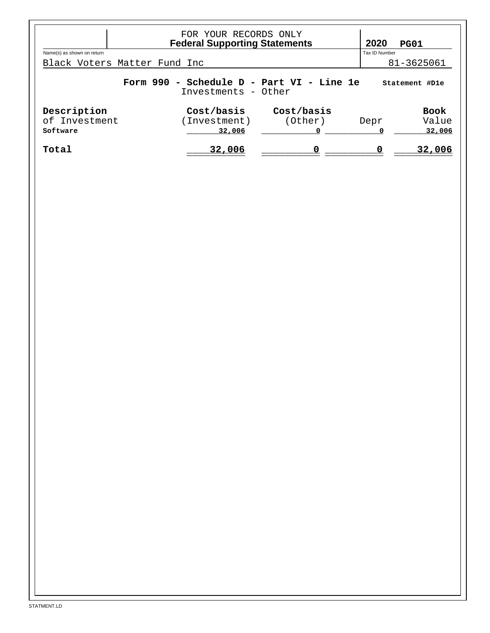|                                                                                    | FOR YOUR RECORDS ONLY<br><b>Federal Supporting Statements</b> |            | 2020          | <b>PG01</b> |  |
|------------------------------------------------------------------------------------|---------------------------------------------------------------|------------|---------------|-------------|--|
| Name(s) as shown on return                                                         |                                                               |            | Tax ID Number |             |  |
| Black Voters Matter Fund Inc                                                       |                                                               |            |               | 81-3625061  |  |
| Form 990 - Schedule D - Part VI - Line 1e<br>Statement #D1e<br>Investments - Other |                                                               |            |               |             |  |
| Description                                                                        | Cost/basis                                                    | Cost/basis |               | <b>Book</b> |  |
| of Investment                                                                      | Investment)                                                   | (Other)    | Depr          | Value       |  |
| Software                                                                           | 32,006                                                        |            |               | 32,006      |  |
| Total                                                                              | 32,006                                                        | 0          |               | 32,006      |  |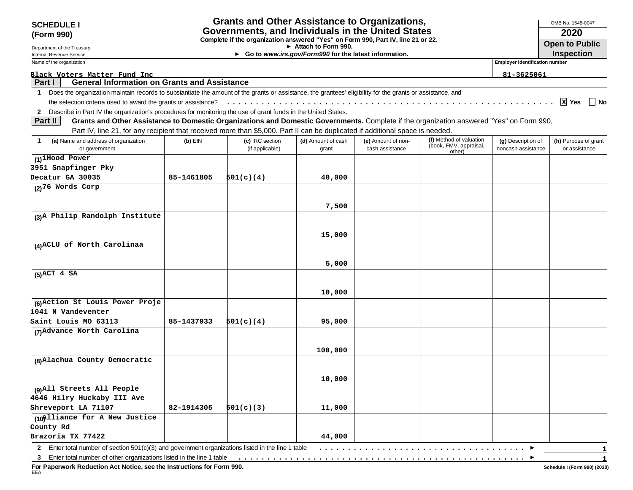| <b>SCHEDULE I</b>                                                                                                                                                         |                                                                                                                                          | <b>Grants and Other Assistance to Organizations,</b>                             |                                                                                                                                 |                                       |                                                   |                                          | OMB No. 1545-0047                     |
|---------------------------------------------------------------------------------------------------------------------------------------------------------------------------|------------------------------------------------------------------------------------------------------------------------------------------|----------------------------------------------------------------------------------|---------------------------------------------------------------------------------------------------------------------------------|---------------------------------------|---------------------------------------------------|------------------------------------------|---------------------------------------|
| (Form 990)                                                                                                                                                                |                                                                                                                                          | Governments, and Individuals in the United States                                |                                                                                                                                 |                                       |                                                   |                                          | 2020                                  |
|                                                                                                                                                                           |                                                                                                                                          | Complete if the organization answered "Yes" on Form 990, Part IV, line 21 or 22. | Attach to Form 990.                                                                                                             |                                       |                                                   |                                          | <b>Open to Public</b>                 |
| Department of the Treasury<br>Internal Revenue Service                                                                                                                    |                                                                                                                                          |                                                                                  | ► Go to www.irs.gov/Form990 for the latest information.                                                                         |                                       |                                                   |                                          | Inspection                            |
| Name of the organization                                                                                                                                                  |                                                                                                                                          |                                                                                  |                                                                                                                                 |                                       |                                                   | <b>Employer identification number</b>    |                                       |
| Black Voters Matter Fund Inc                                                                                                                                              |                                                                                                                                          |                                                                                  |                                                                                                                                 |                                       |                                                   | 81-3625061                               |                                       |
| Part I                                                                                                                                                                    | <b>General Information on Grants and Assistance</b>                                                                                      |                                                                                  |                                                                                                                                 |                                       |                                                   |                                          |                                       |
| Does the organization maintain records to substantiate the amount of the grants or assistance, the grantees' eligibility for the grants or assistance, and<br>$\mathbf 1$ |                                                                                                                                          |                                                                                  |                                                                                                                                 |                                       |                                                   |                                          |                                       |
|                                                                                                                                                                           |                                                                                                                                          |                                                                                  |                                                                                                                                 |                                       |                                                   |                                          | $\mathbf{x}$ Yes<br>∣ ∣No             |
| 2 Describe in Part IV the organization's procedures for monitoring the use of grant funds in the United States.                                                           |                                                                                                                                          |                                                                                  |                                                                                                                                 |                                       |                                                   |                                          |                                       |
| Part II                                                                                                                                                                   | Grants and Other Assistance to Domestic Organizations and Domestic Governments. Complete if the organization answered "Yes" on Form 990, |                                                                                  |                                                                                                                                 |                                       |                                                   |                                          |                                       |
|                                                                                                                                                                           | Part IV, line 21, for any recipient that received more than \$5,000. Part II can be duplicated if additional space is needed.            |                                                                                  |                                                                                                                                 |                                       |                                                   |                                          |                                       |
| (a) Name and address of organization<br>$\mathbf 1$<br>or government                                                                                                      | $(b)$ EIN                                                                                                                                | (c) IRC section<br>(if applicable)                                               | (d) Amount of cash<br>grant                                                                                                     | (e) Amount of non-<br>cash assistance | (f) Method of valuation<br>(book, FMV, appraisal, | (g) Description of<br>noncash assistance | (h) Purpose of grant<br>or assistance |
| $(1)$ <sup>1</sup> Hood Power                                                                                                                                             |                                                                                                                                          |                                                                                  |                                                                                                                                 |                                       | other)                                            |                                          |                                       |
| 3951 Snapfinger Pky                                                                                                                                                       |                                                                                                                                          |                                                                                  |                                                                                                                                 |                                       |                                                   |                                          |                                       |
| Decatur GA 30035                                                                                                                                                          | 85-1461805                                                                                                                               | 501(c)(4)                                                                        | 40,000                                                                                                                          |                                       |                                                   |                                          |                                       |
| $(2)$ <sup>76</sup> Words Corp                                                                                                                                            |                                                                                                                                          |                                                                                  |                                                                                                                                 |                                       |                                                   |                                          |                                       |
|                                                                                                                                                                           |                                                                                                                                          |                                                                                  |                                                                                                                                 |                                       |                                                   |                                          |                                       |
|                                                                                                                                                                           |                                                                                                                                          |                                                                                  | 7,500                                                                                                                           |                                       |                                                   |                                          |                                       |
| (3) A Philip Randolph Institute                                                                                                                                           |                                                                                                                                          |                                                                                  |                                                                                                                                 |                                       |                                                   |                                          |                                       |
|                                                                                                                                                                           |                                                                                                                                          |                                                                                  |                                                                                                                                 |                                       |                                                   |                                          |                                       |
|                                                                                                                                                                           |                                                                                                                                          |                                                                                  | 15,000                                                                                                                          |                                       |                                                   |                                          |                                       |
| (4) ACLU of North Carolinaa                                                                                                                                               |                                                                                                                                          |                                                                                  |                                                                                                                                 |                                       |                                                   |                                          |                                       |
|                                                                                                                                                                           |                                                                                                                                          |                                                                                  |                                                                                                                                 |                                       |                                                   |                                          |                                       |
|                                                                                                                                                                           |                                                                                                                                          |                                                                                  | 5,000                                                                                                                           |                                       |                                                   |                                          |                                       |
| $(5)$ ACT 4 SA                                                                                                                                                            |                                                                                                                                          |                                                                                  |                                                                                                                                 |                                       |                                                   |                                          |                                       |
|                                                                                                                                                                           |                                                                                                                                          |                                                                                  |                                                                                                                                 |                                       |                                                   |                                          |                                       |
|                                                                                                                                                                           |                                                                                                                                          |                                                                                  | 10,000                                                                                                                          |                                       |                                                   |                                          |                                       |
| (6) Action St Louis Power Proje<br>1041 N Vandeventer                                                                                                                     |                                                                                                                                          |                                                                                  |                                                                                                                                 |                                       |                                                   |                                          |                                       |
| Saint Louis MO 63113                                                                                                                                                      | 85-1437933                                                                                                                               | 501(c)(4)                                                                        | 95,000                                                                                                                          |                                       |                                                   |                                          |                                       |
| (7) Advance North Carolina                                                                                                                                                |                                                                                                                                          |                                                                                  |                                                                                                                                 |                                       |                                                   |                                          |                                       |
|                                                                                                                                                                           |                                                                                                                                          |                                                                                  |                                                                                                                                 |                                       |                                                   |                                          |                                       |
|                                                                                                                                                                           |                                                                                                                                          |                                                                                  | 100,000                                                                                                                         |                                       |                                                   |                                          |                                       |
| (8) Alachua County Democratic                                                                                                                                             |                                                                                                                                          |                                                                                  |                                                                                                                                 |                                       |                                                   |                                          |                                       |
|                                                                                                                                                                           |                                                                                                                                          |                                                                                  |                                                                                                                                 |                                       |                                                   |                                          |                                       |
|                                                                                                                                                                           |                                                                                                                                          |                                                                                  | 10,000                                                                                                                          |                                       |                                                   |                                          |                                       |
| (9) All Streets All People                                                                                                                                                |                                                                                                                                          |                                                                                  |                                                                                                                                 |                                       |                                                   |                                          |                                       |
| 4646 Hilry Huckaby III Ave                                                                                                                                                |                                                                                                                                          |                                                                                  |                                                                                                                                 |                                       |                                                   |                                          |                                       |
| Shreveport LA 71107                                                                                                                                                       | 82-1914305                                                                                                                               | 501(c)(3)                                                                        | 11,000                                                                                                                          |                                       |                                                   |                                          |                                       |
| (10) liance for A New Justice                                                                                                                                             |                                                                                                                                          |                                                                                  |                                                                                                                                 |                                       |                                                   |                                          |                                       |
| County Rd                                                                                                                                                                 |                                                                                                                                          |                                                                                  |                                                                                                                                 |                                       |                                                   |                                          |                                       |
| Brazoria TX 77422                                                                                                                                                         |                                                                                                                                          |                                                                                  | 44,000                                                                                                                          |                                       |                                                   |                                          |                                       |
| Enter total number of section 501(c)(3) and government organizations listed in the line 1 table<br>$\mathbf{2}$                                                           |                                                                                                                                          |                                                                                  |                                                                                                                                 |                                       |                                                   |                                          |                                       |
| 3 Enter total number of other organizations listed in the line 1 table                                                                                                    |                                                                                                                                          |                                                                                  | . The contract of the contract of the contract of the contract of the contract of the contract of the contract of $\mathcal{A}$ |                                       |                                                   |                                          |                                       |

**For Paperwork Reduction Act Notice, see the Instructions for Form 990.** EEA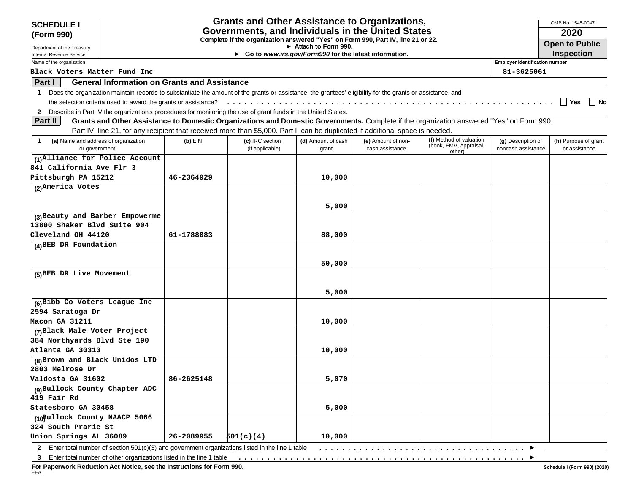| <b>SCHEDULE I</b>                                      |                                                                |            | <b>Grants and Other Assistance to Organizations,</b>                                                                                                       |                                                                                |                    |                                                                                                                                          |                                       | OMB No. 1545-0047     |
|--------------------------------------------------------|----------------------------------------------------------------|------------|------------------------------------------------------------------------------------------------------------------------------------------------------------|--------------------------------------------------------------------------------|--------------------|------------------------------------------------------------------------------------------------------------------------------------------|---------------------------------------|-----------------------|
| (Form 990)                                             |                                                                |            | Governments, and Individuals in the United States                                                                                                          |                                                                                |                    |                                                                                                                                          |                                       | 2020                  |
|                                                        |                                                                |            | Complete if the organization answered "Yes" on Form 990, Part IV, line 21 or 22.                                                                           |                                                                                |                    |                                                                                                                                          |                                       | <b>Open to Public</b> |
| Department of the Treasury<br>Internal Revenue Service |                                                                |            |                                                                                                                                                            | Attach to Form 990.<br>► Go to www.irs.gov/Form990 for the latest information. |                    |                                                                                                                                          |                                       | Inspection            |
| Name of the organization                               |                                                                |            |                                                                                                                                                            |                                                                                |                    |                                                                                                                                          | <b>Employer identification number</b> |                       |
| Black Voters Matter Fund Inc                           |                                                                |            |                                                                                                                                                            |                                                                                |                    |                                                                                                                                          | 81-3625061                            |                       |
| Part I                                                 | <b>General Information on Grants and Assistance</b>            |            |                                                                                                                                                            |                                                                                |                    |                                                                                                                                          |                                       |                       |
| $\mathbf 1$                                            |                                                                |            | Does the organization maintain records to substantiate the amount of the grants or assistance, the grantees' eligibility for the grants or assistance, and |                                                                                |                    |                                                                                                                                          |                                       |                       |
|                                                        | the selection criteria used to award the grants or assistance? |            |                                                                                                                                                            |                                                                                |                    |                                                                                                                                          |                                       | Yes<br>  No           |
|                                                        |                                                                |            | 2 Describe in Part IV the organization's procedures for monitoring the use of grant funds in the United States.                                            |                                                                                |                    |                                                                                                                                          |                                       |                       |
| Part II                                                |                                                                |            |                                                                                                                                                            |                                                                                |                    | Grants and Other Assistance to Domestic Organizations and Domestic Governments. Complete if the organization answered "Yes" on Form 990, |                                       |                       |
|                                                        |                                                                |            | Part IV, line 21, for any recipient that received more than \$5,000. Part II can be duplicated if additional space is needed.                              |                                                                                |                    |                                                                                                                                          |                                       |                       |
| (a) Name and address of organization<br>$\mathbf 1$    |                                                                | $(b)$ EIN  | (c) IRC section                                                                                                                                            | (d) Amount of cash                                                             | (e) Amount of non- | (f) Method of valuation                                                                                                                  | (g) Description of                    | (h) Purpose of grant  |
| or government                                          |                                                                |            | (if applicable)                                                                                                                                            | grant                                                                          | cash assistance    | (book, FMV, appraisal,<br>other)                                                                                                         | noncash assistance                    | or assistance         |
| (1) Alliance for Police Account                        |                                                                |            |                                                                                                                                                            |                                                                                |                    |                                                                                                                                          |                                       |                       |
| 841 California Ave Flr 3                               |                                                                |            |                                                                                                                                                            |                                                                                |                    |                                                                                                                                          |                                       |                       |
| Pittsburgh PA 15212                                    |                                                                | 46-2364929 |                                                                                                                                                            | 10,000                                                                         |                    |                                                                                                                                          |                                       |                       |
| (2) America Votes                                      |                                                                |            |                                                                                                                                                            |                                                                                |                    |                                                                                                                                          |                                       |                       |
|                                                        |                                                                |            |                                                                                                                                                            |                                                                                |                    |                                                                                                                                          |                                       |                       |
|                                                        |                                                                |            |                                                                                                                                                            | 5,000                                                                          |                    |                                                                                                                                          |                                       |                       |
| (3) Beauty and Barber Empowerme                        |                                                                |            |                                                                                                                                                            |                                                                                |                    |                                                                                                                                          |                                       |                       |
| 13800 Shaker Blvd Suite 904                            |                                                                |            |                                                                                                                                                            |                                                                                |                    |                                                                                                                                          |                                       |                       |
| Cleveland OH 44120                                     |                                                                | 61-1788083 |                                                                                                                                                            | 88,000                                                                         |                    |                                                                                                                                          |                                       |                       |
| (4) BEB DR Foundation                                  |                                                                |            |                                                                                                                                                            |                                                                                |                    |                                                                                                                                          |                                       |                       |
|                                                        |                                                                |            |                                                                                                                                                            |                                                                                |                    |                                                                                                                                          |                                       |                       |
|                                                        |                                                                |            |                                                                                                                                                            | 50,000                                                                         |                    |                                                                                                                                          |                                       |                       |
| (5) BEB DR Live Movement                               |                                                                |            |                                                                                                                                                            |                                                                                |                    |                                                                                                                                          |                                       |                       |
|                                                        |                                                                |            |                                                                                                                                                            |                                                                                |                    |                                                                                                                                          |                                       |                       |
|                                                        |                                                                |            |                                                                                                                                                            | 5,000                                                                          |                    |                                                                                                                                          |                                       |                       |
| (6) Bibb Co Voters League Inc                          |                                                                |            |                                                                                                                                                            |                                                                                |                    |                                                                                                                                          |                                       |                       |
| 2594 Saratoga Dr                                       |                                                                |            |                                                                                                                                                            |                                                                                |                    |                                                                                                                                          |                                       |                       |
| Macon GA 31211                                         |                                                                |            |                                                                                                                                                            | 10,000                                                                         |                    |                                                                                                                                          |                                       |                       |
| (7) Black Male Voter Project                           |                                                                |            |                                                                                                                                                            |                                                                                |                    |                                                                                                                                          |                                       |                       |
| 384 Northyards Blvd Ste 190                            |                                                                |            |                                                                                                                                                            |                                                                                |                    |                                                                                                                                          |                                       |                       |
| Atlanta GA 30313                                       |                                                                |            |                                                                                                                                                            | 10,000                                                                         |                    |                                                                                                                                          |                                       |                       |
| (8) Brown and Black Unidos LTD                         |                                                                |            |                                                                                                                                                            |                                                                                |                    |                                                                                                                                          |                                       |                       |
| 2803 Melrose Dr                                        |                                                                |            |                                                                                                                                                            |                                                                                |                    |                                                                                                                                          |                                       |                       |
| Valdosta GA 31602                                      |                                                                | 86-2625148 |                                                                                                                                                            | 5,070                                                                          |                    |                                                                                                                                          |                                       |                       |
| (9) Bullock County Chapter ADC                         |                                                                |            |                                                                                                                                                            |                                                                                |                    |                                                                                                                                          |                                       |                       |
| 419 Fair Rd                                            |                                                                |            |                                                                                                                                                            |                                                                                |                    |                                                                                                                                          |                                       |                       |
| Statesboro GA 30458                                    |                                                                |            |                                                                                                                                                            | 5,000                                                                          |                    |                                                                                                                                          |                                       |                       |
| (10 Bullock County NAACP 5066                          |                                                                |            |                                                                                                                                                            |                                                                                |                    |                                                                                                                                          |                                       |                       |
| 324 South Prarie St                                    |                                                                |            |                                                                                                                                                            |                                                                                |                    |                                                                                                                                          |                                       |                       |
| Union Springs AL 36089                                 |                                                                | 26-2089955 | 501(c)(4)                                                                                                                                                  | 10,000                                                                         |                    |                                                                                                                                          |                                       |                       |
|                                                        |                                                                |            | 2 Enter total number of section $501(c)(3)$ and government organizations listed in the line 1 table                                                        |                                                                                |                    |                                                                                                                                          |                                       |                       |

**For Paperwork Reduction Act Notice, see the Instructions for Form 990.** EEA

 $\overline{\phantom{a}}$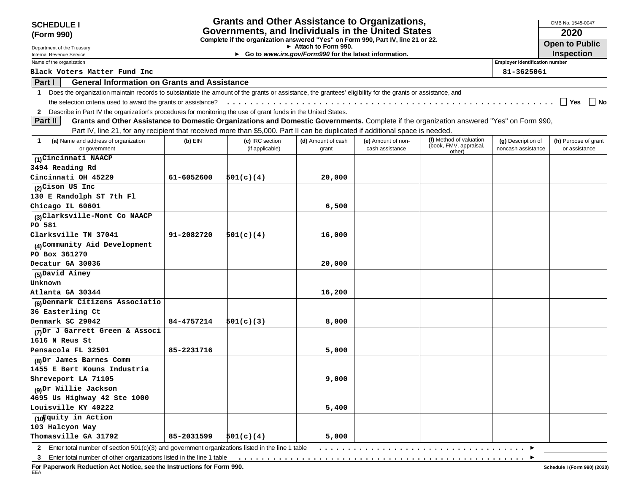| Governments, and Individuals in the United States<br>2020<br>(Form 990)<br>Complete if the organization answered "Yes" on Form 990, Part IV, line 21 or 22.<br><b>Open to Public</b><br>$\triangleright$ Attach to Form 990.<br>Department of the Treasury<br><b>Inspection</b><br>► Go to www.irs.gov/Form990 for the latest information.<br>Internal Revenue Service<br><b>Employer identification number</b><br>Name of the organization<br>81-3625061<br>Black Voters Matter Fund Inc<br><b>General Information on Grants and Assistance</b><br>Part I<br>Does the organization maintain records to substantiate the amount of the grants or assistance, the grantees' eligibility for the grants or assistance, and<br>$\mathbf 1$<br>the selection criteria used to award the grants or assistance?<br>∣ Yes<br>2 Describe in Part IV the organization's procedures for monitoring the use of grant funds in the United States.<br>Grants and Other Assistance to Domestic Organizations and Domestic Governments. Complete if the organization answered "Yes" on Form 990,<br><b>Part II</b><br>Part IV, line 21, for any recipient that received more than \$5,000. Part II can be duplicated if additional space is needed.<br>(f) Method of valuation<br>(a) Name and address of organization<br>$(b)$ EIN<br>(c) IRC section<br>(d) Amount of cash<br>(e) Amount of non-<br>(g) Description of<br>$\mathbf 1$<br>(book, FMV, appraisal,<br>(if applicable)<br>cash assistance<br>noncash assistance<br>or government<br>grant<br>other)<br>(1) Cincinnati NAACP<br>3494 Reading Rd<br>Cincinnati OH 45229<br>61-6052600<br>501(c)(4)<br>20,000<br>(2) Cison US Inc<br>130 E Randolph ST 7th Fl<br>Chicago IL 60601<br>6,500<br>(3) Clarksville-Mont Co NAACP<br>PO 581<br>Clarksville TN 37041<br>91-2082720<br>501(c)(4)<br>16,000<br>(4) Community Aid Development<br>PO Box 361270<br>Decatur GA 30036<br>20,000<br>(5) David Ainey<br>Unknown<br>Atlanta GA 30344<br>16,200<br>(6) Denmark Citizens Associatio<br>36 Easterling Ct<br>Denmark SC 29042<br>84-4757214<br>501(c)(3)<br>8,000<br>(7) Dr J Garrett Green & Associ<br>1616 N Reus St<br>Pensacola FL 32501<br>85-2231716<br>5,000<br>(8) Dr James Barnes Comm<br>1455 E Bert Kouns Industria<br>Shreveport LA 71105<br>9,000<br>(9) Dr Willie Jackson<br>4695 Us Highway 42 Ste 1000<br>Louisville KY 40222<br>5,400<br>(10Fquity in Action<br>103 Halcyon Way | <b>SCHEDULE I</b>    |            | <b>Grants and Other Assistance to Organizations,</b> |  |  | OMB No. 1545-0047    |
|------------------------------------------------------------------------------------------------------------------------------------------------------------------------------------------------------------------------------------------------------------------------------------------------------------------------------------------------------------------------------------------------------------------------------------------------------------------------------------------------------------------------------------------------------------------------------------------------------------------------------------------------------------------------------------------------------------------------------------------------------------------------------------------------------------------------------------------------------------------------------------------------------------------------------------------------------------------------------------------------------------------------------------------------------------------------------------------------------------------------------------------------------------------------------------------------------------------------------------------------------------------------------------------------------------------------------------------------------------------------------------------------------------------------------------------------------------------------------------------------------------------------------------------------------------------------------------------------------------------------------------------------------------------------------------------------------------------------------------------------------------------------------------------------------------------------------------------------------------------------------------------------------------------------------------------------------------------------------------------------------------------------------------------------------------------------------------------------------------------------------------------------------------------------------------------------------------------------------------------------------------------------------------------------------------------------------------------------------------------------------------------------------------------------------------------|----------------------|------------|------------------------------------------------------|--|--|----------------------|
|                                                                                                                                                                                                                                                                                                                                                                                                                                                                                                                                                                                                                                                                                                                                                                                                                                                                                                                                                                                                                                                                                                                                                                                                                                                                                                                                                                                                                                                                                                                                                                                                                                                                                                                                                                                                                                                                                                                                                                                                                                                                                                                                                                                                                                                                                                                                                                                                                                          |                      |            |                                                      |  |  |                      |
|                                                                                                                                                                                                                                                                                                                                                                                                                                                                                                                                                                                                                                                                                                                                                                                                                                                                                                                                                                                                                                                                                                                                                                                                                                                                                                                                                                                                                                                                                                                                                                                                                                                                                                                                                                                                                                                                                                                                                                                                                                                                                                                                                                                                                                                                                                                                                                                                                                          |                      |            |                                                      |  |  |                      |
|                                                                                                                                                                                                                                                                                                                                                                                                                                                                                                                                                                                                                                                                                                                                                                                                                                                                                                                                                                                                                                                                                                                                                                                                                                                                                                                                                                                                                                                                                                                                                                                                                                                                                                                                                                                                                                                                                                                                                                                                                                                                                                                                                                                                                                                                                                                                                                                                                                          |                      |            |                                                      |  |  |                      |
|                                                                                                                                                                                                                                                                                                                                                                                                                                                                                                                                                                                                                                                                                                                                                                                                                                                                                                                                                                                                                                                                                                                                                                                                                                                                                                                                                                                                                                                                                                                                                                                                                                                                                                                                                                                                                                                                                                                                                                                                                                                                                                                                                                                                                                                                                                                                                                                                                                          |                      |            |                                                      |  |  |                      |
|                                                                                                                                                                                                                                                                                                                                                                                                                                                                                                                                                                                                                                                                                                                                                                                                                                                                                                                                                                                                                                                                                                                                                                                                                                                                                                                                                                                                                                                                                                                                                                                                                                                                                                                                                                                                                                                                                                                                                                                                                                                                                                                                                                                                                                                                                                                                                                                                                                          |                      |            |                                                      |  |  |                      |
|                                                                                                                                                                                                                                                                                                                                                                                                                                                                                                                                                                                                                                                                                                                                                                                                                                                                                                                                                                                                                                                                                                                                                                                                                                                                                                                                                                                                                                                                                                                                                                                                                                                                                                                                                                                                                                                                                                                                                                                                                                                                                                                                                                                                                                                                                                                                                                                                                                          |                      |            |                                                      |  |  |                      |
|                                                                                                                                                                                                                                                                                                                                                                                                                                                                                                                                                                                                                                                                                                                                                                                                                                                                                                                                                                                                                                                                                                                                                                                                                                                                                                                                                                                                                                                                                                                                                                                                                                                                                                                                                                                                                                                                                                                                                                                                                                                                                                                                                                                                                                                                                                                                                                                                                                          |                      |            |                                                      |  |  |                      |
|                                                                                                                                                                                                                                                                                                                                                                                                                                                                                                                                                                                                                                                                                                                                                                                                                                                                                                                                                                                                                                                                                                                                                                                                                                                                                                                                                                                                                                                                                                                                                                                                                                                                                                                                                                                                                                                                                                                                                                                                                                                                                                                                                                                                                                                                                                                                                                                                                                          |                      |            |                                                      |  |  | ∣ I No               |
|                                                                                                                                                                                                                                                                                                                                                                                                                                                                                                                                                                                                                                                                                                                                                                                                                                                                                                                                                                                                                                                                                                                                                                                                                                                                                                                                                                                                                                                                                                                                                                                                                                                                                                                                                                                                                                                                                                                                                                                                                                                                                                                                                                                                                                                                                                                                                                                                                                          |                      |            |                                                      |  |  |                      |
|                                                                                                                                                                                                                                                                                                                                                                                                                                                                                                                                                                                                                                                                                                                                                                                                                                                                                                                                                                                                                                                                                                                                                                                                                                                                                                                                                                                                                                                                                                                                                                                                                                                                                                                                                                                                                                                                                                                                                                                                                                                                                                                                                                                                                                                                                                                                                                                                                                          |                      |            |                                                      |  |  |                      |
|                                                                                                                                                                                                                                                                                                                                                                                                                                                                                                                                                                                                                                                                                                                                                                                                                                                                                                                                                                                                                                                                                                                                                                                                                                                                                                                                                                                                                                                                                                                                                                                                                                                                                                                                                                                                                                                                                                                                                                                                                                                                                                                                                                                                                                                                                                                                                                                                                                          |                      |            |                                                      |  |  |                      |
|                                                                                                                                                                                                                                                                                                                                                                                                                                                                                                                                                                                                                                                                                                                                                                                                                                                                                                                                                                                                                                                                                                                                                                                                                                                                                                                                                                                                                                                                                                                                                                                                                                                                                                                                                                                                                                                                                                                                                                                                                                                                                                                                                                                                                                                                                                                                                                                                                                          |                      |            |                                                      |  |  | (h) Purpose of grant |
|                                                                                                                                                                                                                                                                                                                                                                                                                                                                                                                                                                                                                                                                                                                                                                                                                                                                                                                                                                                                                                                                                                                                                                                                                                                                                                                                                                                                                                                                                                                                                                                                                                                                                                                                                                                                                                                                                                                                                                                                                                                                                                                                                                                                                                                                                                                                                                                                                                          |                      |            |                                                      |  |  | or assistance        |
|                                                                                                                                                                                                                                                                                                                                                                                                                                                                                                                                                                                                                                                                                                                                                                                                                                                                                                                                                                                                                                                                                                                                                                                                                                                                                                                                                                                                                                                                                                                                                                                                                                                                                                                                                                                                                                                                                                                                                                                                                                                                                                                                                                                                                                                                                                                                                                                                                                          |                      |            |                                                      |  |  |                      |
|                                                                                                                                                                                                                                                                                                                                                                                                                                                                                                                                                                                                                                                                                                                                                                                                                                                                                                                                                                                                                                                                                                                                                                                                                                                                                                                                                                                                                                                                                                                                                                                                                                                                                                                                                                                                                                                                                                                                                                                                                                                                                                                                                                                                                                                                                                                                                                                                                                          |                      |            |                                                      |  |  |                      |
|                                                                                                                                                                                                                                                                                                                                                                                                                                                                                                                                                                                                                                                                                                                                                                                                                                                                                                                                                                                                                                                                                                                                                                                                                                                                                                                                                                                                                                                                                                                                                                                                                                                                                                                                                                                                                                                                                                                                                                                                                                                                                                                                                                                                                                                                                                                                                                                                                                          |                      |            |                                                      |  |  |                      |
|                                                                                                                                                                                                                                                                                                                                                                                                                                                                                                                                                                                                                                                                                                                                                                                                                                                                                                                                                                                                                                                                                                                                                                                                                                                                                                                                                                                                                                                                                                                                                                                                                                                                                                                                                                                                                                                                                                                                                                                                                                                                                                                                                                                                                                                                                                                                                                                                                                          |                      |            |                                                      |  |  |                      |
|                                                                                                                                                                                                                                                                                                                                                                                                                                                                                                                                                                                                                                                                                                                                                                                                                                                                                                                                                                                                                                                                                                                                                                                                                                                                                                                                                                                                                                                                                                                                                                                                                                                                                                                                                                                                                                                                                                                                                                                                                                                                                                                                                                                                                                                                                                                                                                                                                                          |                      |            |                                                      |  |  |                      |
|                                                                                                                                                                                                                                                                                                                                                                                                                                                                                                                                                                                                                                                                                                                                                                                                                                                                                                                                                                                                                                                                                                                                                                                                                                                                                                                                                                                                                                                                                                                                                                                                                                                                                                                                                                                                                                                                                                                                                                                                                                                                                                                                                                                                                                                                                                                                                                                                                                          |                      |            |                                                      |  |  |                      |
|                                                                                                                                                                                                                                                                                                                                                                                                                                                                                                                                                                                                                                                                                                                                                                                                                                                                                                                                                                                                                                                                                                                                                                                                                                                                                                                                                                                                                                                                                                                                                                                                                                                                                                                                                                                                                                                                                                                                                                                                                                                                                                                                                                                                                                                                                                                                                                                                                                          |                      |            |                                                      |  |  |                      |
|                                                                                                                                                                                                                                                                                                                                                                                                                                                                                                                                                                                                                                                                                                                                                                                                                                                                                                                                                                                                                                                                                                                                                                                                                                                                                                                                                                                                                                                                                                                                                                                                                                                                                                                                                                                                                                                                                                                                                                                                                                                                                                                                                                                                                                                                                                                                                                                                                                          |                      |            |                                                      |  |  |                      |
|                                                                                                                                                                                                                                                                                                                                                                                                                                                                                                                                                                                                                                                                                                                                                                                                                                                                                                                                                                                                                                                                                                                                                                                                                                                                                                                                                                                                                                                                                                                                                                                                                                                                                                                                                                                                                                                                                                                                                                                                                                                                                                                                                                                                                                                                                                                                                                                                                                          |                      |            |                                                      |  |  |                      |
|                                                                                                                                                                                                                                                                                                                                                                                                                                                                                                                                                                                                                                                                                                                                                                                                                                                                                                                                                                                                                                                                                                                                                                                                                                                                                                                                                                                                                                                                                                                                                                                                                                                                                                                                                                                                                                                                                                                                                                                                                                                                                                                                                                                                                                                                                                                                                                                                                                          |                      |            |                                                      |  |  |                      |
|                                                                                                                                                                                                                                                                                                                                                                                                                                                                                                                                                                                                                                                                                                                                                                                                                                                                                                                                                                                                                                                                                                                                                                                                                                                                                                                                                                                                                                                                                                                                                                                                                                                                                                                                                                                                                                                                                                                                                                                                                                                                                                                                                                                                                                                                                                                                                                                                                                          |                      |            |                                                      |  |  |                      |
|                                                                                                                                                                                                                                                                                                                                                                                                                                                                                                                                                                                                                                                                                                                                                                                                                                                                                                                                                                                                                                                                                                                                                                                                                                                                                                                                                                                                                                                                                                                                                                                                                                                                                                                                                                                                                                                                                                                                                                                                                                                                                                                                                                                                                                                                                                                                                                                                                                          |                      |            |                                                      |  |  |                      |
|                                                                                                                                                                                                                                                                                                                                                                                                                                                                                                                                                                                                                                                                                                                                                                                                                                                                                                                                                                                                                                                                                                                                                                                                                                                                                                                                                                                                                                                                                                                                                                                                                                                                                                                                                                                                                                                                                                                                                                                                                                                                                                                                                                                                                                                                                                                                                                                                                                          |                      |            |                                                      |  |  |                      |
|                                                                                                                                                                                                                                                                                                                                                                                                                                                                                                                                                                                                                                                                                                                                                                                                                                                                                                                                                                                                                                                                                                                                                                                                                                                                                                                                                                                                                                                                                                                                                                                                                                                                                                                                                                                                                                                                                                                                                                                                                                                                                                                                                                                                                                                                                                                                                                                                                                          |                      |            |                                                      |  |  |                      |
|                                                                                                                                                                                                                                                                                                                                                                                                                                                                                                                                                                                                                                                                                                                                                                                                                                                                                                                                                                                                                                                                                                                                                                                                                                                                                                                                                                                                                                                                                                                                                                                                                                                                                                                                                                                                                                                                                                                                                                                                                                                                                                                                                                                                                                                                                                                                                                                                                                          |                      |            |                                                      |  |  |                      |
|                                                                                                                                                                                                                                                                                                                                                                                                                                                                                                                                                                                                                                                                                                                                                                                                                                                                                                                                                                                                                                                                                                                                                                                                                                                                                                                                                                                                                                                                                                                                                                                                                                                                                                                                                                                                                                                                                                                                                                                                                                                                                                                                                                                                                                                                                                                                                                                                                                          |                      |            |                                                      |  |  |                      |
|                                                                                                                                                                                                                                                                                                                                                                                                                                                                                                                                                                                                                                                                                                                                                                                                                                                                                                                                                                                                                                                                                                                                                                                                                                                                                                                                                                                                                                                                                                                                                                                                                                                                                                                                                                                                                                                                                                                                                                                                                                                                                                                                                                                                                                                                                                                                                                                                                                          |                      |            |                                                      |  |  |                      |
|                                                                                                                                                                                                                                                                                                                                                                                                                                                                                                                                                                                                                                                                                                                                                                                                                                                                                                                                                                                                                                                                                                                                                                                                                                                                                                                                                                                                                                                                                                                                                                                                                                                                                                                                                                                                                                                                                                                                                                                                                                                                                                                                                                                                                                                                                                                                                                                                                                          |                      |            |                                                      |  |  |                      |
|                                                                                                                                                                                                                                                                                                                                                                                                                                                                                                                                                                                                                                                                                                                                                                                                                                                                                                                                                                                                                                                                                                                                                                                                                                                                                                                                                                                                                                                                                                                                                                                                                                                                                                                                                                                                                                                                                                                                                                                                                                                                                                                                                                                                                                                                                                                                                                                                                                          |                      |            |                                                      |  |  |                      |
|                                                                                                                                                                                                                                                                                                                                                                                                                                                                                                                                                                                                                                                                                                                                                                                                                                                                                                                                                                                                                                                                                                                                                                                                                                                                                                                                                                                                                                                                                                                                                                                                                                                                                                                                                                                                                                                                                                                                                                                                                                                                                                                                                                                                                                                                                                                                                                                                                                          |                      |            |                                                      |  |  |                      |
|                                                                                                                                                                                                                                                                                                                                                                                                                                                                                                                                                                                                                                                                                                                                                                                                                                                                                                                                                                                                                                                                                                                                                                                                                                                                                                                                                                                                                                                                                                                                                                                                                                                                                                                                                                                                                                                                                                                                                                                                                                                                                                                                                                                                                                                                                                                                                                                                                                          |                      |            |                                                      |  |  |                      |
|                                                                                                                                                                                                                                                                                                                                                                                                                                                                                                                                                                                                                                                                                                                                                                                                                                                                                                                                                                                                                                                                                                                                                                                                                                                                                                                                                                                                                                                                                                                                                                                                                                                                                                                                                                                                                                                                                                                                                                                                                                                                                                                                                                                                                                                                                                                                                                                                                                          |                      |            |                                                      |  |  |                      |
|                                                                                                                                                                                                                                                                                                                                                                                                                                                                                                                                                                                                                                                                                                                                                                                                                                                                                                                                                                                                                                                                                                                                                                                                                                                                                                                                                                                                                                                                                                                                                                                                                                                                                                                                                                                                                                                                                                                                                                                                                                                                                                                                                                                                                                                                                                                                                                                                                                          |                      |            |                                                      |  |  |                      |
|                                                                                                                                                                                                                                                                                                                                                                                                                                                                                                                                                                                                                                                                                                                                                                                                                                                                                                                                                                                                                                                                                                                                                                                                                                                                                                                                                                                                                                                                                                                                                                                                                                                                                                                                                                                                                                                                                                                                                                                                                                                                                                                                                                                                                                                                                                                                                                                                                                          |                      |            |                                                      |  |  |                      |
|                                                                                                                                                                                                                                                                                                                                                                                                                                                                                                                                                                                                                                                                                                                                                                                                                                                                                                                                                                                                                                                                                                                                                                                                                                                                                                                                                                                                                                                                                                                                                                                                                                                                                                                                                                                                                                                                                                                                                                                                                                                                                                                                                                                                                                                                                                                                                                                                                                          |                      |            |                                                      |  |  |                      |
|                                                                                                                                                                                                                                                                                                                                                                                                                                                                                                                                                                                                                                                                                                                                                                                                                                                                                                                                                                                                                                                                                                                                                                                                                                                                                                                                                                                                                                                                                                                                                                                                                                                                                                                                                                                                                                                                                                                                                                                                                                                                                                                                                                                                                                                                                                                                                                                                                                          |                      |            |                                                      |  |  |                      |
|                                                                                                                                                                                                                                                                                                                                                                                                                                                                                                                                                                                                                                                                                                                                                                                                                                                                                                                                                                                                                                                                                                                                                                                                                                                                                                                                                                                                                                                                                                                                                                                                                                                                                                                                                                                                                                                                                                                                                                                                                                                                                                                                                                                                                                                                                                                                                                                                                                          |                      |            |                                                      |  |  |                      |
|                                                                                                                                                                                                                                                                                                                                                                                                                                                                                                                                                                                                                                                                                                                                                                                                                                                                                                                                                                                                                                                                                                                                                                                                                                                                                                                                                                                                                                                                                                                                                                                                                                                                                                                                                                                                                                                                                                                                                                                                                                                                                                                                                                                                                                                                                                                                                                                                                                          |                      |            |                                                      |  |  |                      |
|                                                                                                                                                                                                                                                                                                                                                                                                                                                                                                                                                                                                                                                                                                                                                                                                                                                                                                                                                                                                                                                                                                                                                                                                                                                                                                                                                                                                                                                                                                                                                                                                                                                                                                                                                                                                                                                                                                                                                                                                                                                                                                                                                                                                                                                                                                                                                                                                                                          |                      |            |                                                      |  |  |                      |
| 5,000                                                                                                                                                                                                                                                                                                                                                                                                                                                                                                                                                                                                                                                                                                                                                                                                                                                                                                                                                                                                                                                                                                                                                                                                                                                                                                                                                                                                                                                                                                                                                                                                                                                                                                                                                                                                                                                                                                                                                                                                                                                                                                                                                                                                                                                                                                                                                                                                                                    | Thomasville GA 31792 | 85-2031599 | 501(c)(4)                                            |  |  |                      |

**2** tal number of section 501(c)(3) and government organ

**3** Enter total number of other organizations listed in the line 1 table ..................................................

**For Paperwork Reduction Act Notice, see the Instructions for Form 990.** EEA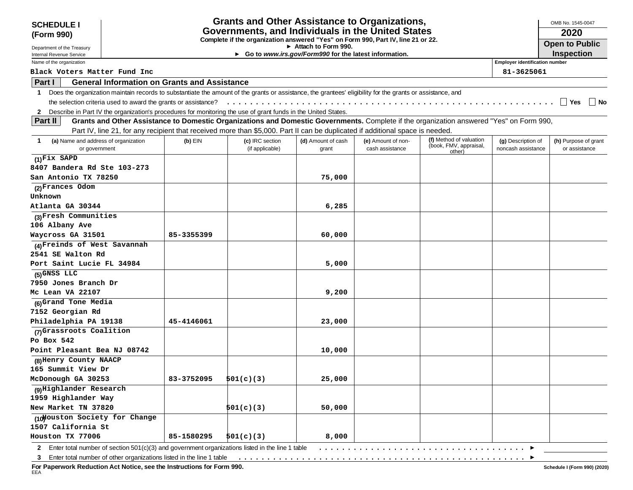| <b>SCHEDULE I</b>                                                                                               |                                                                |            | <b>Grants and Other Assistance to Organizations,</b>                                                                                                       |                                                       |                    |                                                                                                                                          |                                       | OMB No. 1545-0047     |
|-----------------------------------------------------------------------------------------------------------------|----------------------------------------------------------------|------------|------------------------------------------------------------------------------------------------------------------------------------------------------------|-------------------------------------------------------|--------------------|------------------------------------------------------------------------------------------------------------------------------------------|---------------------------------------|-----------------------|
| (Form 990)                                                                                                      |                                                                |            | Governments, and Individuals in the United States                                                                                                          |                                                       |                    |                                                                                                                                          |                                       | 2020                  |
|                                                                                                                 |                                                                |            | Complete if the organization answered "Yes" on Form 990, Part IV, line 21 or 22.                                                                           | Attach to Form 990.                                   |                    |                                                                                                                                          |                                       | <b>Open to Public</b> |
| Department of the Treasury<br>Internal Revenue Service                                                          |                                                                |            |                                                                                                                                                            | Go to www.irs.gov/Form990 for the latest information. |                    |                                                                                                                                          |                                       | <b>Inspection</b>     |
| Name of the organization                                                                                        |                                                                |            |                                                                                                                                                            |                                                       |                    |                                                                                                                                          | <b>Employer identification number</b> |                       |
| Black Voters Matter Fund Inc                                                                                    |                                                                |            |                                                                                                                                                            |                                                       |                    |                                                                                                                                          | 81-3625061                            |                       |
| Part I                                                                                                          | <b>General Information on Grants and Assistance</b>            |            |                                                                                                                                                            |                                                       |                    |                                                                                                                                          |                                       |                       |
| $\mathbf 1$                                                                                                     |                                                                |            | Does the organization maintain records to substantiate the amount of the grants or assistance, the grantees' eligibility for the grants or assistance, and |                                                       |                    |                                                                                                                                          |                                       |                       |
|                                                                                                                 | the selection criteria used to award the grants or assistance? |            |                                                                                                                                                            |                                                       |                    |                                                                                                                                          |                                       | $\vert$ Yes<br>∣ ∣No  |
| 2 Describe in Part IV the organization's procedures for monitoring the use of grant funds in the United States. |                                                                |            |                                                                                                                                                            |                                                       |                    |                                                                                                                                          |                                       |                       |
| Part II                                                                                                         |                                                                |            |                                                                                                                                                            |                                                       |                    | Grants and Other Assistance to Domestic Organizations and Domestic Governments. Complete if the organization answered "Yes" on Form 990, |                                       |                       |
|                                                                                                                 |                                                                |            | Part IV, line 21, for any recipient that received more than \$5,000. Part II can be duplicated if additional space is needed.                              |                                                       |                    |                                                                                                                                          |                                       |                       |
| (a) Name and address of organization<br>-1                                                                      |                                                                | $(b)$ EIN  | (c) IRC section                                                                                                                                            | (d) Amount of cash                                    | (e) Amount of non- | (f) Method of valuation                                                                                                                  | (g) Description of                    | (h) Purpose of grant  |
| or government                                                                                                   |                                                                |            | (if applicable)                                                                                                                                            | grant                                                 | cash assistance    | (book, FMV, appraisal,<br>other)                                                                                                         | noncash assistance                    | or assistance         |
| $(1)$ Fix SAPD                                                                                                  |                                                                |            |                                                                                                                                                            |                                                       |                    |                                                                                                                                          |                                       |                       |
| 8407 Bandera Rd Ste 103-273                                                                                     |                                                                |            |                                                                                                                                                            |                                                       |                    |                                                                                                                                          |                                       |                       |
| San Antonio TX 78250                                                                                            |                                                                |            |                                                                                                                                                            | 75,000                                                |                    |                                                                                                                                          |                                       |                       |
| (2) Frances Odom                                                                                                |                                                                |            |                                                                                                                                                            |                                                       |                    |                                                                                                                                          |                                       |                       |
| Unknown                                                                                                         |                                                                |            |                                                                                                                                                            |                                                       |                    |                                                                                                                                          |                                       |                       |
| Atlanta GA 30344                                                                                                |                                                                |            |                                                                                                                                                            | 6,285                                                 |                    |                                                                                                                                          |                                       |                       |
| (3) Fresh Communities                                                                                           |                                                                |            |                                                                                                                                                            |                                                       |                    |                                                                                                                                          |                                       |                       |
| 106 Albany Ave                                                                                                  |                                                                |            |                                                                                                                                                            |                                                       |                    |                                                                                                                                          |                                       |                       |
| Waycross GA 31501                                                                                               |                                                                | 85-3355399 |                                                                                                                                                            | 60,000                                                |                    |                                                                                                                                          |                                       |                       |
| (4) Freinds of West Savannah                                                                                    |                                                                |            |                                                                                                                                                            |                                                       |                    |                                                                                                                                          |                                       |                       |
| 2541 SE Walton Rd                                                                                               |                                                                |            |                                                                                                                                                            |                                                       |                    |                                                                                                                                          |                                       |                       |
| Port Saint Lucie FL 34984                                                                                       |                                                                |            |                                                                                                                                                            | 5,000                                                 |                    |                                                                                                                                          |                                       |                       |
| (5) GNSS LLC                                                                                                    |                                                                |            |                                                                                                                                                            |                                                       |                    |                                                                                                                                          |                                       |                       |
| 7950 Jones Branch Dr                                                                                            |                                                                |            |                                                                                                                                                            |                                                       |                    |                                                                                                                                          |                                       |                       |
| Mc Lean VA 22107                                                                                                |                                                                |            |                                                                                                                                                            | 9,200                                                 |                    |                                                                                                                                          |                                       |                       |
| (6)Grand Tone Media                                                                                             |                                                                |            |                                                                                                                                                            |                                                       |                    |                                                                                                                                          |                                       |                       |
| 7152 Georgian Rd                                                                                                |                                                                |            |                                                                                                                                                            |                                                       |                    |                                                                                                                                          |                                       |                       |
| Philadelphia PA 19138                                                                                           |                                                                | 45-4146061 |                                                                                                                                                            | 23,000                                                |                    |                                                                                                                                          |                                       |                       |
| (7) Grassroots Coalition                                                                                        |                                                                |            |                                                                                                                                                            |                                                       |                    |                                                                                                                                          |                                       |                       |
| Po Box $542$                                                                                                    |                                                                |            |                                                                                                                                                            |                                                       |                    |                                                                                                                                          |                                       |                       |
| Point Pleasant Bea NJ 08742                                                                                     |                                                                |            |                                                                                                                                                            | 10,000                                                |                    |                                                                                                                                          |                                       |                       |
| (8) Henry County NAACP                                                                                          |                                                                |            |                                                                                                                                                            |                                                       |                    |                                                                                                                                          |                                       |                       |
| 165 Summit View Dr                                                                                              |                                                                |            |                                                                                                                                                            |                                                       |                    |                                                                                                                                          |                                       |                       |
| McDonough GA 30253                                                                                              |                                                                | 83-3752095 | 501(c)(3)                                                                                                                                                  | 25,000                                                |                    |                                                                                                                                          |                                       |                       |
| (9) Highlander Research                                                                                         |                                                                |            |                                                                                                                                                            |                                                       |                    |                                                                                                                                          |                                       |                       |
| 1959 Highlander Way                                                                                             |                                                                |            |                                                                                                                                                            |                                                       |                    |                                                                                                                                          |                                       |                       |
| New Market TN 37820                                                                                             |                                                                |            | 501(c)(3)                                                                                                                                                  | 50,000                                                |                    |                                                                                                                                          |                                       |                       |
| (10 Nouston Society for Change                                                                                  |                                                                |            |                                                                                                                                                            |                                                       |                    |                                                                                                                                          |                                       |                       |
| 1507 California St                                                                                              |                                                                |            |                                                                                                                                                            |                                                       |                    |                                                                                                                                          |                                       |                       |
| Houston TX 77006                                                                                                |                                                                | 85-1580295 | 501(c)(3)                                                                                                                                                  | 8,000                                                 |                    |                                                                                                                                          |                                       |                       |
|                                                                                                                 |                                                                |            | 2 Enter total number of section 501(c)(3) and government organizations listed in the line 1 table                                                          |                                                       |                    |                                                                                                                                          | $\ldots$                              |                       |

**For Paperwork Reduction Act Notice, see the Instructions for Form 990.** EEA

 $\blacktriangleright$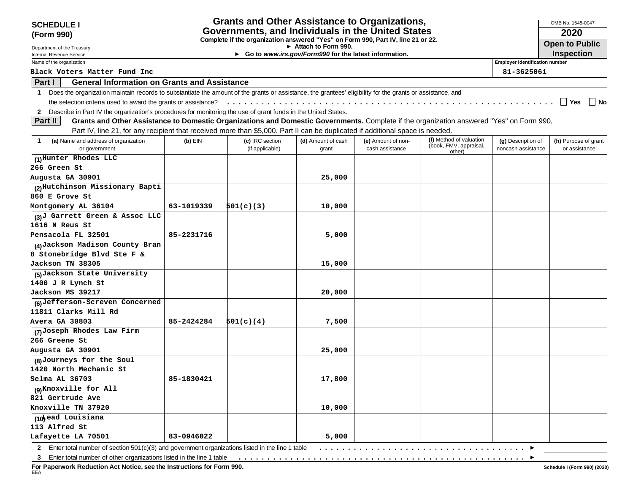| <b>SCHEDULE I</b>                                                                                                                                                                                                                                                         |            | <b>Grants and Other Assistance to Organizations,</b>                             |                                                                              |                                       |                         |                                          | OMB No. 1545-0047                     |
|---------------------------------------------------------------------------------------------------------------------------------------------------------------------------------------------------------------------------------------------------------------------------|------------|----------------------------------------------------------------------------------|------------------------------------------------------------------------------|---------------------------------------|-------------------------|------------------------------------------|---------------------------------------|
| (Form 990)                                                                                                                                                                                                                                                                |            | Governments, and Individuals in the United States                                |                                                                              |                                       |                         |                                          | 2020                                  |
|                                                                                                                                                                                                                                                                           |            | Complete if the organization answered "Yes" on Form 990, Part IV, line 21 or 22. |                                                                              |                                       |                         |                                          | <b>Open to Public</b>                 |
| Department of the Treasury                                                                                                                                                                                                                                                |            |                                                                                  | Attach to Form 990.<br>Go to www.irs.gov/Form990 for the latest information. |                                       |                         |                                          | <b>Inspection</b>                     |
| Internal Revenue Service<br>Name of the organization                                                                                                                                                                                                                      |            |                                                                                  |                                                                              |                                       |                         | <b>Employer identification number</b>    |                                       |
| Black Voters Matter Fund Inc                                                                                                                                                                                                                                              |            |                                                                                  |                                                                              |                                       |                         | 81-3625061                               |                                       |
| Part I<br><b>General Information on Grants and Assistance</b>                                                                                                                                                                                                             |            |                                                                                  |                                                                              |                                       |                         |                                          |                                       |
| Does the organization maintain records to substantiate the amount of the grants or assistance, the grantees' eligibility for the grants or assistance, and<br>1                                                                                                           |            |                                                                                  |                                                                              |                                       |                         |                                          |                                       |
|                                                                                                                                                                                                                                                                           |            |                                                                                  |                                                                              |                                       |                         |                                          | l l Yes<br>  No                       |
|                                                                                                                                                                                                                                                                           |            |                                                                                  |                                                                              |                                       |                         |                                          |                                       |
| Describe in Part IV the organization's procedures for monitoring the use of grant funds in the United States.<br>2<br>Grants and Other Assistance to Domestic Organizations and Domestic Governments. Complete if the organization answered "Yes" on Form 990,<br>Part II |            |                                                                                  |                                                                              |                                       |                         |                                          |                                       |
| Part IV, line 21, for any recipient that received more than \$5,000. Part II can be duplicated if additional space is needed.                                                                                                                                             |            |                                                                                  |                                                                              |                                       |                         |                                          |                                       |
|                                                                                                                                                                                                                                                                           |            |                                                                                  |                                                                              |                                       | (f) Method of valuation |                                          |                                       |
| (a) Name and address of organization<br>1<br>or government                                                                                                                                                                                                                | $(b)$ EIN  | (c) IRC section<br>(if applicable)                                               | (d) Amount of cash<br>grant                                                  | (e) Amount of non-<br>cash assistance | (book, FMV, appraisal,  | (g) Description of<br>noncash assistance | (h) Purpose of grant<br>or assistance |
| (1)Hunter Rhodes LLC                                                                                                                                                                                                                                                      |            |                                                                                  |                                                                              |                                       | other)                  |                                          |                                       |
| 266 Green St                                                                                                                                                                                                                                                              |            |                                                                                  |                                                                              |                                       |                         |                                          |                                       |
| Augusta GA 30901                                                                                                                                                                                                                                                          |            |                                                                                  | 25,000                                                                       |                                       |                         |                                          |                                       |
| (2)Hutchinson Missionary Bapti                                                                                                                                                                                                                                            |            |                                                                                  |                                                                              |                                       |                         |                                          |                                       |
| 860 E Grove St                                                                                                                                                                                                                                                            |            |                                                                                  |                                                                              |                                       |                         |                                          |                                       |
| Montgomery AL 36104                                                                                                                                                                                                                                                       | 63-1019339 | 501(c)(3)                                                                        | 10,000                                                                       |                                       |                         |                                          |                                       |
| (3)J Garrett Green & Assoc LLC                                                                                                                                                                                                                                            |            |                                                                                  |                                                                              |                                       |                         |                                          |                                       |
| 1616 N Reus St                                                                                                                                                                                                                                                            |            |                                                                                  |                                                                              |                                       |                         |                                          |                                       |
| Pensacola FL 32501                                                                                                                                                                                                                                                        | 85-2231716 |                                                                                  | 5,000                                                                        |                                       |                         |                                          |                                       |
| (4) Jackson Madison County Bran                                                                                                                                                                                                                                           |            |                                                                                  |                                                                              |                                       |                         |                                          |                                       |
| 8 Stonebridge Blvd Ste F &                                                                                                                                                                                                                                                |            |                                                                                  |                                                                              |                                       |                         |                                          |                                       |
| Jackson TN 38305                                                                                                                                                                                                                                                          |            |                                                                                  | 15,000                                                                       |                                       |                         |                                          |                                       |
| (5)Jackson State University                                                                                                                                                                                                                                               |            |                                                                                  |                                                                              |                                       |                         |                                          |                                       |
| 1400 J R Lynch St                                                                                                                                                                                                                                                         |            |                                                                                  |                                                                              |                                       |                         |                                          |                                       |
| Jackson MS 39217                                                                                                                                                                                                                                                          |            |                                                                                  | 20,000                                                                       |                                       |                         |                                          |                                       |
| (6)Jefferson-Screven Concerned                                                                                                                                                                                                                                            |            |                                                                                  |                                                                              |                                       |                         |                                          |                                       |
| 11811 Clarks Mill Rd                                                                                                                                                                                                                                                      |            |                                                                                  |                                                                              |                                       |                         |                                          |                                       |
| Avera GA 30803                                                                                                                                                                                                                                                            | 85-2424284 | 501(c)(4)                                                                        | 7,500                                                                        |                                       |                         |                                          |                                       |
| (7)Joseph Rhodes Law Firm                                                                                                                                                                                                                                                 |            |                                                                                  |                                                                              |                                       |                         |                                          |                                       |
| 266 Greene St                                                                                                                                                                                                                                                             |            |                                                                                  |                                                                              |                                       |                         |                                          |                                       |
| Augusta GA 30901                                                                                                                                                                                                                                                          |            |                                                                                  | 25,000                                                                       |                                       |                         |                                          |                                       |
| (8)Journeys for the Soul                                                                                                                                                                                                                                                  |            |                                                                                  |                                                                              |                                       |                         |                                          |                                       |
| 1420 North Mechanic St                                                                                                                                                                                                                                                    |            |                                                                                  |                                                                              |                                       |                         |                                          |                                       |
| Selma AL 36703                                                                                                                                                                                                                                                            | 85-1830421 |                                                                                  | 17,800                                                                       |                                       |                         |                                          |                                       |
| (9) Knoxville for All                                                                                                                                                                                                                                                     |            |                                                                                  |                                                                              |                                       |                         |                                          |                                       |
| 821 Gertrude Ave                                                                                                                                                                                                                                                          |            |                                                                                  |                                                                              |                                       |                         |                                          |                                       |
| Knoxville TN 37920                                                                                                                                                                                                                                                        |            |                                                                                  | 10,000                                                                       |                                       |                         |                                          |                                       |
| (10 Mead Louisiana                                                                                                                                                                                                                                                        |            |                                                                                  |                                                                              |                                       |                         |                                          |                                       |
| 113 Alfred St                                                                                                                                                                                                                                                             |            |                                                                                  |                                                                              |                                       |                         |                                          |                                       |
| Lafayette LA 70501                                                                                                                                                                                                                                                        | 83-0946022 |                                                                                  | 5,000                                                                        |                                       |                         |                                          |                                       |
| 2 Enter total number of section 501(c)(3) and government organizations listed in the line 1 table                                                                                                                                                                         |            |                                                                                  |                                                                              |                                       |                         |                                          |                                       |

..................................................

**3** Enter total number of other organizations listed in the line 1 table

**For Paperwork Reduction Act Notice, see the Instructions for Form 990.** EEA

 $\blacktriangleright$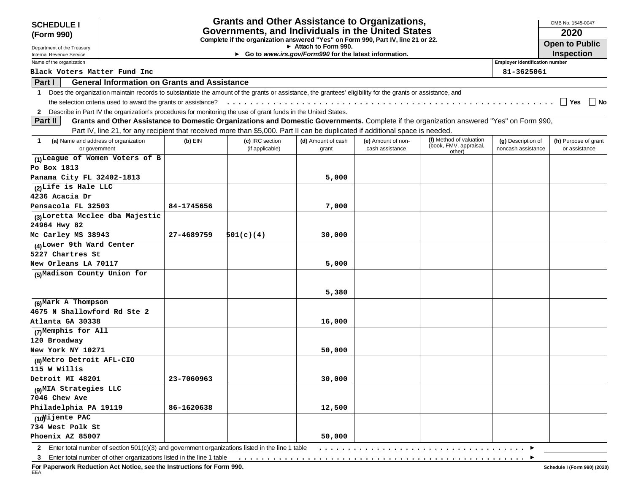| <b>SCHEDULE I</b>                                                                                                                                                         |            | <b>Grants and Other Assistance to Organizations,</b>                             |                                      |                                       |                                                             |                                          | OMB No. 1545-0047                     |
|---------------------------------------------------------------------------------------------------------------------------------------------------------------------------|------------|----------------------------------------------------------------------------------|--------------------------------------|---------------------------------------|-------------------------------------------------------------|------------------------------------------|---------------------------------------|
| (Form 990)                                                                                                                                                                |            | Governments, and Individuals in the United States                                |                                      |                                       |                                                             |                                          | 2020                                  |
| Department of the Treasury                                                                                                                                                |            | Complete if the organization answered "Yes" on Form 990, Part IV, line 21 or 22. | $\triangleright$ Attach to Form 990. |                                       |                                                             |                                          | <b>Open to Public</b>                 |
| Internal Revenue Service                                                                                                                                                  |            | ► Go to www.irs.gov/Form990 for the latest information.                          |                                      |                                       |                                                             |                                          | <b>Inspection</b>                     |
| Name of the organization                                                                                                                                                  |            |                                                                                  |                                      |                                       |                                                             | <b>Employer identification number</b>    |                                       |
| Black Voters Matter Fund Inc                                                                                                                                              |            |                                                                                  |                                      |                                       |                                                             | 81-3625061                               |                                       |
| Part I<br><b>General Information on Grants and Assistance</b>                                                                                                             |            |                                                                                  |                                      |                                       |                                                             |                                          |                                       |
| Does the organization maintain records to substantiate the amount of the grants or assistance, the grantees' eligibility for the grants or assistance, and<br>$\mathbf 1$ |            |                                                                                  |                                      |                                       |                                                             |                                          |                                       |
| the selection criteria used to award the grants or assistance?                                                                                                            |            |                                                                                  |                                      |                                       |                                                             |                                          | Yes<br>∣ No                           |
| 2 Describe in Part IV the organization's procedures for monitoring the use of grant funds in the United States.                                                           |            |                                                                                  |                                      |                                       |                                                             |                                          |                                       |
| Grants and Other Assistance to Domestic Organizations and Domestic Governments. Complete if the organization answered "Yes" on Form 990,<br>Part II                       |            |                                                                                  |                                      |                                       |                                                             |                                          |                                       |
| Part IV, line 21, for any recipient that received more than \$5,000. Part II can be duplicated if additional space is needed.                                             |            |                                                                                  |                                      |                                       |                                                             |                                          |                                       |
| (a) Name and address of organization<br>1<br>or government                                                                                                                | $(b)$ EIN  | (c) IRC section<br>(if applicable)                                               | (d) Amount of cash<br>grant          | (e) Amount of non-<br>cash assistance | (f) Method of valuation<br>(book, FMV, appraisal,<br>other) | (g) Description of<br>noncash assistance | (h) Purpose of grant<br>or assistance |
| (1) League of Women Voters of B                                                                                                                                           |            |                                                                                  |                                      |                                       |                                                             |                                          |                                       |
| Po Box 1813                                                                                                                                                               |            |                                                                                  |                                      |                                       |                                                             |                                          |                                       |
| Panama City FL 32402-1813                                                                                                                                                 |            |                                                                                  | 5,000                                |                                       |                                                             |                                          |                                       |
| (2) Life is Hale LLC                                                                                                                                                      |            |                                                                                  |                                      |                                       |                                                             |                                          |                                       |
| 4236 Acacia Dr                                                                                                                                                            |            |                                                                                  |                                      |                                       |                                                             |                                          |                                       |
| Pensacola FL 32503                                                                                                                                                        | 84-1745656 |                                                                                  | 7,000                                |                                       |                                                             |                                          |                                       |
| (3)Loretta Mcclee dba Majestic                                                                                                                                            |            |                                                                                  |                                      |                                       |                                                             |                                          |                                       |
| 24964 Hwy 82                                                                                                                                                              |            |                                                                                  |                                      |                                       |                                                             |                                          |                                       |
| Mc Carley MS 38943                                                                                                                                                        | 27-4689759 | 501(c)(4)                                                                        | 30,000                               |                                       |                                                             |                                          |                                       |
| (4) Lower 9th Ward Center                                                                                                                                                 |            |                                                                                  |                                      |                                       |                                                             |                                          |                                       |
| 5227 Chartres St                                                                                                                                                          |            |                                                                                  |                                      |                                       |                                                             |                                          |                                       |
| New Orleans LA 70117                                                                                                                                                      |            |                                                                                  | 5,000                                |                                       |                                                             |                                          |                                       |
| (5) Madison County Union for                                                                                                                                              |            |                                                                                  |                                      |                                       |                                                             |                                          |                                       |
|                                                                                                                                                                           |            |                                                                                  | 5,380                                |                                       |                                                             |                                          |                                       |
| $(6)$ Mark A Thompson                                                                                                                                                     |            |                                                                                  |                                      |                                       |                                                             |                                          |                                       |
| 4675 N Shallowford Rd Ste 2                                                                                                                                               |            |                                                                                  |                                      |                                       |                                                             |                                          |                                       |
| Atlanta GA 30338                                                                                                                                                          |            |                                                                                  | 16,000                               |                                       |                                                             |                                          |                                       |
| (7)Memphis for All                                                                                                                                                        |            |                                                                                  |                                      |                                       |                                                             |                                          |                                       |
| 120 Broadway                                                                                                                                                              |            |                                                                                  |                                      |                                       |                                                             |                                          |                                       |
| New York NY 10271                                                                                                                                                         |            |                                                                                  | 50,000                               |                                       |                                                             |                                          |                                       |
| (8) Metro Detroit AFL-CIO                                                                                                                                                 |            |                                                                                  |                                      |                                       |                                                             |                                          |                                       |
| 115 W Willis                                                                                                                                                              |            |                                                                                  |                                      |                                       |                                                             |                                          |                                       |
| Detroit MI 48201                                                                                                                                                          | 23-7060963 |                                                                                  | 30,000                               |                                       |                                                             |                                          |                                       |
| (9) MIA Strategies LLC                                                                                                                                                    |            |                                                                                  |                                      |                                       |                                                             |                                          |                                       |
| 7046 Chew Ave                                                                                                                                                             |            |                                                                                  |                                      |                                       |                                                             |                                          |                                       |
| Philadelphia PA 19119                                                                                                                                                     | 86-1620638 |                                                                                  | 12,500                               |                                       |                                                             |                                          |                                       |
| (10Mijente PAC                                                                                                                                                            |            |                                                                                  |                                      |                                       |                                                             |                                          |                                       |
| 734 West Polk St                                                                                                                                                          |            |                                                                                  |                                      |                                       |                                                             |                                          |                                       |
| Phoenix AZ 85007                                                                                                                                                          |            |                                                                                  | 50,000                               |                                       |                                                             |                                          |                                       |

**2** Enter total number of section 501(c)(3) and government organizations listed in the line 1 table ....................................

**3** Enter total number of other organizations listed in the line 1 table ..................................................

**For Paperwork Reduction Act Notice, see the Instructions for Form 990.** EEA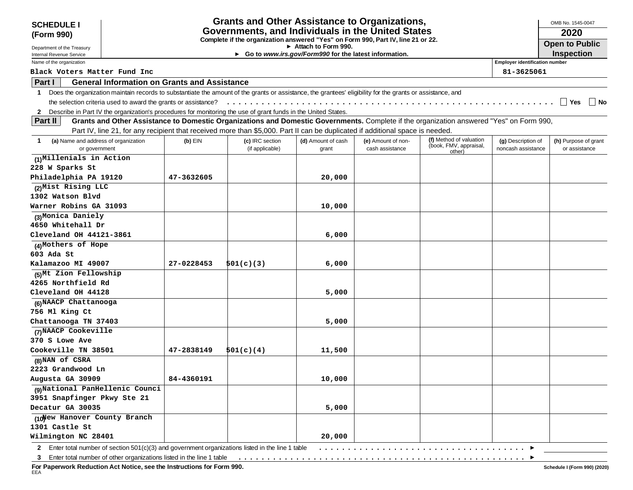| <b>SCHEDULE I</b>                                                                                                                                                         |                                                     | <b>Grants and Other Assistance to Organizations,</b>                                                                          |                                                                              |                    |                                                                                                                                          |                                       | OMB No. 1545-0047     |
|---------------------------------------------------------------------------------------------------------------------------------------------------------------------------|-----------------------------------------------------|-------------------------------------------------------------------------------------------------------------------------------|------------------------------------------------------------------------------|--------------------|------------------------------------------------------------------------------------------------------------------------------------------|---------------------------------------|-----------------------|
| (Form 990)                                                                                                                                                                |                                                     | Governments, and Individuals in the United States                                                                             |                                                                              |                    |                                                                                                                                          |                                       | 2020                  |
|                                                                                                                                                                           |                                                     | Complete if the organization answered "Yes" on Form 990, Part IV, line 21 or 22.                                              |                                                                              |                    |                                                                                                                                          |                                       | <b>Open to Public</b> |
| Department of the Treasury<br>Internal Revenue Service                                                                                                                    |                                                     |                                                                                                                               | Attach to Form 990.<br>Go to www.irs.gov/Form990 for the latest information. |                    |                                                                                                                                          |                                       | <b>Inspection</b>     |
| Name of the organization                                                                                                                                                  |                                                     |                                                                                                                               |                                                                              |                    |                                                                                                                                          | <b>Employer identification number</b> |                       |
| Black Voters Matter Fund Inc                                                                                                                                              |                                                     |                                                                                                                               |                                                                              |                    |                                                                                                                                          | 81-3625061                            |                       |
| Part I                                                                                                                                                                    | <b>General Information on Grants and Assistance</b> |                                                                                                                               |                                                                              |                    |                                                                                                                                          |                                       |                       |
| Does the organization maintain records to substantiate the amount of the grants or assistance, the grantees' eligibility for the grants or assistance, and<br>$\mathbf 1$ |                                                     |                                                                                                                               |                                                                              |                    |                                                                                                                                          |                                       |                       |
| the selection criteria used to award the grants or assistance?                                                                                                            |                                                     |                                                                                                                               |                                                                              |                    |                                                                                                                                          |                                       | ∣ l Yes<br>∣ No       |
| 2 Describe in Part IV the organization's procedures for monitoring the use of grant funds in the United States.                                                           |                                                     |                                                                                                                               |                                                                              |                    |                                                                                                                                          |                                       |                       |
| <b>Part II</b>                                                                                                                                                            |                                                     |                                                                                                                               |                                                                              |                    | Grants and Other Assistance to Domestic Organizations and Domestic Governments. Complete if the organization answered "Yes" on Form 990, |                                       |                       |
|                                                                                                                                                                           |                                                     | Part IV, line 21, for any recipient that received more than \$5,000. Part II can be duplicated if additional space is needed. |                                                                              |                    |                                                                                                                                          |                                       |                       |
| (a) Name and address of organization                                                                                                                                      | $(b)$ EIN                                           | (c) IRC section                                                                                                               | (d) Amount of cash                                                           | (e) Amount of non- | (f) Method of valuation                                                                                                                  | (g) Description of                    | (h) Purpose of grant  |
| or government                                                                                                                                                             |                                                     | (if applicable)                                                                                                               | grant                                                                        | cash assistance    | (book, FMV, appraisal,<br>other)                                                                                                         | noncash assistance                    | or assistance         |
| (1)Millenials in Action                                                                                                                                                   |                                                     |                                                                                                                               |                                                                              |                    |                                                                                                                                          |                                       |                       |
| 228 W Sparks St                                                                                                                                                           |                                                     |                                                                                                                               |                                                                              |                    |                                                                                                                                          |                                       |                       |
| Philadelphia PA 19120                                                                                                                                                     | 47-3632605                                          |                                                                                                                               | 20,000                                                                       |                    |                                                                                                                                          |                                       |                       |
| (2) Mist Rising LLC                                                                                                                                                       |                                                     |                                                                                                                               |                                                                              |                    |                                                                                                                                          |                                       |                       |
| 1302 Watson Blvd                                                                                                                                                          |                                                     |                                                                                                                               |                                                                              |                    |                                                                                                                                          |                                       |                       |
| Warner Robins GA 31093                                                                                                                                                    |                                                     |                                                                                                                               | 10,000                                                                       |                    |                                                                                                                                          |                                       |                       |
| (3)Monica Daniely                                                                                                                                                         |                                                     |                                                                                                                               |                                                                              |                    |                                                                                                                                          |                                       |                       |
| 4650 Whitehall Dr                                                                                                                                                         |                                                     |                                                                                                                               |                                                                              |                    |                                                                                                                                          |                                       |                       |
| Cleveland OH 44121-3861                                                                                                                                                   |                                                     |                                                                                                                               | 6,000                                                                        |                    |                                                                                                                                          |                                       |                       |
| (4)Mothers of Hope                                                                                                                                                        |                                                     |                                                                                                                               |                                                                              |                    |                                                                                                                                          |                                       |                       |
| 603 Ada St                                                                                                                                                                |                                                     |                                                                                                                               |                                                                              |                    |                                                                                                                                          |                                       |                       |
| Kalamazoo MI 49007                                                                                                                                                        | 27-0228453                                          | 501(c)(3)                                                                                                                     | 6,000                                                                        |                    |                                                                                                                                          |                                       |                       |
| (5)Mt Zion Fellowship                                                                                                                                                     |                                                     |                                                                                                                               |                                                                              |                    |                                                                                                                                          |                                       |                       |
| 4265 Northfield Rd                                                                                                                                                        |                                                     |                                                                                                                               |                                                                              |                    |                                                                                                                                          |                                       |                       |
| Cleveland OH 44128                                                                                                                                                        |                                                     |                                                                                                                               | 5,000                                                                        |                    |                                                                                                                                          |                                       |                       |
| (6) NAACP Chattanooga                                                                                                                                                     |                                                     |                                                                                                                               |                                                                              |                    |                                                                                                                                          |                                       |                       |
| 756 Ml King Ct                                                                                                                                                            |                                                     |                                                                                                                               |                                                                              |                    |                                                                                                                                          |                                       |                       |
| Chattanooga TN 37403                                                                                                                                                      |                                                     |                                                                                                                               | 5,000                                                                        |                    |                                                                                                                                          |                                       |                       |
| (7) NAACP Cookeville                                                                                                                                                      |                                                     |                                                                                                                               |                                                                              |                    |                                                                                                                                          |                                       |                       |
| 370 S Lowe Ave                                                                                                                                                            |                                                     |                                                                                                                               |                                                                              |                    |                                                                                                                                          |                                       |                       |
| Cookeville TN 38501                                                                                                                                                       | 47-2838149                                          | 501(c)(4)                                                                                                                     | 11,500                                                                       |                    |                                                                                                                                          |                                       |                       |
| (8) NAN of CSRA                                                                                                                                                           |                                                     |                                                                                                                               |                                                                              |                    |                                                                                                                                          |                                       |                       |
| 2223 Grandwood Ln                                                                                                                                                         |                                                     |                                                                                                                               |                                                                              |                    |                                                                                                                                          |                                       |                       |
| Augusta GA 30909                                                                                                                                                          | 84-4360191                                          |                                                                                                                               | 10,000                                                                       |                    |                                                                                                                                          |                                       |                       |
| (9) National PanHellenic Counci                                                                                                                                           |                                                     |                                                                                                                               |                                                                              |                    |                                                                                                                                          |                                       |                       |
| 3951 Snapfinger Pkwy Ste 21                                                                                                                                               |                                                     |                                                                                                                               |                                                                              |                    |                                                                                                                                          |                                       |                       |
| Decatur GA 30035                                                                                                                                                          |                                                     |                                                                                                                               | 5,000                                                                        |                    |                                                                                                                                          |                                       |                       |
| (10) Tew Hanover County Branch                                                                                                                                            |                                                     |                                                                                                                               |                                                                              |                    |                                                                                                                                          |                                       |                       |
| 1301 Castle St                                                                                                                                                            |                                                     |                                                                                                                               |                                                                              |                    |                                                                                                                                          |                                       |                       |
| Wilmington NC 28401                                                                                                                                                       |                                                     |                                                                                                                               | 20,000                                                                       |                    |                                                                                                                                          |                                       |                       |
| 2 Enter total number of section 501(c)(3) and government organizations listed in the line 1 table                                                                         |                                                     |                                                                                                                               |                                                                              |                    |                                                                                                                                          |                                       |                       |

**3** Enter total number of other organizations listed in the line 1 table ..................................................

**For Paperwork Reduction Act Notice, see the Instructions for Form 990.** EEA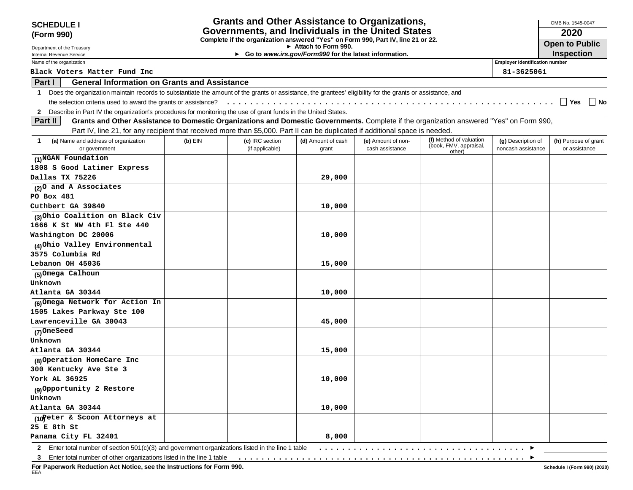| <b>SCHEDULE I</b>                                                                                               |                                                                |                                                     |                 | <b>Grants and Other Assistance to Organizations,</b>                                                                                                       |                    |                                                                                                                                          |                                       | OMB No. 1545-0047     |
|-----------------------------------------------------------------------------------------------------------------|----------------------------------------------------------------|-----------------------------------------------------|-----------------|------------------------------------------------------------------------------------------------------------------------------------------------------------|--------------------|------------------------------------------------------------------------------------------------------------------------------------------|---------------------------------------|-----------------------|
| (Form 990)                                                                                                      |                                                                |                                                     |                 | Governments, and Individuals in the United States                                                                                                          |                    |                                                                                                                                          |                                       | 2020                  |
|                                                                                                                 |                                                                |                                                     |                 | Complete if the organization answered "Yes" on Form 990, Part IV, line 21 or 22.<br>Attach to Form 990.                                                    |                    |                                                                                                                                          |                                       | <b>Open to Public</b> |
| Department of the Treasury<br>Internal Revenue Service                                                          |                                                                |                                                     |                 | Go to www.irs.gov/Form990 for the latest information.                                                                                                      |                    |                                                                                                                                          |                                       | <b>Inspection</b>     |
| Name of the organization                                                                                        |                                                                |                                                     |                 |                                                                                                                                                            |                    |                                                                                                                                          | <b>Employer identification number</b> |                       |
| Black Voters Matter Fund Inc                                                                                    |                                                                |                                                     |                 |                                                                                                                                                            |                    |                                                                                                                                          | 81-3625061                            |                       |
| Part I                                                                                                          |                                                                | <b>General Information on Grants and Assistance</b> |                 |                                                                                                                                                            |                    |                                                                                                                                          |                                       |                       |
| $\mathbf 1$                                                                                                     |                                                                |                                                     |                 | Does the organization maintain records to substantiate the amount of the grants or assistance, the grantees' eligibility for the grants or assistance, and |                    |                                                                                                                                          |                                       |                       |
|                                                                                                                 | the selection criteria used to award the grants or assistance? |                                                     |                 |                                                                                                                                                            |                    |                                                                                                                                          |                                       | Yes<br>∣ ∣No          |
| 2 Describe in Part IV the organization's procedures for monitoring the use of grant funds in the United States. |                                                                |                                                     |                 |                                                                                                                                                            |                    |                                                                                                                                          |                                       |                       |
| Part II                                                                                                         |                                                                |                                                     |                 |                                                                                                                                                            |                    | Grants and Other Assistance to Domestic Organizations and Domestic Governments. Complete if the organization answered "Yes" on Form 990, |                                       |                       |
|                                                                                                                 |                                                                |                                                     |                 | Part IV, line 21, for any recipient that received more than \$5,000. Part II can be duplicated if additional space is needed.                              |                    |                                                                                                                                          |                                       |                       |
| (a) Name and address of organization<br>-1                                                                      |                                                                | $(b)$ EIN                                           | (c) IRC section | (d) Amount of cash                                                                                                                                         | (e) Amount of non- | (f) Method of valuation                                                                                                                  | (g) Description of                    | (h) Purpose of grant  |
| or government                                                                                                   |                                                                |                                                     | (if applicable) | grant                                                                                                                                                      | cash assistance    | (book, FMV, appraisal,<br>other)                                                                                                         | noncash assistance                    | or assistance         |
| (1)NGAN Foundation                                                                                              |                                                                |                                                     |                 |                                                                                                                                                            |                    |                                                                                                                                          |                                       |                       |
| 1808 S Good Latimer Express                                                                                     |                                                                |                                                     |                 |                                                                                                                                                            |                    |                                                                                                                                          |                                       |                       |
| Dallas TX 75226                                                                                                 |                                                                |                                                     |                 | 29,000                                                                                                                                                     |                    |                                                                                                                                          |                                       |                       |
| (2) O and A Associates                                                                                          |                                                                |                                                     |                 |                                                                                                                                                            |                    |                                                                                                                                          |                                       |                       |
| PO Box 481                                                                                                      |                                                                |                                                     |                 |                                                                                                                                                            |                    |                                                                                                                                          |                                       |                       |
| Cuthbert GA 39840                                                                                               |                                                                |                                                     |                 | 10,000                                                                                                                                                     |                    |                                                                                                                                          |                                       |                       |
| (3) Ohio Coalition on Black Civ                                                                                 |                                                                |                                                     |                 |                                                                                                                                                            |                    |                                                                                                                                          |                                       |                       |
| 1666 K St NW 4th Fl Ste 440                                                                                     |                                                                |                                                     |                 |                                                                                                                                                            |                    |                                                                                                                                          |                                       |                       |
| Washington DC 20006                                                                                             |                                                                |                                                     |                 | 10,000                                                                                                                                                     |                    |                                                                                                                                          |                                       |                       |
| (4) Ohio Valley Environmental                                                                                   |                                                                |                                                     |                 |                                                                                                                                                            |                    |                                                                                                                                          |                                       |                       |
| 3575 Columbia Rd                                                                                                |                                                                |                                                     |                 |                                                                                                                                                            |                    |                                                                                                                                          |                                       |                       |
| Lebanon OH 45036                                                                                                |                                                                |                                                     |                 | 15,000                                                                                                                                                     |                    |                                                                                                                                          |                                       |                       |
| (5)Omega Calhoun                                                                                                |                                                                |                                                     |                 |                                                                                                                                                            |                    |                                                                                                                                          |                                       |                       |
| Unknown                                                                                                         |                                                                |                                                     |                 |                                                                                                                                                            |                    |                                                                                                                                          |                                       |                       |
| Atlanta GA 30344                                                                                                |                                                                |                                                     |                 | 10,000                                                                                                                                                     |                    |                                                                                                                                          |                                       |                       |
| (6)Omega Network for Action In                                                                                  |                                                                |                                                     |                 |                                                                                                                                                            |                    |                                                                                                                                          |                                       |                       |
| 1505 Lakes Parkway Ste 100                                                                                      |                                                                |                                                     |                 |                                                                                                                                                            |                    |                                                                                                                                          |                                       |                       |
| Lawrenceville GA 30043                                                                                          |                                                                |                                                     |                 | 45,000                                                                                                                                                     |                    |                                                                                                                                          |                                       |                       |
| (7)OneSeed                                                                                                      |                                                                |                                                     |                 |                                                                                                                                                            |                    |                                                                                                                                          |                                       |                       |
| Unknown                                                                                                         |                                                                |                                                     |                 |                                                                                                                                                            |                    |                                                                                                                                          |                                       |                       |
| Atlanta GA 30344                                                                                                |                                                                |                                                     |                 | 15,000                                                                                                                                                     |                    |                                                                                                                                          |                                       |                       |
| (8) Operation HomeCare Inc                                                                                      |                                                                |                                                     |                 |                                                                                                                                                            |                    |                                                                                                                                          |                                       |                       |
| 300 Kentucky Ave Ste 3                                                                                          |                                                                |                                                     |                 |                                                                                                                                                            |                    |                                                                                                                                          |                                       |                       |
| York AL 36925                                                                                                   |                                                                |                                                     |                 | 10,000                                                                                                                                                     |                    |                                                                                                                                          |                                       |                       |
| (9) Opportunity 2 Restore                                                                                       |                                                                |                                                     |                 |                                                                                                                                                            |                    |                                                                                                                                          |                                       |                       |
| Unknown                                                                                                         |                                                                |                                                     |                 |                                                                                                                                                            |                    |                                                                                                                                          |                                       |                       |
| Atlanta GA 30344                                                                                                |                                                                |                                                     |                 | 10,000                                                                                                                                                     |                    |                                                                                                                                          |                                       |                       |
| (10 Peter & Scoon Attorneys at                                                                                  |                                                                |                                                     |                 |                                                                                                                                                            |                    |                                                                                                                                          |                                       |                       |
| 25 E 8th St                                                                                                     |                                                                |                                                     |                 |                                                                                                                                                            |                    |                                                                                                                                          |                                       |                       |
| Panama City FL 32401                                                                                            |                                                                |                                                     |                 | 8,000                                                                                                                                                      |                    |                                                                                                                                          |                                       |                       |
| 2 Enter total number of section 501(c)(3) and government organizations listed in the line 1 table               |                                                                |                                                     |                 |                                                                                                                                                            |                    |                                                                                                                                          |                                       |                       |

**For Paperwork Reduction Act Notice, see the Instructions for Form 990.** EEA

 $\blacktriangleright$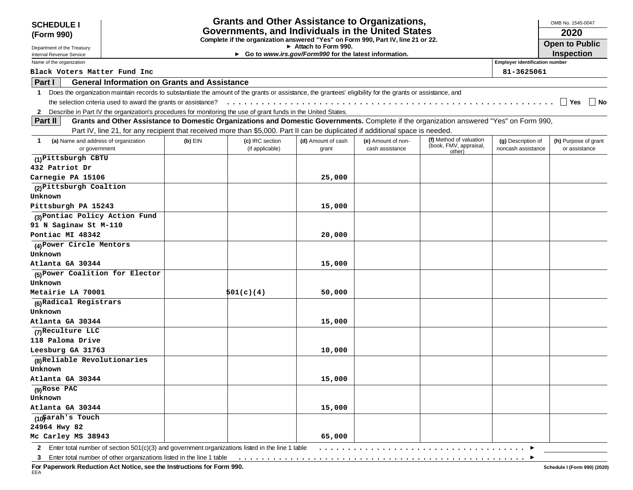| <b>SCHEDULE I</b>                                                                                               |                                                     |           |                                    | <b>Grants and Other Assistance to Organizations,</b>                                                                                                       |                                       |                                                                                                                                          |                                          | OMB No. 1545-0047                     |
|-----------------------------------------------------------------------------------------------------------------|-----------------------------------------------------|-----------|------------------------------------|------------------------------------------------------------------------------------------------------------------------------------------------------------|---------------------------------------|------------------------------------------------------------------------------------------------------------------------------------------|------------------------------------------|---------------------------------------|
| (Form 990)                                                                                                      |                                                     |           |                                    | Governments, and Individuals in the United States                                                                                                          |                                       |                                                                                                                                          |                                          | 2020                                  |
|                                                                                                                 |                                                     |           |                                    | Complete if the organization answered "Yes" on Form 990, Part IV, line 21 or 22.                                                                           |                                       |                                                                                                                                          |                                          | <b>Open to Public</b>                 |
| Department of the Treasury<br>Internal Revenue Service                                                          |                                                     |           |                                    | Attach to Form 990.<br>► Go to www.irs.gov/Form990 for the latest information.                                                                             |                                       |                                                                                                                                          |                                          | <b>Inspection</b>                     |
| Name of the organization                                                                                        |                                                     |           |                                    |                                                                                                                                                            |                                       |                                                                                                                                          | <b>Employer identification number</b>    |                                       |
| Black Voters Matter Fund Inc                                                                                    |                                                     |           |                                    |                                                                                                                                                            |                                       |                                                                                                                                          | 81-3625061                               |                                       |
| Part I                                                                                                          | <b>General Information on Grants and Assistance</b> |           |                                    |                                                                                                                                                            |                                       |                                                                                                                                          |                                          |                                       |
| $\mathbf 1$                                                                                                     |                                                     |           |                                    | Does the organization maintain records to substantiate the amount of the grants or assistance, the grantees' eligibility for the grants or assistance, and |                                       |                                                                                                                                          |                                          |                                       |
|                                                                                                                 |                                                     |           |                                    |                                                                                                                                                            |                                       |                                                                                                                                          |                                          | Yes<br>  No                           |
| 2 Describe in Part IV the organization's procedures for monitoring the use of grant funds in the United States. |                                                     |           |                                    |                                                                                                                                                            |                                       |                                                                                                                                          |                                          |                                       |
| Part II                                                                                                         |                                                     |           |                                    |                                                                                                                                                            |                                       | Grants and Other Assistance to Domestic Organizations and Domestic Governments. Complete if the organization answered "Yes" on Form 990, |                                          |                                       |
|                                                                                                                 |                                                     |           |                                    | Part IV, line 21, for any recipient that received more than \$5,000. Part II can be duplicated if additional space is needed.                              |                                       |                                                                                                                                          |                                          |                                       |
| (a) Name and address of organization<br>or government                                                           |                                                     | $(b)$ EIN | (c) IRC section<br>(if applicable) | (d) Amount of cash<br>grant                                                                                                                                | (e) Amount of non-<br>cash assistance | (f) Method of valuation<br>(book, FMV, appraisal,<br>other)                                                                              | (g) Description of<br>noncash assistance | (h) Purpose of grant<br>or assistance |
| (1) Pittsburgh CBTU                                                                                             |                                                     |           |                                    |                                                                                                                                                            |                                       |                                                                                                                                          |                                          |                                       |
| 432 Patriot Dr                                                                                                  |                                                     |           |                                    |                                                                                                                                                            |                                       |                                                                                                                                          |                                          |                                       |
| Carnegie PA 15106                                                                                               |                                                     |           |                                    | 25,000                                                                                                                                                     |                                       |                                                                                                                                          |                                          |                                       |
| (2) Pittsburgh Coaltion                                                                                         |                                                     |           |                                    |                                                                                                                                                            |                                       |                                                                                                                                          |                                          |                                       |
| Unknown                                                                                                         |                                                     |           |                                    |                                                                                                                                                            |                                       |                                                                                                                                          |                                          |                                       |
| Pittsburgh PA 15243                                                                                             |                                                     |           |                                    | 15,000                                                                                                                                                     |                                       |                                                                                                                                          |                                          |                                       |
| (3) Pontiac Policy Action Fund                                                                                  |                                                     |           |                                    |                                                                                                                                                            |                                       |                                                                                                                                          |                                          |                                       |
| 91 N Saginaw St M-110                                                                                           |                                                     |           |                                    |                                                                                                                                                            |                                       |                                                                                                                                          |                                          |                                       |
| Pontiac MI 48342                                                                                                |                                                     |           |                                    | 20,000                                                                                                                                                     |                                       |                                                                                                                                          |                                          |                                       |
| (4) Power Circle Mentors                                                                                        |                                                     |           |                                    |                                                                                                                                                            |                                       |                                                                                                                                          |                                          |                                       |
| Unknown                                                                                                         |                                                     |           |                                    |                                                                                                                                                            |                                       |                                                                                                                                          |                                          |                                       |
| Atlanta GA 30344                                                                                                |                                                     |           |                                    | 15,000                                                                                                                                                     |                                       |                                                                                                                                          |                                          |                                       |
| (5) Power Coalition for Elector                                                                                 |                                                     |           |                                    |                                                                                                                                                            |                                       |                                                                                                                                          |                                          |                                       |
| Unknown                                                                                                         |                                                     |           |                                    |                                                                                                                                                            |                                       |                                                                                                                                          |                                          |                                       |
| Metairie LA 70001                                                                                               |                                                     |           | 501(c)(4)                          | 50,000                                                                                                                                                     |                                       |                                                                                                                                          |                                          |                                       |
| (6) Radical Registrars<br>Unknown                                                                               |                                                     |           |                                    |                                                                                                                                                            |                                       |                                                                                                                                          |                                          |                                       |
| Atlanta GA 30344                                                                                                |                                                     |           |                                    | 15,000                                                                                                                                                     |                                       |                                                                                                                                          |                                          |                                       |
| (7) Reculture LLC                                                                                               |                                                     |           |                                    |                                                                                                                                                            |                                       |                                                                                                                                          |                                          |                                       |
| 118 Paloma Drive                                                                                                |                                                     |           |                                    |                                                                                                                                                            |                                       |                                                                                                                                          |                                          |                                       |
| Leesburg GA 31763                                                                                               |                                                     |           |                                    | 10,000                                                                                                                                                     |                                       |                                                                                                                                          |                                          |                                       |
| (8) Reliable Revolutionaries                                                                                    |                                                     |           |                                    |                                                                                                                                                            |                                       |                                                                                                                                          |                                          |                                       |
| Unknown                                                                                                         |                                                     |           |                                    |                                                                                                                                                            |                                       |                                                                                                                                          |                                          |                                       |
| Atlanta GA 30344                                                                                                |                                                     |           |                                    | 15,000                                                                                                                                                     |                                       |                                                                                                                                          |                                          |                                       |
| $(9)$ Rose PAC                                                                                                  |                                                     |           |                                    |                                                                                                                                                            |                                       |                                                                                                                                          |                                          |                                       |
| Unknown                                                                                                         |                                                     |           |                                    |                                                                                                                                                            |                                       |                                                                                                                                          |                                          |                                       |
| Atlanta GA 30344                                                                                                |                                                     |           |                                    | 15,000                                                                                                                                                     |                                       |                                                                                                                                          |                                          |                                       |
| (10)arah's Touch                                                                                                |                                                     |           |                                    |                                                                                                                                                            |                                       |                                                                                                                                          |                                          |                                       |
| 24964 Hwy 82                                                                                                    |                                                     |           |                                    |                                                                                                                                                            |                                       |                                                                                                                                          |                                          |                                       |
| Mc Carley MS 38943                                                                                              |                                                     |           |                                    | 65,000                                                                                                                                                     |                                       |                                                                                                                                          |                                          |                                       |
| 2 Enter total number of section $501(c)(3)$ and government organizations listed in the line 1 table             |                                                     |           |                                    |                                                                                                                                                            |                                       |                                                                                                                                          |                                          |                                       |

**For Paperwork Reduction Act Notice, see the Instructions for Form 990.** EEA

 $\overline{\phantom{a}}$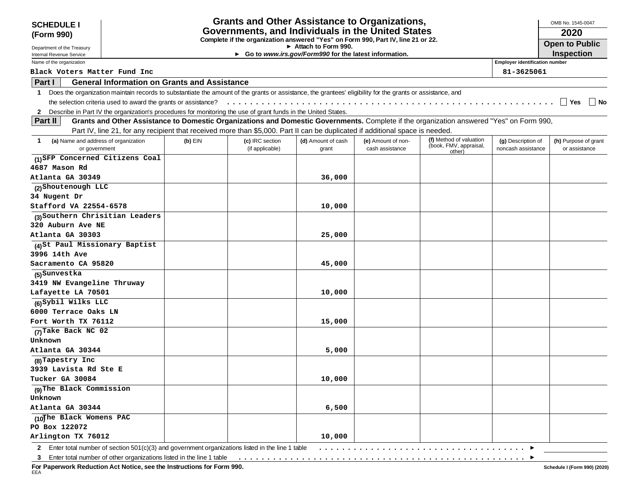| <b>SCHEDULE I</b>                                                                                               |                                                                                                     |           |                 | <b>Grants and Other Assistance to Organizations,</b>                                                                                                       |                    |                                                                                                                                          |                                       | OMB No. 1545-0047                    |
|-----------------------------------------------------------------------------------------------------------------|-----------------------------------------------------------------------------------------------------|-----------|-----------------|------------------------------------------------------------------------------------------------------------------------------------------------------------|--------------------|------------------------------------------------------------------------------------------------------------------------------------------|---------------------------------------|--------------------------------------|
| (Form 990)                                                                                                      |                                                                                                     |           |                 | Governments, and Individuals in the United States                                                                                                          |                    |                                                                                                                                          |                                       | 2020                                 |
|                                                                                                                 |                                                                                                     |           |                 | Complete if the organization answered "Yes" on Form 990, Part IV, line 21 or 22.<br>Attach to Form 990.                                                    |                    |                                                                                                                                          |                                       | <b>Open to Public</b>                |
| Department of the Treasury<br>Internal Revenue Service                                                          |                                                                                                     |           |                 | ► Go to www.irs.gov/Form990 for the latest information.                                                                                                    |                    |                                                                                                                                          |                                       | <b>Inspection</b>                    |
| Name of the organization                                                                                        |                                                                                                     |           |                 |                                                                                                                                                            |                    |                                                                                                                                          | <b>Employer identification number</b> |                                      |
| Black Voters Matter Fund Inc                                                                                    |                                                                                                     |           |                 |                                                                                                                                                            |                    |                                                                                                                                          | 81-3625061                            |                                      |
| Part I                                                                                                          | <b>General Information on Grants and Assistance</b>                                                 |           |                 |                                                                                                                                                            |                    |                                                                                                                                          |                                       |                                      |
| $\mathbf{1}$                                                                                                    |                                                                                                     |           |                 | Does the organization maintain records to substantiate the amount of the grants or assistance, the grantees' eligibility for the grants or assistance, and |                    |                                                                                                                                          |                                       |                                      |
|                                                                                                                 | the selection criteria used to award the grants or assistance?                                      |           |                 |                                                                                                                                                            |                    |                                                                                                                                          |                                       | $\overline{\phantom{a}}$ Yes<br>  No |
| 2 Describe in Part IV the organization's procedures for monitoring the use of grant funds in the United States. |                                                                                                     |           |                 |                                                                                                                                                            |                    |                                                                                                                                          |                                       |                                      |
| Part II                                                                                                         |                                                                                                     |           |                 |                                                                                                                                                            |                    | Grants and Other Assistance to Domestic Organizations and Domestic Governments. Complete if the organization answered "Yes" on Form 990, |                                       |                                      |
|                                                                                                                 |                                                                                                     |           |                 | Part IV, line 21, for any recipient that received more than \$5,000. Part II can be duplicated if additional space is needed.                              |                    |                                                                                                                                          |                                       |                                      |
| (a) Name and address of organization<br>1                                                                       |                                                                                                     | $(b)$ EIN | (c) IRC section | (d) Amount of cash                                                                                                                                         | (e) Amount of non- | (f) Method of valuation                                                                                                                  | (g) Description of                    | (h) Purpose of grant                 |
| or government                                                                                                   |                                                                                                     |           | (if applicable) | grant                                                                                                                                                      | cash assistance    | (book, FMV, appraisal,<br>other)                                                                                                         | noncash assistance                    | or assistance                        |
| (1)SFP Concerned Citizens Coal                                                                                  |                                                                                                     |           |                 |                                                                                                                                                            |                    |                                                                                                                                          |                                       |                                      |
| 4687 Mason Rd                                                                                                   |                                                                                                     |           |                 |                                                                                                                                                            |                    |                                                                                                                                          |                                       |                                      |
| Atlanta GA 30349                                                                                                |                                                                                                     |           |                 | 36,000                                                                                                                                                     |                    |                                                                                                                                          |                                       |                                      |
| (2) Shoutenough LLC                                                                                             |                                                                                                     |           |                 |                                                                                                                                                            |                    |                                                                                                                                          |                                       |                                      |
| 34 Nugent Dr                                                                                                    |                                                                                                     |           |                 |                                                                                                                                                            |                    |                                                                                                                                          |                                       |                                      |
| Stafford VA 22554-6578                                                                                          |                                                                                                     |           |                 | 10,000                                                                                                                                                     |                    |                                                                                                                                          |                                       |                                      |
| (3) Southern Chrisitian Leaders                                                                                 |                                                                                                     |           |                 |                                                                                                                                                            |                    |                                                                                                                                          |                                       |                                      |
| 320 Auburn Ave NE                                                                                               |                                                                                                     |           |                 |                                                                                                                                                            |                    |                                                                                                                                          |                                       |                                      |
| Atlanta GA 30303                                                                                                |                                                                                                     |           |                 | 25,000                                                                                                                                                     |                    |                                                                                                                                          |                                       |                                      |
| (4)St Paul Missionary Baptist                                                                                   |                                                                                                     |           |                 |                                                                                                                                                            |                    |                                                                                                                                          |                                       |                                      |
| 3996 14th Ave                                                                                                   |                                                                                                     |           |                 |                                                                                                                                                            |                    |                                                                                                                                          |                                       |                                      |
| Sacramento CA 95820                                                                                             |                                                                                                     |           |                 | 45,000                                                                                                                                                     |                    |                                                                                                                                          |                                       |                                      |
| (5)Sunvestka                                                                                                    |                                                                                                     |           |                 |                                                                                                                                                            |                    |                                                                                                                                          |                                       |                                      |
| 3419 NW Evangeline Thruway                                                                                      |                                                                                                     |           |                 |                                                                                                                                                            |                    |                                                                                                                                          |                                       |                                      |
| Lafayette LA 70501                                                                                              |                                                                                                     |           |                 | 10,000                                                                                                                                                     |                    |                                                                                                                                          |                                       |                                      |
| (6) Sybil Wilks LLC                                                                                             |                                                                                                     |           |                 |                                                                                                                                                            |                    |                                                                                                                                          |                                       |                                      |
| 6000 Terrace Oaks LN                                                                                            |                                                                                                     |           |                 |                                                                                                                                                            |                    |                                                                                                                                          |                                       |                                      |
| Fort Worth TX 76112                                                                                             |                                                                                                     |           |                 | 15,000                                                                                                                                                     |                    |                                                                                                                                          |                                       |                                      |
| (7) Take Back NC 02                                                                                             |                                                                                                     |           |                 |                                                                                                                                                            |                    |                                                                                                                                          |                                       |                                      |
| Unknown                                                                                                         |                                                                                                     |           |                 |                                                                                                                                                            |                    |                                                                                                                                          |                                       |                                      |
| Atlanta GA 30344                                                                                                |                                                                                                     |           |                 | 5,000                                                                                                                                                      |                    |                                                                                                                                          |                                       |                                      |
| (8) Tapestry Inc                                                                                                |                                                                                                     |           |                 |                                                                                                                                                            |                    |                                                                                                                                          |                                       |                                      |
| 3939 Lavista Rd Ste E                                                                                           |                                                                                                     |           |                 |                                                                                                                                                            |                    |                                                                                                                                          |                                       |                                      |
| Tucker GA 30084                                                                                                 |                                                                                                     |           |                 | 10,000                                                                                                                                                     |                    |                                                                                                                                          |                                       |                                      |
| (9) The Black Commission                                                                                        |                                                                                                     |           |                 |                                                                                                                                                            |                    |                                                                                                                                          |                                       |                                      |
| Unknown                                                                                                         |                                                                                                     |           |                 |                                                                                                                                                            |                    |                                                                                                                                          |                                       |                                      |
| Atlanta GA 30344                                                                                                |                                                                                                     |           |                 | 6,500                                                                                                                                                      |                    |                                                                                                                                          |                                       |                                      |
| (10The Black Womens PAC                                                                                         |                                                                                                     |           |                 |                                                                                                                                                            |                    |                                                                                                                                          |                                       |                                      |
| PO Box 122072                                                                                                   |                                                                                                     |           |                 |                                                                                                                                                            |                    |                                                                                                                                          |                                       |                                      |
| Arlington TX 76012                                                                                              |                                                                                                     |           |                 | 10,000                                                                                                                                                     |                    |                                                                                                                                          |                                       |                                      |
|                                                                                                                 | 2 Enter total number of section $501(c)(3)$ and government organizations listed in the line 1 table |           |                 |                                                                                                                                                            |                    |                                                                                                                                          | ▸                                     |                                      |

**For Paperwork Reduction Act Notice, see the Instructions for Form 990.** EEA

 $\blacktriangleright$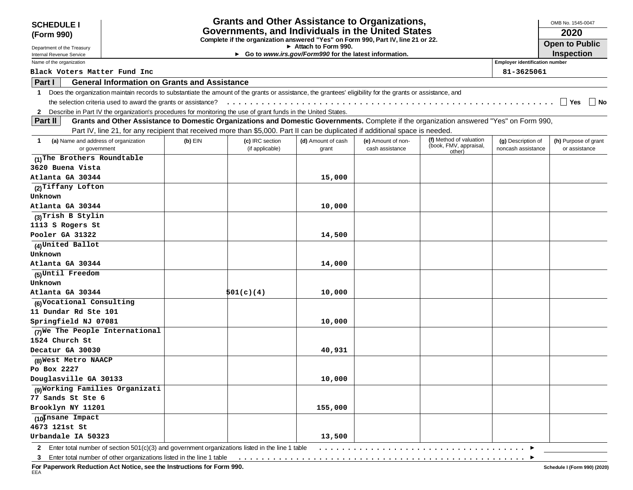| <b>SCHEDULE I</b>                                                                                               |                                                                |         |                 | <b>Grants and Other Assistance to Organizations,</b>                                                                                                       |                    |                                                                                                                                          |                                       | OMB No. 1545-0047     |
|-----------------------------------------------------------------------------------------------------------------|----------------------------------------------------------------|---------|-----------------|------------------------------------------------------------------------------------------------------------------------------------------------------------|--------------------|------------------------------------------------------------------------------------------------------------------------------------------|---------------------------------------|-----------------------|
| (Form 990)                                                                                                      |                                                                |         |                 | Governments, and Individuals in the United States                                                                                                          |                    |                                                                                                                                          |                                       | 2020                  |
| Department of the Treasury                                                                                      |                                                                |         |                 | Complete if the organization answered "Yes" on Form 990, Part IV, line 21 or 22.<br>Attach to Form 990.                                                    |                    |                                                                                                                                          |                                       | <b>Open to Public</b> |
| Internal Revenue Service                                                                                        |                                                                |         |                 | Go to www.irs.gov/Form990 for the latest information.                                                                                                      |                    |                                                                                                                                          |                                       | <b>Inspection</b>     |
| Name of the organization                                                                                        |                                                                |         |                 |                                                                                                                                                            |                    |                                                                                                                                          | <b>Employer identification number</b> |                       |
| Black Voters Matter Fund Inc                                                                                    |                                                                |         |                 |                                                                                                                                                            |                    |                                                                                                                                          | 81-3625061                            |                       |
| Part I                                                                                                          | <b>General Information on Grants and Assistance</b>            |         |                 |                                                                                                                                                            |                    |                                                                                                                                          |                                       |                       |
| $\mathbf 1$                                                                                                     |                                                                |         |                 | Does the organization maintain records to substantiate the amount of the grants or assistance, the grantees' eligibility for the grants or assistance, and |                    |                                                                                                                                          |                                       |                       |
|                                                                                                                 | the selection criteria used to award the grants or assistance? |         |                 |                                                                                                                                                            |                    |                                                                                                                                          |                                       | ∣ ∣ Yes<br>$\vert$ No |
| 2 Describe in Part IV the organization's procedures for monitoring the use of grant funds in the United States. |                                                                |         |                 |                                                                                                                                                            |                    |                                                                                                                                          |                                       |                       |
| <b>Part II</b>                                                                                                  |                                                                |         |                 |                                                                                                                                                            |                    | Grants and Other Assistance to Domestic Organizations and Domestic Governments. Complete if the organization answered "Yes" on Form 990, |                                       |                       |
|                                                                                                                 |                                                                |         |                 | Part IV, line 21, for any recipient that received more than \$5,000. Part II can be duplicated if additional space is needed.                              |                    |                                                                                                                                          |                                       |                       |
| (a) Name and address of organization<br>1                                                                       |                                                                | (b) EIN | (c) IRC section | (d) Amount of cash                                                                                                                                         | (e) Amount of non- | (f) Method of valuation                                                                                                                  | (g) Description of                    | (h) Purpose of grant  |
| or government                                                                                                   |                                                                |         | (if applicable) | grant                                                                                                                                                      | cash assistance    | (book, FMV, appraisal,<br>other)                                                                                                         | noncash assistance                    | or assistance         |
| (1) The Brothers Roundtable                                                                                     |                                                                |         |                 |                                                                                                                                                            |                    |                                                                                                                                          |                                       |                       |
| 3620 Buena Vista                                                                                                |                                                                |         |                 |                                                                                                                                                            |                    |                                                                                                                                          |                                       |                       |
| Atlanta GA 30344                                                                                                |                                                                |         |                 | 15,000                                                                                                                                                     |                    |                                                                                                                                          |                                       |                       |
| (2) Tiffany Lofton                                                                                              |                                                                |         |                 |                                                                                                                                                            |                    |                                                                                                                                          |                                       |                       |
| Unknown                                                                                                         |                                                                |         |                 |                                                                                                                                                            |                    |                                                                                                                                          |                                       |                       |
| Atlanta GA 30344                                                                                                |                                                                |         |                 | 10,000                                                                                                                                                     |                    |                                                                                                                                          |                                       |                       |
| (3) Trish B Stylin                                                                                              |                                                                |         |                 |                                                                                                                                                            |                    |                                                                                                                                          |                                       |                       |
| 1113 S Rogers St                                                                                                |                                                                |         |                 |                                                                                                                                                            |                    |                                                                                                                                          |                                       |                       |
| Pooler GA 31322                                                                                                 |                                                                |         |                 | 14,500                                                                                                                                                     |                    |                                                                                                                                          |                                       |                       |
| (4)United Ballot                                                                                                |                                                                |         |                 |                                                                                                                                                            |                    |                                                                                                                                          |                                       |                       |
| Unknown                                                                                                         |                                                                |         |                 |                                                                                                                                                            |                    |                                                                                                                                          |                                       |                       |
| Atlanta GA 30344                                                                                                |                                                                |         |                 | 14,000                                                                                                                                                     |                    |                                                                                                                                          |                                       |                       |
| (5)Until Freedom                                                                                                |                                                                |         |                 |                                                                                                                                                            |                    |                                                                                                                                          |                                       |                       |
| Unknown                                                                                                         |                                                                |         |                 |                                                                                                                                                            |                    |                                                                                                                                          |                                       |                       |
| Atlanta GA 30344                                                                                                |                                                                |         | 501(c)(4)       | 10,000                                                                                                                                                     |                    |                                                                                                                                          |                                       |                       |
| (6) Vocational Consulting                                                                                       |                                                                |         |                 |                                                                                                                                                            |                    |                                                                                                                                          |                                       |                       |
| 11 Dundar Rd Ste 101                                                                                            |                                                                |         |                 |                                                                                                                                                            |                    |                                                                                                                                          |                                       |                       |
| Springfield NJ 07081                                                                                            |                                                                |         |                 | 10,000                                                                                                                                                     |                    |                                                                                                                                          |                                       |                       |
| (7) We The People International                                                                                 |                                                                |         |                 |                                                                                                                                                            |                    |                                                                                                                                          |                                       |                       |
| 1524 Church St                                                                                                  |                                                                |         |                 |                                                                                                                                                            |                    |                                                                                                                                          |                                       |                       |
| Decatur GA 30030                                                                                                |                                                                |         |                 | 40,931                                                                                                                                                     |                    |                                                                                                                                          |                                       |                       |
| (8) West Metro NAACP                                                                                            |                                                                |         |                 |                                                                                                                                                            |                    |                                                                                                                                          |                                       |                       |
| Po Box 2227                                                                                                     |                                                                |         |                 |                                                                                                                                                            |                    |                                                                                                                                          |                                       |                       |
| Douglasville GA 30133                                                                                           |                                                                |         |                 | 10,000                                                                                                                                                     |                    |                                                                                                                                          |                                       |                       |
| (9) Working Families Organizati                                                                                 |                                                                |         |                 |                                                                                                                                                            |                    |                                                                                                                                          |                                       |                       |
| 77 Sands St Ste 6                                                                                               |                                                                |         |                 |                                                                                                                                                            |                    |                                                                                                                                          |                                       |                       |
| Brooklyn NY 11201                                                                                               |                                                                |         |                 | 155,000                                                                                                                                                    |                    |                                                                                                                                          |                                       |                       |
| (10 Insane Impact                                                                                               |                                                                |         |                 |                                                                                                                                                            |                    |                                                                                                                                          |                                       |                       |
| 4673 121st St                                                                                                   |                                                                |         |                 |                                                                                                                                                            |                    |                                                                                                                                          |                                       |                       |
| Urbandale IA 50323                                                                                              |                                                                |         |                 | 13,500                                                                                                                                                     |                    |                                                                                                                                          |                                       |                       |
| 2 Enter total number of section 501(c)(3) and government organizations listed in the line 1 table               |                                                                |         |                 |                                                                                                                                                            |                    |                                                                                                                                          |                                       |                       |

**For Paperwork Reduction Act Notice, see the Instructions for Form 990.** EEA

 $\overline{\phantom{a}}$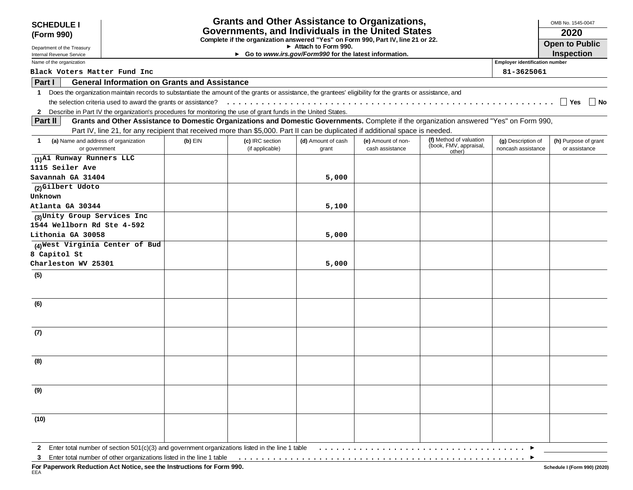| <b>SCHEDULE I</b>                                          |                                                                                                                                                            |                                    | <b>Grants and Other Assistance to Organizations,</b>                                                    |                                       |                                                                                                                                          |                                          | OMB No. 1545-0047                     |
|------------------------------------------------------------|------------------------------------------------------------------------------------------------------------------------------------------------------------|------------------------------------|---------------------------------------------------------------------------------------------------------|---------------------------------------|------------------------------------------------------------------------------------------------------------------------------------------|------------------------------------------|---------------------------------------|
| (Form 990)                                                 |                                                                                                                                                            |                                    | Governments, and Individuals in the United States                                                       |                                       |                                                                                                                                          |                                          | 2020                                  |
|                                                            |                                                                                                                                                            |                                    | Complete if the organization answered "Yes" on Form 990, Part IV, line 21 or 22.<br>Attach to Form 990. |                                       |                                                                                                                                          |                                          | <b>Open to Public</b>                 |
| Department of the Treasury<br>Internal Revenue Service     |                                                                                                                                                            |                                    | ► Go to www.irs.gov/Form990 for the latest information.                                                 |                                       |                                                                                                                                          |                                          | <b>Inspection</b>                     |
| Name of the organization                                   |                                                                                                                                                            |                                    |                                                                                                         |                                       |                                                                                                                                          | <b>Employer identification number</b>    |                                       |
| Black Voters Matter Fund Inc                               |                                                                                                                                                            |                                    |                                                                                                         |                                       |                                                                                                                                          | 81-3625061                               |                                       |
| Part I                                                     | <b>General Information on Grants and Assistance</b>                                                                                                        |                                    |                                                                                                         |                                       |                                                                                                                                          |                                          |                                       |
| $\mathbf{1}$                                               | Does the organization maintain records to substantiate the amount of the grants or assistance, the grantees' eligibility for the grants or assistance, and |                                    |                                                                                                         |                                       |                                                                                                                                          |                                          |                                       |
|                                                            |                                                                                                                                                            |                                    |                                                                                                         |                                       |                                                                                                                                          |                                          | ∣∣ Yes<br>∣ No                        |
|                                                            | 2 Describe in Part IV the organization's procedures for monitoring the use of grant funds in the United States.                                            |                                    |                                                                                                         |                                       |                                                                                                                                          |                                          |                                       |
| Part II                                                    |                                                                                                                                                            |                                    |                                                                                                         |                                       | Grants and Other Assistance to Domestic Organizations and Domestic Governments. Complete if the organization answered "Yes" on Form 990, |                                          |                                       |
|                                                            | Part IV, line 21, for any recipient that received more than \$5,000. Part II can be duplicated if additional space is needed.                              |                                    |                                                                                                         |                                       |                                                                                                                                          |                                          |                                       |
| (a) Name and address of organization<br>1<br>or government | $(b)$ EIN                                                                                                                                                  | (c) IRC section<br>(if applicable) | (d) Amount of cash<br>grant                                                                             | (e) Amount of non-<br>cash assistance | (f) Method of valuation<br>(book, FMV, appraisal,<br>other)                                                                              | (g) Description of<br>noncash assistance | (h) Purpose of grant<br>or assistance |
| (1) A1 Runway Runners LLC                                  |                                                                                                                                                            |                                    |                                                                                                         |                                       |                                                                                                                                          |                                          |                                       |
| 1115 Seiler Ave                                            |                                                                                                                                                            |                                    |                                                                                                         |                                       |                                                                                                                                          |                                          |                                       |
| Savannah GA 31404                                          |                                                                                                                                                            |                                    | 5,000                                                                                                   |                                       |                                                                                                                                          |                                          |                                       |
| (2)Gilbert Udoto<br>Unknown                                |                                                                                                                                                            |                                    |                                                                                                         |                                       |                                                                                                                                          |                                          |                                       |
| Atlanta GA 30344                                           |                                                                                                                                                            |                                    | 5,100                                                                                                   |                                       |                                                                                                                                          |                                          |                                       |
| (3) Unity Group Services Inc                               |                                                                                                                                                            |                                    |                                                                                                         |                                       |                                                                                                                                          |                                          |                                       |
| 1544 Wellborn Rd Ste 4-592                                 |                                                                                                                                                            |                                    |                                                                                                         |                                       |                                                                                                                                          |                                          |                                       |
| Lithonia GA 30058                                          |                                                                                                                                                            |                                    | 5,000                                                                                                   |                                       |                                                                                                                                          |                                          |                                       |
| (4) West Virginia Center of Bud                            |                                                                                                                                                            |                                    |                                                                                                         |                                       |                                                                                                                                          |                                          |                                       |
| 8 Capitol St                                               |                                                                                                                                                            |                                    |                                                                                                         |                                       |                                                                                                                                          |                                          |                                       |
| Charleston WV 25301                                        |                                                                                                                                                            |                                    | 5,000                                                                                                   |                                       |                                                                                                                                          |                                          |                                       |
| (5)                                                        |                                                                                                                                                            |                                    |                                                                                                         |                                       |                                                                                                                                          |                                          |                                       |
| (6)                                                        |                                                                                                                                                            |                                    |                                                                                                         |                                       |                                                                                                                                          |                                          |                                       |
|                                                            |                                                                                                                                                            |                                    |                                                                                                         |                                       |                                                                                                                                          |                                          |                                       |
| (7)                                                        |                                                                                                                                                            |                                    |                                                                                                         |                                       |                                                                                                                                          |                                          |                                       |
| (8)                                                        |                                                                                                                                                            |                                    |                                                                                                         |                                       |                                                                                                                                          |                                          |                                       |
| (9)                                                        |                                                                                                                                                            |                                    |                                                                                                         |                                       |                                                                                                                                          |                                          |                                       |
|                                                            |                                                                                                                                                            |                                    |                                                                                                         |                                       |                                                                                                                                          |                                          |                                       |
| (10)                                                       |                                                                                                                                                            |                                    |                                                                                                         |                                       |                                                                                                                                          |                                          |                                       |
|                                                            | 2 Enter total number of section 501(c)(3) and government organizations listed in the line 1 table                                                          |                                    |                                                                                                         |                                       |                                                                                                                                          |                                          |                                       |

 $\overline{\phantom{a}}$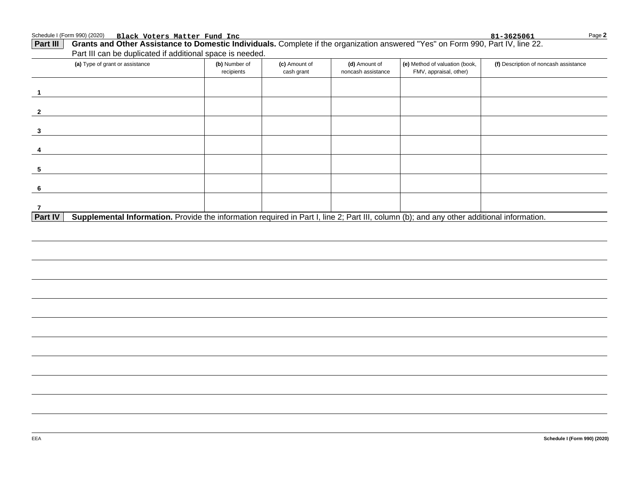Schedule I (Form 990) (2020) Page **Black Voters Matter Fund Inc 81-3625061**

| (a) Type of grant or assistance | (b) Number of<br>recipients | (c) Amount of<br>cash grant | (d) Amount of<br>noncash assistance | (e) Method of valuation (book,<br>FMV, appraisal, other) | (f) Description of noncash assistance |
|---------------------------------|-----------------------------|-----------------------------|-------------------------------------|----------------------------------------------------------|---------------------------------------|
|                                 |                             |                             |                                     |                                                          |                                       |
|                                 |                             |                             |                                     |                                                          |                                       |
|                                 |                             |                             |                                     |                                                          |                                       |
|                                 |                             |                             |                                     |                                                          |                                       |
|                                 |                             |                             |                                     |                                                          |                                       |
|                                 |                             |                             |                                     |                                                          |                                       |
|                                 |                             |                             |                                     |                                                          |                                       |
|                                 |                             |                             |                                     |                                                          |                                       |
|                                 |                             |                             |                                     |                                                          |                                       |

**2**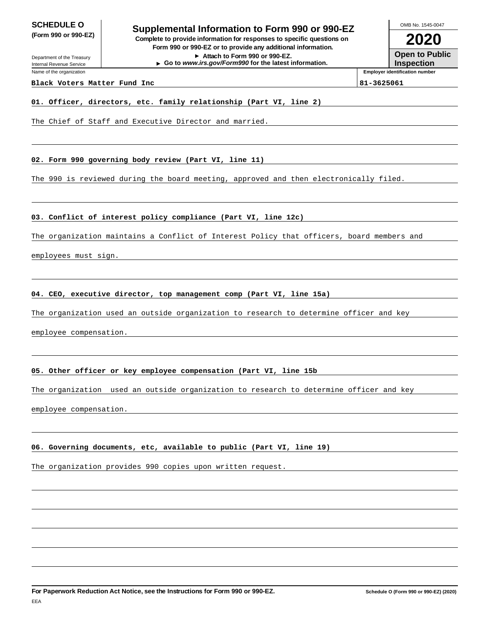Department of the Treasury Internal Revenue Service Name of the organization

**SCHEDULE O**<br> **Supplemental Information to Form 990 or 990-EZ**<br> **Supplemental Information to Form 990 or 990-EZ (Form 990 or 990-EZ) Complete to provide information for responses to specific questions on Form 990 or 990-EZ or to provide any additional information. Attach to Form 990 or 990-EZ. Go to www.irs.gov/Form990 for the latest information.**

OMB No. 1545-0047

**2020**

**Open to Public Inspection**

**Employer identification number**

#### **Black Voters Matter Fund Inc 81-3625061**

#### **01. Officer, directors, etc. family relationship (Part VI, line 2)**

The Chief of Staff and Executive Director and married.

**02. Form 990 governing body review (Part VI, line 11)**

The 990 is reviewed during the board meeting, approved and then electronically filed.

**03. Conflict of interest policy compliance (Part VI, line 12c)**

The organization maintains a Conflict of Interest Policy that officers, board members and

employees must sign.

### **04. CEO, executive director, top management comp (Part VI, line 15a)**

The organization used an outside organization to research to determine officer and key

employee compensation.

### **05. Other officer or key employee compensation (Part VI, line 15b**

The organization used an outside organization to research to determine officer and key

employee compensation.

### **06. Governing documents, etc, available to public (Part VI, line 19)**

The organization provides 990 copies upon written request.